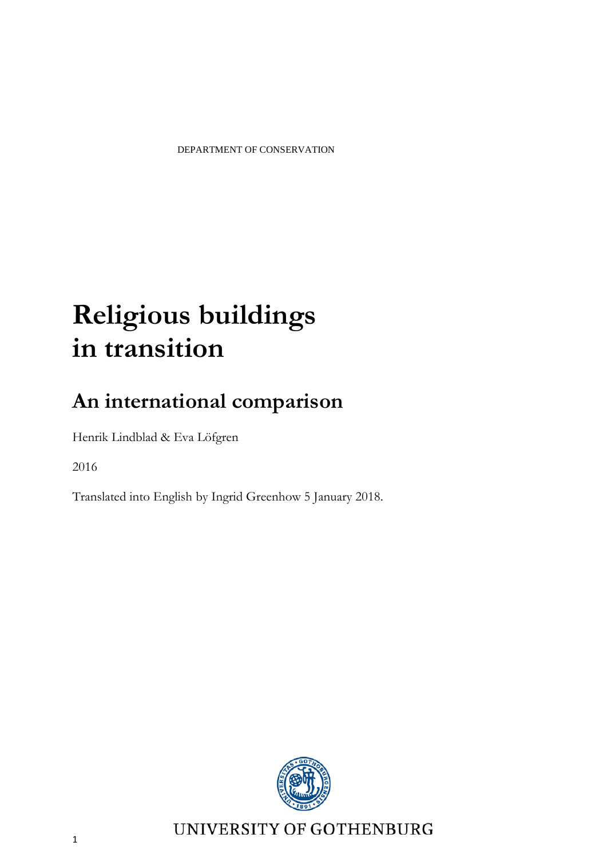# **Religious buildings in transition**

# **An international comparison**

Henrik Lindblad & Eva Löfgren

2016

Translated into English by Ingrid Greenhow 5 January 2018.



UNIVERSITY OF GOTHENBURG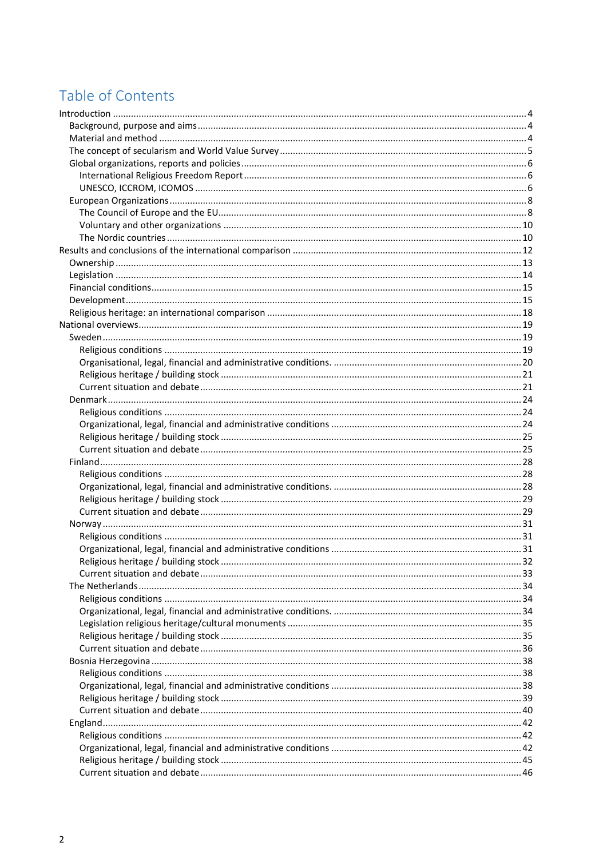# Table of Contents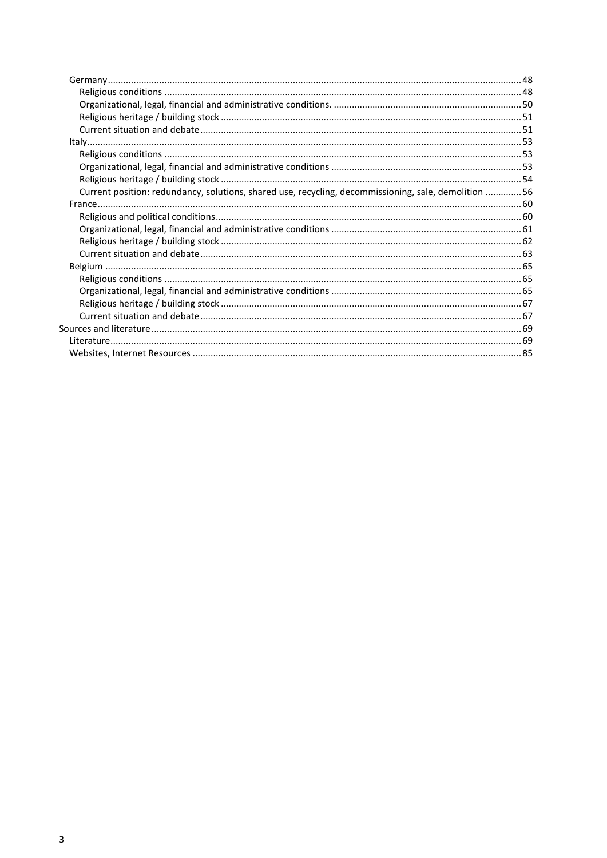| Current position: redundancy, solutions, shared use, recycling, decommissioning, sale, demolition 56 |  |
|------------------------------------------------------------------------------------------------------|--|
|                                                                                                      |  |
|                                                                                                      |  |
|                                                                                                      |  |
|                                                                                                      |  |
|                                                                                                      |  |
|                                                                                                      |  |
|                                                                                                      |  |
|                                                                                                      |  |
|                                                                                                      |  |
|                                                                                                      |  |
|                                                                                                      |  |
|                                                                                                      |  |
|                                                                                                      |  |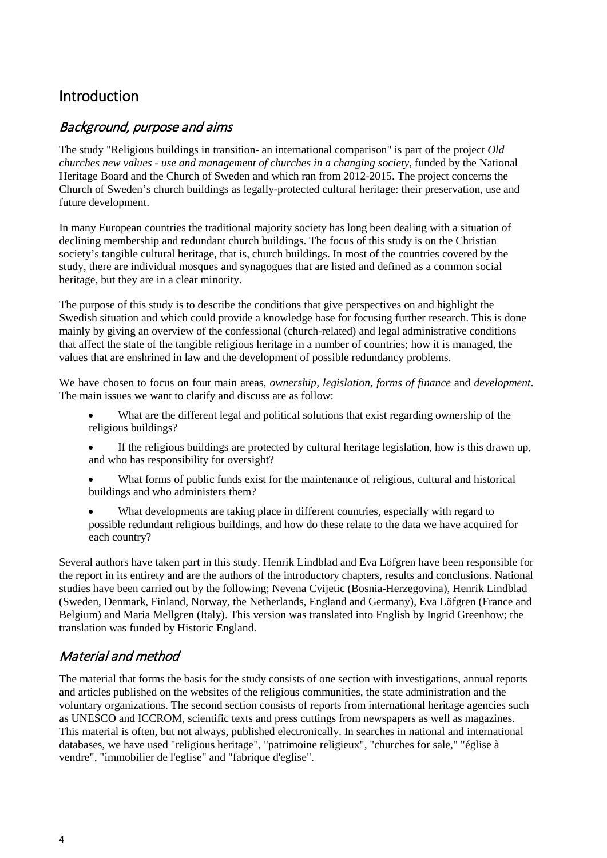# <span id="page-3-0"></span>Introduction

## <span id="page-3-1"></span>Background, purpose and aims

The study "Religious buildings in transition- an international comparison" is part of the project *Old churches new values - use and management of churches in a changing society,* funded by the National Heritage Board and the Church of Sweden and which ran from 2012-2015. The project concerns the Church of Sweden's church buildings as legally-protected cultural heritage: their preservation, use and future development.

In many European countries the traditional majority society has long been dealing with a situation of declining membership and redundant church buildings. The focus of this study is on the Christian society's tangible cultural heritage, that is, church buildings. In most of the countries covered by the study, there are individual mosques and synagogues that are listed and defined as a common social heritage, but they are in a clear minority.

The purpose of this study is to describe the conditions that give perspectives on and highlight the Swedish situation and which could provide a knowledge base for focusing further research. This is done mainly by giving an overview of the confessional (church-related) and legal administrative conditions that affect the state of the tangible religious heritage in a number of countries; how it is managed, the values that are enshrined in law and the development of possible redundancy problems.

We have chosen to focus on four main areas, *ownership, legislation, forms of finance* and *development*. The main issues we want to clarify and discuss are as follow:

- What are the different legal and political solutions that exist regarding ownership of the religious buildings?
- If the religious buildings are protected by cultural heritage legislation, how is this drawn up, and who has responsibility for oversight?
- What forms of public funds exist for the maintenance of religious, cultural and historical buildings and who administers them?
- What developments are taking place in different countries, especially with regard to possible redundant religious buildings, and how do these relate to the data we have acquired for each country?

Several authors have taken part in this study. Henrik Lindblad and Eva Löfgren have been responsible for the report in its entirety and are the authors of the introductory chapters, results and conclusions. National studies have been carried out by the following; Nevena Cvijetic (Bosnia-Herzegovina), Henrik Lindblad (Sweden, Denmark, Finland, Norway, the Netherlands, England and Germany), Eva Löfgren (France and Belgium) and Maria Mellgren (Italy). This version was translated into English by Ingrid Greenhow; the translation was funded by Historic England.

# <span id="page-3-2"></span>Material and method

The material that forms the basis for the study consists of one section with investigations, annual reports and articles published on the websites of the religious communities, the state administration and the voluntary organizations. The second section consists of reports from international heritage agencies such as UNESCO and ICCROM, scientific texts and press cuttings from newspapers as well as magazines. This material is often, but not always, published electronically. In searches in national and international databases, we have used "religious heritage", "patrimoine religieux", "churches for sale," "église à vendre", "immobilier de l'eglise" and "fabrique d'eglise".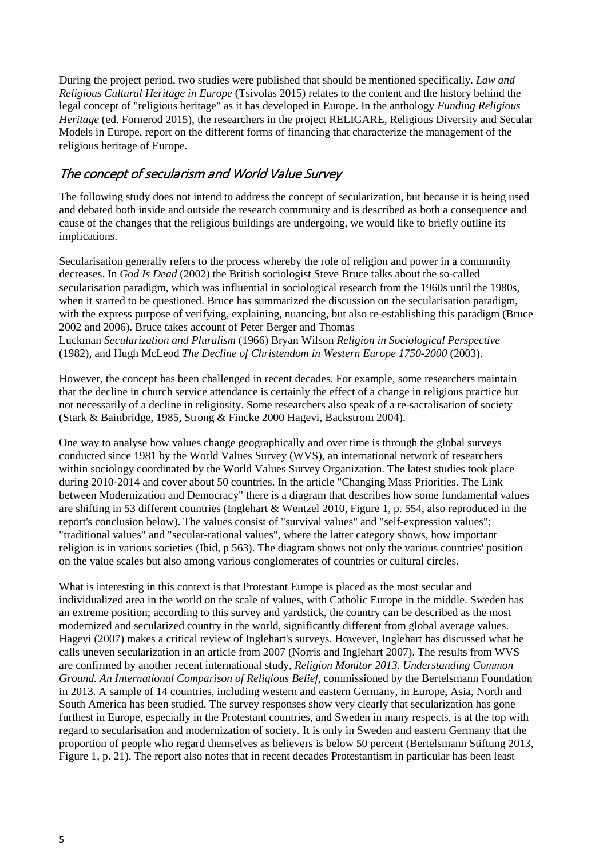During the project period, two studies were published that should be mentioned specifically. *Law and Religious Cultural Heritage in Europe* (Tsivolas 2015) relates to the content and the history behind the legal concept of "religious heritage" as it has developed in Europe. In the anthology *Funding Religious Heritage* (ed. Fornerod 2015), the researchers in the project RELIGARE, Religious Diversity and Secular Models in Europe, report on the different forms of financing that characterize the management of the religious heritage of Europe.

# <span id="page-4-0"></span>The concept of secularism and World Value Survey

The following study does not intend to address the concept of secularization, but because it is being used and debated both inside and outside the research community and is described as both a consequence and cause of the changes that the religious buildings are undergoing, we would like to briefly outline its implications.

Secularisation generally refers to the process whereby the role of religion and power in a community decreases. In *God Is Dead* (2002) the British sociologist Steve Bruce talks about the so-called secularisation paradigm, which was influential in sociological research from the 1960s until the 1980s, when it started to be questioned. Bruce has summarized the discussion on the secularisation paradigm, with the express purpose of verifying, explaining, nuancing, but also re-establishing this paradigm (Bruce 2002 and 2006). Bruce takes account of Peter Berger and Thomas Luckman *Secularization and Pluralism* (1966) Bryan Wilson *Religion in Sociological Perspective* 

(1982), and Hugh McLeod *The Decline of Christendom in Western Europe 1750-2000* (2003).

However, the concept has been challenged in recent decades. For example, some researchers maintain that the decline in church service attendance is certainly the effect of a change in religious practice but not necessarily of a decline in religiosity. Some researchers also speak of a re-sacralisation of society (Stark & Bainbridge, 1985, Strong & Fincke 2000 Hagevi, Backstrom 2004).

One way to analyse how values change geographically and over time is through the global surveys conducted since 1981 by the World Values Survey (WVS), an international network of researchers within sociology coordinated by the World Values Survey Organization. The latest studies took place during 2010-2014 and cover about 50 countries. In the article "Changing Mass Priorities. The Link between Modernization and Democracy" there is a diagram that describes how some fundamental values are shifting in 53 different countries (Inglehart & Wentzel 2010, Figure 1, p. 554, also reproduced in the report's conclusion below). The values consist of "survival values" and "self-expression values"; "traditional values" and "secular-rational values", where the latter category shows, how important religion is in various societies (Ibid, p 563). The diagram shows not only the various countries' position on the value scales but also among various conglomerates of countries or cultural circles.

What is interesting in this context is that Protestant Europe is placed as the most secular and individualized area in the world on the scale of values, with Catholic Europe in the middle. Sweden has an extreme position; according to this survey and yardstick, the country can be described as the most modernized and secularized country in the world, significantly different from global average values. Hagevi (2007) makes a critical review of Inglehart's surveys. However, Inglehart has discussed what he calls uneven secularization in an article from 2007 (Norris and Inglehart 2007). The results from WVS are confirmed by another recent international study*, Religion Monitor 2013. Understanding Common Ground. An International Comparison of Religious Belief,* commissioned by the Bertelsmann Foundation in 2013. A sample of 14 countries, including western and eastern Germany, in Europe, Asia, North and South America has been studied. The survey responses show very clearly that secularization has gone furthest in Europe, especially in the Protestant countries, and Sweden in many respects, is at the top with regard to secularisation and modernization of society. It is only in Sweden and eastern Germany that the proportion of people who regard themselves as believers is below 50 percent (Bertelsmann Stiftung 2013, Figure 1, p. 21). The report also notes that in recent decades Protestantism in particular has been least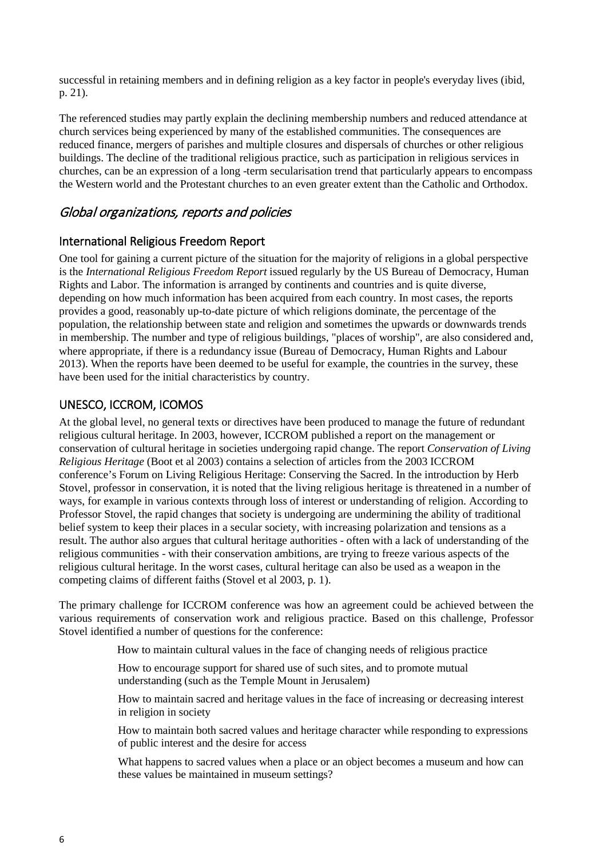successful in retaining members and in defining religion as a key factor in people's everyday lives (ibid, p. 21).

The referenced studies may partly explain the declining membership numbers and reduced attendance at church services being experienced by many of the established communities. The consequences are reduced finance, mergers of parishes and multiple closures and dispersals of churches or other religious buildings. The decline of the traditional religious practice, such as participation in religious services in churches, can be an expression of a long -term secularisation trend that particularly appears to encompass the Western world and the Protestant churches to an even greater extent than the Catholic and Orthodox.

## <span id="page-5-0"></span>Global organizations, reports and policies

## <span id="page-5-1"></span>International Religious Freedom Report

One tool for gaining a current picture of the situation for the majority of religions in a global perspective is the *International Religious Freedom Report* issued regularly by the US Bureau of Democracy, Human Rights and Labor. The information is arranged by continents and countries and is quite diverse, depending on how much information has been acquired from each country. In most cases, the reports provides a good, reasonably up-to-date picture of which religions dominate, the percentage of the population, the relationship between state and religion and sometimes the upwards or downwards trends in membership. The number and type of religious buildings, "places of worship", are also considered and, where appropriate, if there is a redundancy issue (Bureau of Democracy, Human Rights and Labour 2013). When the reports have been deemed to be useful for example, the countries in the survey, these have been used for the initial characteristics by country.

## <span id="page-5-2"></span>UNESCO, ICCROM, ICOMOS

At the global level, no general texts or directives have been produced to manage the future of redundant religious cultural heritage. In 2003, however, ICCROM published a report on the management or conservation of cultural heritage in societies undergoing rapid change. The report *Conservation of Living Religious Heritage* (Boot et al 2003) contains a selection of articles from the 2003 ICCROM conference's Forum on Living Religious Heritage: Conserving the Sacred. In the introduction by Herb Stovel, professor in conservation, it is noted that the living religious heritage is threatened in a number of ways, for example in various contexts through loss of interest or understanding of religion. According to Professor Stovel, the rapid changes that society is undergoing are undermining the ability of traditional belief system to keep their places in a secular society, with increasing polarization and tensions as a result. The author also argues that cultural heritage authorities - often with a lack of understanding of the religious communities - with their conservation ambitions, are trying to freeze various aspects of the religious cultural heritage. In the worst cases, cultural heritage can also be used as a weapon in the competing claims of different faiths (Stovel et al 2003, p. 1).

The primary challenge for ICCROM conference was how an agreement could be achieved between the various requirements of conservation work and religious practice. Based on this challenge, Professor Stovel identified a number of questions for the conference:

How to maintain cultural values in the face of changing needs of religious practice

How to encourage support for shared use of such sites, and to promote mutual understanding (such as the Temple Mount in Jerusalem)

How to maintain sacred and heritage values in the face of increasing or decreasing interest in religion in society

How to maintain both sacred values and heritage character while responding to expressions of public interest and the desire for access

What happens to sacred values when a place or an object becomes a museum and how can these values be maintained in museum settings?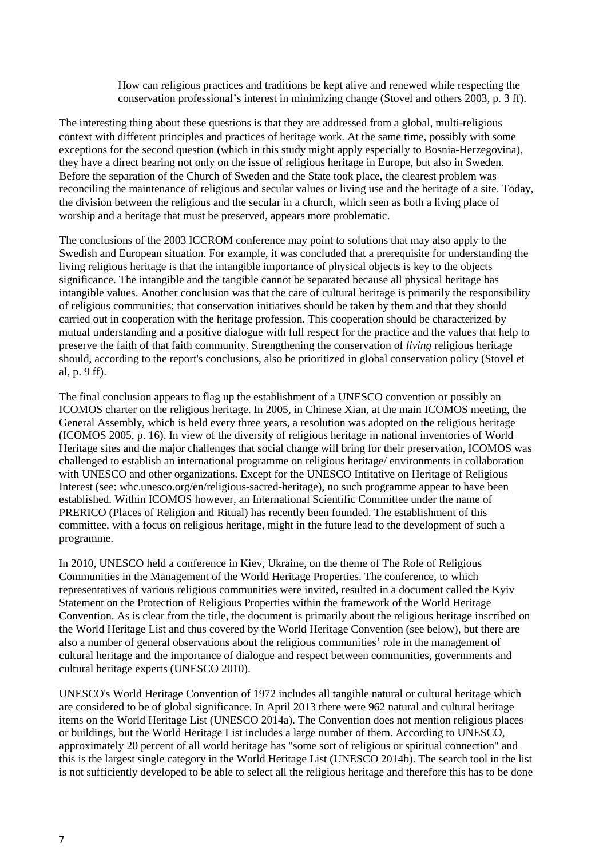How can religious practices and traditions be kept alive and renewed while respecting the conservation professional's interest in minimizing change (Stovel and others 2003, p. 3 ff).

The interesting thing about these questions is that they are addressed from a global, multi-religious context with different principles and practices of heritage work. At the same time, possibly with some exceptions for the second question (which in this study might apply especially to Bosnia-Herzegovina), they have a direct bearing not only on the issue of religious heritage in Europe, but also in Sweden. Before the separation of the Church of Sweden and the State took place, the clearest problem was reconciling the maintenance of religious and secular values or living use and the heritage of a site. Today, the division between the religious and the secular in a church, which seen as both a living place of worship and a heritage that must be preserved, appears more problematic.

The conclusions of the 2003 ICCROM conference may point to solutions that may also apply to the Swedish and European situation. For example, it was concluded that a prerequisite for understanding the living religious heritage is that the intangible importance of physical objects is key to the objects significance. The intangible and the tangible cannot be separated because all physical heritage has intangible values. Another conclusion was that the care of cultural heritage is primarily the responsibility of religious communities; that conservation initiatives should be taken by them and that they should carried out in cooperation with the heritage profession. This cooperation should be characterized by mutual understanding and a positive dialogue with full respect for the practice and the values that help to preserve the faith of that faith community. Strengthening the conservation of *living* religious heritage should, according to the report's conclusions, also be prioritized in global conservation policy (Stovel et al, p. 9 ff).

The final conclusion appears to flag up the establishment of a UNESCO convention or possibly an ICOMOS charter on the religious heritage. In 2005, in Chinese Xian, at the main ICOMOS meeting, the General Assembly, which is held every three years, a resolution was adopted on the religious heritage (ICOMOS 2005, p. 16). In view of the diversity of religious heritage in national inventories of World Heritage sites and the major challenges that social change will bring for their preservation, ICOMOS was challenged to establish an international programme on religious heritage/ environments in collaboration with UNESCO and other organizations. Except for the UNESCO Intitative on Heritage of Religious Interest (see: whc.unesco.org/en/religious-sacred-heritage), no such programme appear to have been established. Within ICOMOS however, an International Scientific Committee under the name of PRERICO (Places of Religion and Ritual) has recently been founded. The establishment of this committee, with a focus on religious heritage, might in the future lead to the development of such a programme.

In 2010, UNESCO held a conference in Kiev, Ukraine, on the theme of The Role of Religious Communities in the Management of the World Heritage Properties. The conference, to which representatives of various religious communities were invited, resulted in a document called the Kyiv Statement on the Protection of Religious Properties within the framework of the World Heritage Convention. As is clear from the title, the document is primarily about the religious heritage inscribed on the World Heritage List and thus covered by the World Heritage Convention (see below), but there are also a number of general observations about the religious communities' role in the management of cultural heritage and the importance of dialogue and respect between communities, governments and cultural heritage experts (UNESCO 2010).

UNESCO's World Heritage Convention of 1972 includes all tangible natural or cultural heritage which are considered to be of global significance. In April 2013 there were 962 natural and cultural heritage items on the World Heritage List (UNESCO 2014a). The Convention does not mention religious places or buildings, but the World Heritage List includes a large number of them. According to UNESCO, approximately 20 percent of all world heritage has "some sort of religious or spiritual connection" and this is the largest single category in the World Heritage List (UNESCO 2014b). The search tool in the list is not sufficiently developed to be able to select all the religious heritage and therefore this has to be done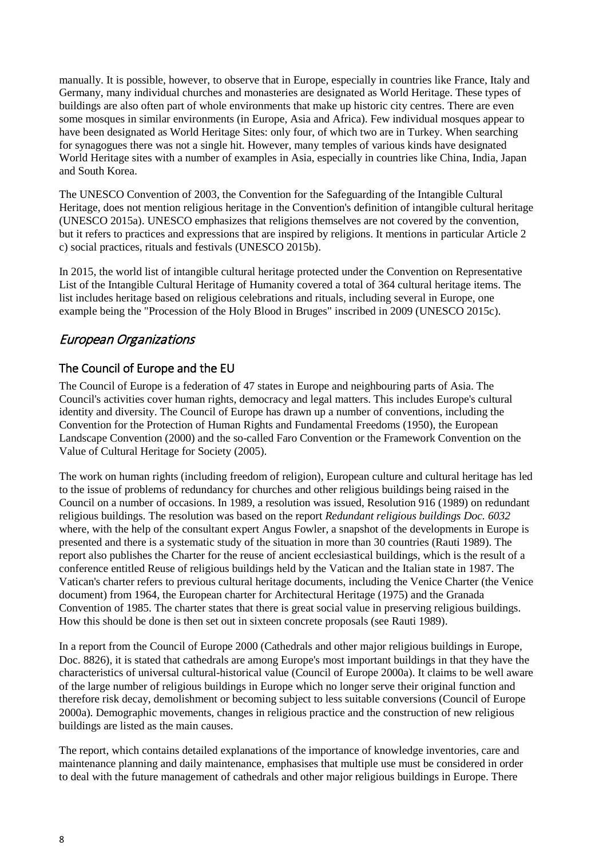manually. It is possible, however, to observe that in Europe, especially in countries like France, Italy and Germany, many individual churches and monasteries are designated as World Heritage. These types of buildings are also often part of whole environments that make up historic city centres. There are even some mosques in similar environments (in Europe, Asia and Africa). Few individual mosques appear to have been designated as World Heritage Sites: only four, of which two are in Turkey. When searching for synagogues there was not a single hit. However, many temples of various kinds have designated World Heritage sites with a number of examples in Asia, especially in countries like China, India, Japan and South Korea.

The UNESCO Convention of 2003, the Convention for the Safeguarding of the Intangible Cultural Heritage, does not mention religious heritage in the Convention's definition of intangible cultural heritage (UNESCO 2015a). UNESCO emphasizes that religions themselves are not covered by the convention, but it refers to practices and expressions that are inspired by religions. It mentions in particular Article 2 c) social practices, rituals and festivals (UNESCO 2015b).

In 2015, the world list of intangible cultural heritage protected under the Convention on Representative List of the Intangible Cultural Heritage of Humanity covered a total of 364 cultural heritage items. The list includes heritage based on religious celebrations and rituals, including several in Europe, one example being the "Procession of the Holy Blood in Bruges" inscribed in 2009 (UNESCO 2015c).

# <span id="page-7-0"></span>European Organizations

## <span id="page-7-1"></span>The Council of Europe and the EU

The Council of Europe is a federation of 47 states in Europe and neighbouring parts of Asia. The Council's activities cover human rights, democracy and legal matters. This includes Europe's cultural identity and diversity. The Council of Europe has drawn up a number of conventions, including the Convention for the Protection of Human Rights and Fundamental Freedoms (1950), the European Landscape Convention (2000) and the so-called Faro Convention or the Framework Convention on the Value of Cultural Heritage for Society (2005).

The work on human rights (including freedom of religion), European culture and cultural heritage has led to the issue of problems of redundancy for churches and other religious buildings being raised in the Council on a number of occasions. In 1989, a resolution was issued, Resolution 916 (1989) on redundant religious buildings. The resolution was based on the report *Redundant religious buildings Doc. 6032*  where, with the help of the consultant expert Angus Fowler, a snapshot of the developments in Europe is presented and there is a systematic study of the situation in more than 30 countries (Rauti 1989). The report also publishes the Charter for the reuse of ancient ecclesiastical buildings, which is the result of a conference entitled Reuse of religious buildings held by the Vatican and the Italian state in 1987. The Vatican's charter refers to previous cultural heritage documents, including the Venice Charter (the Venice document) from 1964, the European charter for Architectural Heritage (1975) and the Granada Convention of 1985. The charter states that there is great social value in preserving religious buildings. How this should be done is then set out in sixteen concrete proposals (see Rauti 1989).

In a report from the Council of Europe 2000 (Cathedrals and other major religious buildings in Europe, Doc. 8826), it is stated that cathedrals are among Europe's most important buildings in that they have the characteristics of universal cultural-historical value (Council of Europe 2000a). It claims to be well aware of the large number of religious buildings in Europe which no longer serve their original function and therefore risk decay, demolishment or becoming subject to less suitable conversions (Council of Europe 2000a). Demographic movements, changes in religious practice and the construction of new religious buildings are listed as the main causes.

The report, which contains detailed explanations of the importance of knowledge inventories, care and maintenance planning and daily maintenance, emphasises that multiple use must be considered in order to deal with the future management of cathedrals and other major religious buildings in Europe. There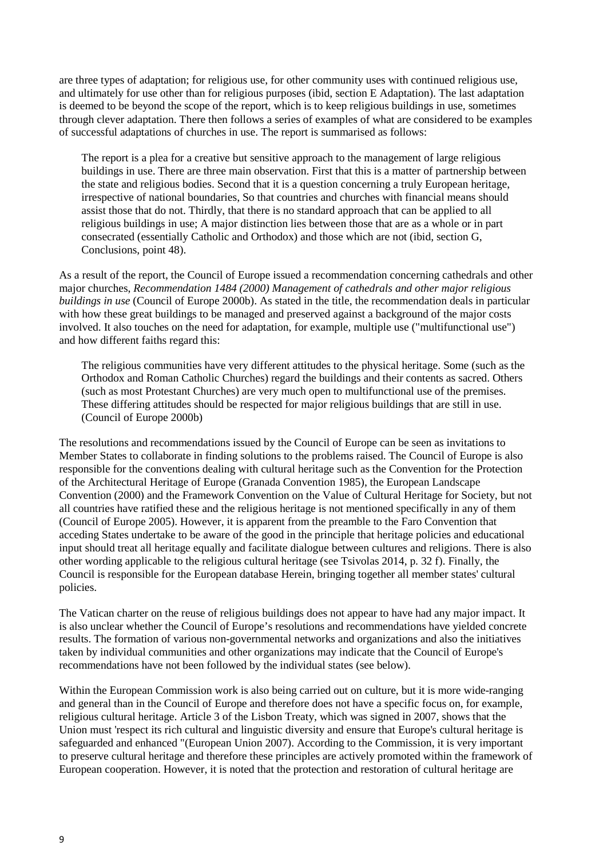are three types of adaptation; for religious use, for other community uses with continued religious use, and ultimately for use other than for religious purposes (ibid, section E Adaptation). The last adaptation is deemed to be beyond the scope of the report, which is to keep religious buildings in use, sometimes through clever adaptation. There then follows a series of examples of what are considered to be examples of successful adaptations of churches in use. The report is summarised as follows:

The report is a plea for a creative but sensitive approach to the management of large religious buildings in use. There are three main observation. First that this is a matter of partnership between the state and religious bodies. Second that it is a question concerning a truly European heritage, irrespective of national boundaries, So that countries and churches with financial means should assist those that do not. Thirdly, that there is no standard approach that can be applied to all religious buildings in use; A major distinction lies between those that are as a whole or in part consecrated (essentially Catholic and Orthodox) and those which are not (ibid, section G, Conclusions, point 48).

As a result of the report, the Council of Europe issued a recommendation concerning cathedrals and other major churches, *Recommendation 1484 (2000) Management of cathedrals and other major religious buildings in use* (Council of Europe 2000b). As stated in the title, the recommendation deals in particular with how these great buildings to be managed and preserved against a background of the major costs involved. It also touches on the need for adaptation, for example, multiple use ("multifunctional use") and how different faiths regard this:

The religious communities have very different attitudes to the physical heritage. Some (such as the Orthodox and Roman Catholic Churches) regard the buildings and their contents as sacred. Others (such as most Protestant Churches) are very much open to multifunctional use of the premises. These differing attitudes should be respected for major religious buildings that are still in use. (Council of Europe 2000b)

The resolutions and recommendations issued by the Council of Europe can be seen as invitations to Member States to collaborate in finding solutions to the problems raised. The Council of Europe is also responsible for the conventions dealing with cultural heritage such as the Convention for the Protection of the Architectural Heritage of Europe (Granada Convention 1985), the European Landscape Convention (2000) and the Framework Convention on the Value of Cultural Heritage for Society, but not all countries have ratified these and the religious heritage is not mentioned specifically in any of them (Council of Europe 2005). However, it is apparent from the preamble to the Faro Convention that acceding States undertake to be aware of the good in the principle that heritage policies and educational input should treat all heritage equally and facilitate dialogue between cultures and religions. There is also other wording applicable to the religious cultural heritage (see Tsivolas 2014, p. 32 f). Finally, the Council is responsible for the European database Herein, bringing together all member states' cultural policies.

The Vatican charter on the reuse of religious buildings does not appear to have had any major impact. It is also unclear whether the Council of Europe's resolutions and recommendations have yielded concrete results. The formation of various non-governmental networks and organizations and also the initiatives taken by individual communities and other organizations may indicate that the Council of Europe's recommendations have not been followed by the individual states (see below).

Within the European Commission work is also being carried out on culture, but it is more wide-ranging and general than in the Council of Europe and therefore does not have a specific focus on, for example, religious cultural heritage. Article 3 of the Lisbon Treaty, which was signed in 2007, shows that the Union must 'respect its rich cultural and linguistic diversity and ensure that Europe's cultural heritage is safeguarded and enhanced "(European Union 2007). According to the Commission, it is very important to preserve cultural heritage and therefore these principles are actively promoted within the framework of European cooperation. However, it is noted that the protection and restoration of cultural heritage are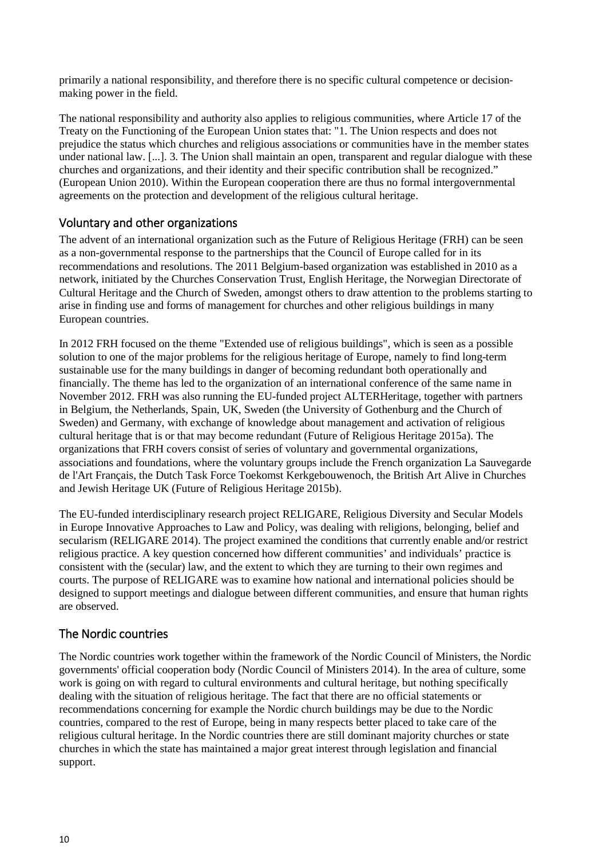primarily a national responsibility, and therefore there is no specific cultural competence or decisionmaking power in the field.

The national responsibility and authority also applies to religious communities, where Article 17 of the Treaty on the Functioning of the European Union states that: "1. The Union respects and does not prejudice the status which churches and religious associations or communities have in the member states under national law. [...]. 3. The Union shall maintain an open, transparent and regular dialogue with these churches and organizations, and their identity and their specific contribution shall be recognized." (European Union 2010). Within the European cooperation there are thus no formal intergovernmental agreements on the protection and development of the religious cultural heritage.

## <span id="page-9-0"></span>Voluntary and other organizations

The advent of an international organization such as the Future of Religious Heritage (FRH) can be seen as a non-governmental response to the partnerships that the Council of Europe called for in its recommendations and resolutions. The 2011 Belgium-based organization was established in 2010 as a network, initiated by the Churches Conservation Trust, English Heritage, the Norwegian Directorate of Cultural Heritage and the Church of Sweden, amongst others to draw attention to the problems starting to arise in finding use and forms of management for churches and other religious buildings in many European countries.

In 2012 FRH focused on the theme "Extended use of religious buildings"*,* which is seen as a possible solution to one of the major problems for the religious heritage of Europe, namely to find long-term sustainable use for the many buildings in danger of becoming redundant both operationally and financially. The theme has led to the organization of an international conference of the same name in November 2012. FRH was also running the EU-funded project ALTERHeritage, together with partners in Belgium, the Netherlands, Spain, UK, Sweden (the University of Gothenburg and the Church of Sweden) and Germany, with exchange of knowledge about management and activation of religious cultural heritage that is or that may become redundant (Future of Religious Heritage 2015a). The organizations that FRH covers consist of series of voluntary and governmental organizations, associations and foundations, where the voluntary groups include the French organization La Sauvegarde de l'Art Français, the Dutch Task Force Toekomst Kerkgebouwenoch, the British Art Alive in Churches and Jewish Heritage UK (Future of Religious Heritage 2015b).

The EU-funded interdisciplinary research project RELIGARE, Religious Diversity and Secular Models in Europe Innovative Approaches to Law and Policy*,* was dealing with religions, belonging, belief and secularism (RELIGARE 2014). The project examined the conditions that currently enable and/or restrict religious practice. A key question concerned how different communities' and individuals' practice is consistent with the (secular) law, and the extent to which they are turning to their own regimes and courts. The purpose of RELIGARE was to examine how national and international policies should be designed to support meetings and dialogue between different communities, and ensure that human rights are observed.

## <span id="page-9-1"></span>The Nordic countries

The Nordic countries work together within the framework of the Nordic Council of Ministers, the Nordic governments' official cooperation body (Nordic Council of Ministers 2014). In the area of culture, some work is going on with regard to cultural environments and cultural heritage, but nothing specifically dealing with the situation of religious heritage. The fact that there are no official statements or recommendations concerning for example the Nordic church buildings may be due to the Nordic countries, compared to the rest of Europe, being in many respects better placed to take care of the religious cultural heritage. In the Nordic countries there are still dominant majority churches or state churches in which the state has maintained a major great interest through legislation and financial support.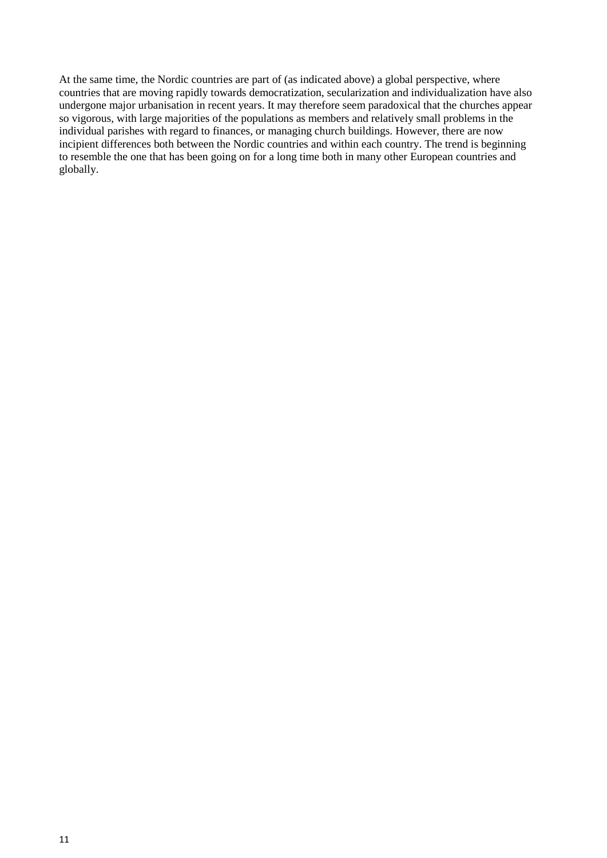At the same time, the Nordic countries are part of (as indicated above) a global perspective, where countries that are moving rapidly towards democratization, secularization and individualization have also undergone major urbanisation in recent years. It may therefore seem paradoxical that the churches appear so vigorous, with large majorities of the populations as members and relatively small problems in the individual parishes with regard to finances, or managing church buildings. However, there are now incipient differences both between the Nordic countries and within each country. The trend is beginning to resemble the one that has been going on for a long time both in many other European countries and globally.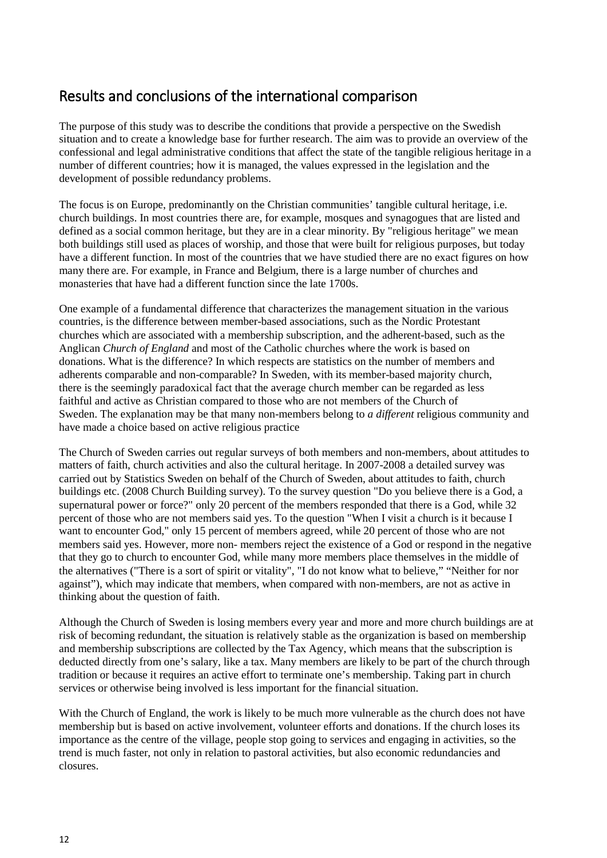# <span id="page-11-0"></span>Results and conclusions of the international comparison

The purpose of this study was to describe the conditions that provide a perspective on the Swedish situation and to create a knowledge base for further research. The aim was to provide an overview of the confessional and legal administrative conditions that affect the state of the tangible religious heritage in a number of different countries; how it is managed, the values expressed in the legislation and the development of possible redundancy problems.

The focus is on Europe, predominantly on the Christian communities' tangible cultural heritage, i.e. church buildings. In most countries there are, for example, mosques and synagogues that are listed and defined as a social common heritage, but they are in a clear minority. By "religious heritage" we mean both buildings still used as places of worship, and those that were built for religious purposes, but today have a different function. In most of the countries that we have studied there are no exact figures on how many there are. For example, in France and Belgium, there is a large number of churches and monasteries that have had a different function since the late 1700s.

One example of a fundamental difference that characterizes the management situation in the various countries, is the difference between member-based associations, such as the Nordic Protestant churches which are associated with a membership subscription, and the adherent-based, such as the Anglican *Church of England* and most of the Catholic churches where the work is based on donations. What is the difference? In which respects are statistics on the number of members and adherents comparable and non-comparable? In Sweden, with its member-based majority church, there is the seemingly paradoxical fact that the average church member can be regarded as less faithful and active as Christian compared to those who are not members of the Church of Sweden. The explanation may be that many non-members belong to *a different* religious community and have made a choice based on active religious practice

The Church of Sweden carries out regular surveys of both members and non-members, about attitudes to matters of faith, church activities and also the cultural heritage. In 2007-2008 a detailed survey was carried out by Statistics Sweden on behalf of the Church of Sweden, about attitudes to faith, church buildings etc. (2008 Church Building survey). To the survey question "Do you believe there is a God, a supernatural power or force?" only 20 percent of the members responded that there is a God, while 32 percent of those who are not members said yes. To the question "When I visit a church is it because I want to encounter God," only 15 percent of members agreed, while 20 percent of those who are not members said yes. However, more non- members reject the existence of a God or respond in the negative that they go to church to encounter God, while many more members place themselves in the middle of the alternatives ("There is a sort of spirit or vitality", "I do not know what to believe," "Neither for nor against"), which may indicate that members, when compared with non-members, are not as active in thinking about the question of faith.

Although the Church of Sweden is losing members every year and more and more church buildings are at risk of becoming redundant, the situation is relatively stable as the organization is based on membership and membership subscriptions are collected by the Tax Agency, which means that the subscription is deducted directly from one's salary, like a tax. Many members are likely to be part of the church through tradition or because it requires an active effort to terminate one's membership. Taking part in church services or otherwise being involved is less important for the financial situation.

With the Church of England, the work is likely to be much more vulnerable as the church does not have membership but is based on active involvement, volunteer efforts and donations. If the church loses its importance as the centre of the village, people stop going to services and engaging in activities, so the trend is much faster, not only in relation to pastoral activities, but also economic redundancies and closures.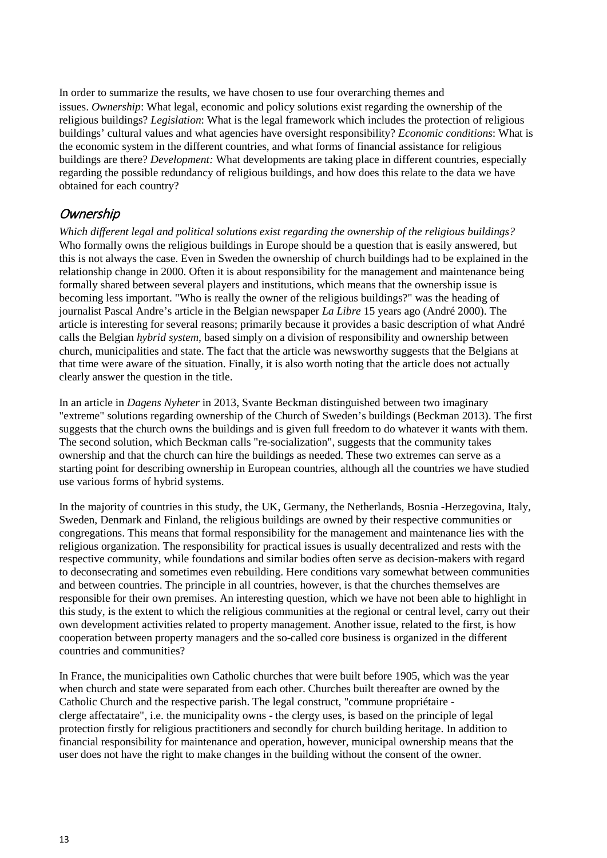In order to summarize the results, we have chosen to use four overarching themes and issues. *Ownership*: What legal, economic and policy solutions exist regarding the ownership of the religious buildings? *Legislation*: What is the legal framework which includes the protection of religious buildings' cultural values and what agencies have oversight responsibility? *Economic conditions*: What is the economic system in the different countries, and what forms of financial assistance for religious buildings are there? *Development:* What developments are taking place in different countries, especially regarding the possible redundancy of religious buildings, and how does this relate to the data we have obtained for each country?

## <span id="page-12-0"></span>**Ownership**

*Which different legal and political solutions exist regarding the ownership of the religious buildings?* Who formally owns the religious buildings in Europe should be a question that is easily answered, but this is not always the case. Even in Sweden the ownership of church buildings had to be explained in the relationship change in 2000. Often it is about responsibility for the management and maintenance being formally shared between several players and institutions, which means that the ownership issue is becoming less important. "Who is really the owner of the religious buildings?" was the heading of journalist Pascal Andre's article in the Belgian newspaper *La Libre* 15 years ago (André 2000). The article is interesting for several reasons; primarily because it provides a basic description of what André calls the Belgian *hybrid system*, based simply on a division of responsibility and ownership between church, municipalities and state. The fact that the article was newsworthy suggests that the Belgians at that time were aware of the situation. Finally, it is also worth noting that the article does not actually clearly answer the question in the title.

In an article in *Dagens Nyheter* in 2013, Svante Beckman distinguished between two imaginary "extreme" solutions regarding ownership of the Church of Sweden's buildings (Beckman 2013). The first suggests that the church owns the buildings and is given full freedom to do whatever it wants with them. The second solution, which Beckman calls "re-socialization", suggests that the community takes ownership and that the church can hire the buildings as needed. These two extremes can serve as a starting point for describing ownership in European countries, although all the countries we have studied use various forms of hybrid systems.

In the majority of countries in this study, the UK, Germany, the Netherlands, Bosnia -Herzegovina, Italy, Sweden, Denmark and Finland, the religious buildings are owned by their respective communities or congregations. This means that formal responsibility for the management and maintenance lies with the religious organization. The responsibility for practical issues is usually decentralized and rests with the respective community, while foundations and similar bodies often serve as decision-makers with regard to deconsecrating and sometimes even rebuilding. Here conditions vary somewhat between communities and between countries. The principle in all countries, however, is that the churches themselves are responsible for their own premises. An interesting question, which we have not been able to highlight in this study, is the extent to which the religious communities at the regional or central level, carry out their own development activities related to property management. Another issue, related to the first, is how cooperation between property managers and the so-called core business is organized in the different countries and communities?

In France, the municipalities own Catholic churches that were built before 1905, which was the year when church and state were separated from each other. Churches built thereafter are owned by the Catholic Church and the respective parish. The legal construct, "commune propriétaire clerge affectataire", i.e. the municipality owns - the clergy uses, is based on the principle of legal protection firstly for religious practitioners and secondly for church building heritage. In addition to financial responsibility for maintenance and operation, however, municipal ownership means that the user does not have the right to make changes in the building without the consent of the owner.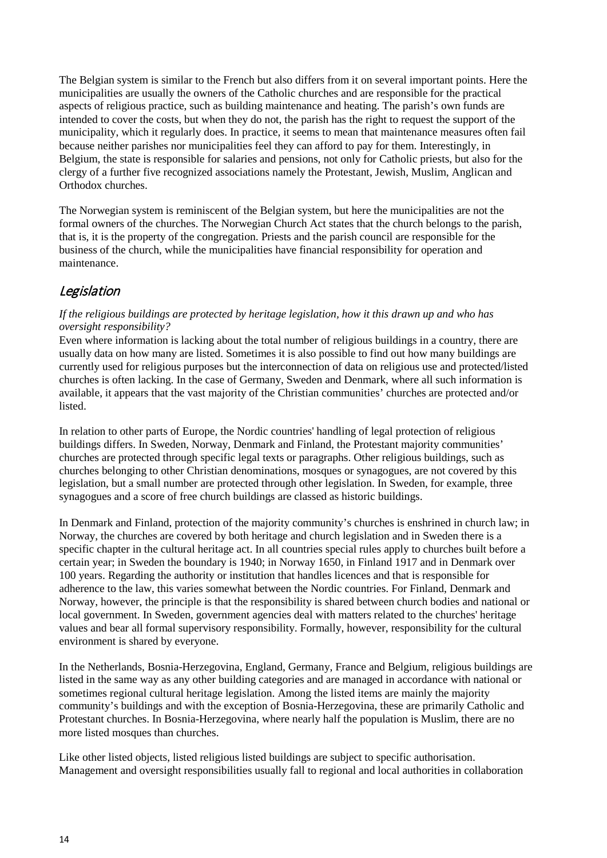The Belgian system is similar to the French but also differs from it on several important points. Here the municipalities are usually the owners of the Catholic churches and are responsible for the practical aspects of religious practice, such as building maintenance and heating. The parish's own funds are intended to cover the costs, but when they do not, the parish has the right to request the support of the municipality, which it regularly does. In practice, it seems to mean that maintenance measures often fail because neither parishes nor municipalities feel they can afford to pay for them. Interestingly, in Belgium, the state is responsible for salaries and pensions, not only for Catholic priests, but also for the clergy of a further five recognized associations namely the Protestant, Jewish, Muslim, Anglican and Orthodox churches.

The Norwegian system is reminiscent of the Belgian system, but here the municipalities are not the formal owners of the churches. The Norwegian Church Act states that the church belongs to the parish, that is, it is the property of the congregation. Priests and the parish council are responsible for the business of the church, while the municipalities have financial responsibility for operation and maintenance.

# <span id="page-13-0"></span>**Legislation**

#### *If the religious buildings are protected by heritage legislation, how it this drawn up and who has oversight responsibility?*

Even where information is lacking about the total number of religious buildings in a country, there are usually data on how many are listed. Sometimes it is also possible to find out how many buildings are currently used for religious purposes but the interconnection of data on religious use and protected/listed churches is often lacking. In the case of Germany, Sweden and Denmark, where all such information is available, it appears that the vast majority of the Christian communities' churches are protected and/or listed.

In relation to other parts of Europe, the Nordic countries' handling of legal protection of religious buildings differs. In Sweden, Norway, Denmark and Finland, the Protestant majority communities' churches are protected through specific legal texts or paragraphs. Other religious buildings, such as churches belonging to other Christian denominations, mosques or synagogues, are not covered by this legislation, but a small number are protected through other legislation. In Sweden, for example, three synagogues and a score of free church buildings are classed as historic buildings.

In Denmark and Finland, protection of the majority community's churches is enshrined in church law; in Norway, the churches are covered by both heritage and church legislation and in Sweden there is a specific chapter in the cultural heritage act. In all countries special rules apply to churches built before a certain year; in Sweden the boundary is 1940; in Norway 1650, in Finland 1917 and in Denmark over 100 years. Regarding the authority or institution that handles licences and that is responsible for adherence to the law, this varies somewhat between the Nordic countries. For Finland, Denmark and Norway, however, the principle is that the responsibility is shared between church bodies and national or local government. In Sweden, government agencies deal with matters related to the churches' heritage values and bear all formal supervisory responsibility. Formally, however, responsibility for the cultural environment is shared by everyone.

In the Netherlands, Bosnia-Herzegovina, England, Germany, France and Belgium, religious buildings are listed in the same way as any other building categories and are managed in accordance with national or sometimes regional cultural heritage legislation. Among the listed items are mainly the majority community's buildings and with the exception of Bosnia-Herzegovina, these are primarily Catholic and Protestant churches. In Bosnia-Herzegovina, where nearly half the population is Muslim, there are no more listed mosques than churches.

Like other listed objects, listed religious listed buildings are subject to specific authorisation. Management and oversight responsibilities usually fall to regional and local authorities in collaboration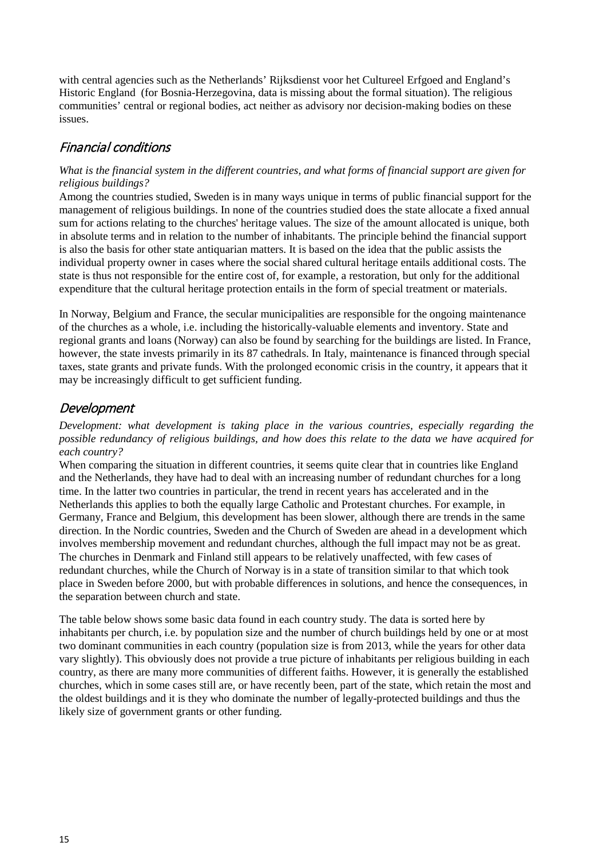with central agencies such as the Netherlands' Rijksdienst voor het Cultureel Erfgoed and England's Historic England (for Bosnia-Herzegovina, data is missing about the formal situation). The religious communities' central or regional bodies, act neither as advisory nor decision-making bodies on these issues.

# <span id="page-14-0"></span>Financial conditions

#### *What is the financial system in the different countries, and what forms of financial support are given for religious buildings?*

Among the countries studied, Sweden is in many ways unique in terms of public financial support for the management of religious buildings. In none of the countries studied does the state allocate a fixed annual sum for actions relating to the churches' heritage values. The size of the amount allocated is unique, both in absolute terms and in relation to the number of inhabitants. The principle behind the financial support is also the basis for other state antiquarian matters. It is based on the idea that the public assists the individual property owner in cases where the social shared cultural heritage entails additional costs. The state is thus not responsible for the entire cost of, for example, a restoration, but only for the additional expenditure that the cultural heritage protection entails in the form of special treatment or materials.

In Norway, Belgium and France, the secular municipalities are responsible for the ongoing maintenance of the churches as a whole, i.e. including the historically-valuable elements and inventory. State and regional grants and loans (Norway) can also be found by searching for the buildings are listed. In France, however, the state invests primarily in its 87 cathedrals. In Italy, maintenance is financed through special taxes, state grants and private funds. With the prolonged economic crisis in the country, it appears that it may be increasingly difficult to get sufficient funding.

## <span id="page-14-1"></span>Development

*Development: what development is taking place in the various countries, especially regarding the possible redundancy of religious buildings, and how does this relate to the data we have acquired for each country?*

When comparing the situation in different countries, it seems quite clear that in countries like England and the Netherlands, they have had to deal with an increasing number of redundant churches for a long time. In the latter two countries in particular, the trend in recent years has accelerated and in the Netherlands this applies to both the equally large Catholic and Protestant churches. For example, in Germany, France and Belgium, this development has been slower, although there are trends in the same direction. In the Nordic countries, Sweden and the Church of Sweden are ahead in a development which involves membership movement and redundant churches, although the full impact may not be as great. The churches in Denmark and Finland still appears to be relatively unaffected, with few cases of redundant churches, while the Church of Norway is in a state of transition similar to that which took place in Sweden before 2000, but with probable differences in solutions, and hence the consequences, in the separation between church and state.

The table below shows some basic data found in each country study. The data is sorted here by inhabitants per church, i.e. by population size and the number of church buildings held by one or at most two dominant communities in each country (population size is from 2013, while the years for other data vary slightly). This obviously does not provide a true picture of inhabitants per religious building in each country, as there are many more communities of different faiths. However, it is generally the established churches, which in some cases still are, or have recently been, part of the state, which retain the most and the oldest buildings and it is they who dominate the number of legally-protected buildings and thus the likely size of government grants or other funding.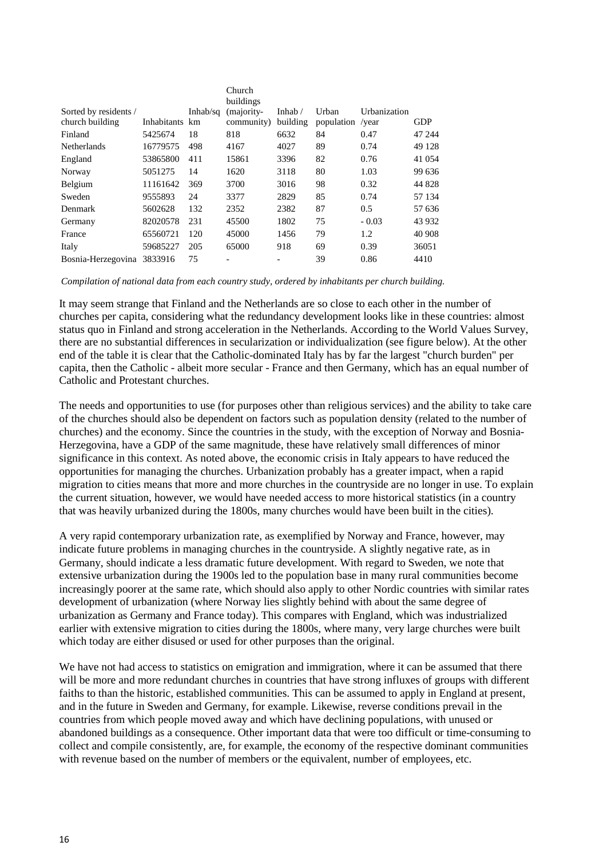|                       |                |          | Church<br>buildings      |                          |                  |              |            |
|-----------------------|----------------|----------|--------------------------|--------------------------|------------------|--------------|------------|
| Sorted by residents / |                | Inhab/sq | (majority-               | Inhab $/$                | Urban            | Urbanization |            |
| church building       | Inhabitants km |          | community)               | building                 | population /year |              | <b>GDP</b> |
| Finland               | 5425674        | 18       | 818                      | 6632                     | 84               | 0.47         | 47 244     |
| <b>Netherlands</b>    | 16779575       | 498      | 4167                     | 4027                     | 89               | 0.74         | 49 1 28    |
| England               | 53865800       | 411      | 15861                    | 3396                     | 82               | 0.76         | 41 0 54    |
| Norway                | 5051275        | 14       | 1620                     | 3118                     | 80               | 1.03         | 99 636     |
| Belgium               | 11161642       | 369      | 3700                     | 3016                     | 98               | 0.32         | 44 828     |
| Sweden                | 9555893        | 24       | 3377                     | 2829                     | 85               | 0.74         | 57 134     |
| Denmark               | 5602628        | 132      | 2352                     | 2382                     | 87               | 0.5          | 57 636     |
| Germany               | 82020578       | 231      | 45500                    | 1802                     | 75               | $-0.03$      | 43 9 32    |
| France                | 65560721       | 120      | 45000                    | 1456                     | 79               | 1.2          | 40 908     |
| Italy                 | 59685227       | 205      | 65000                    | 918                      | 69               | 0.39         | 36051      |
| Bosnia-Herzegovina    | 3833916        | 75       | $\overline{\phantom{0}}$ | $\overline{\phantom{a}}$ | 39               | 0.86         | 4410       |

*Compilation of national data from each country study, ordered by inhabitants per church building.*

It may seem strange that Finland and the Netherlands are so close to each other in the number of churches per capita, considering what the redundancy development looks like in these countries: almost status quo in Finland and strong acceleration in the Netherlands. According to the World Values Survey, there are no substantial differences in secularization or individualization (see figure below). At the other end of the table it is clear that the Catholic-dominated Italy has by far the largest "church burden" per capita, then the Catholic - albeit more secular - France and then Germany, which has an equal number of Catholic and Protestant churches.

The needs and opportunities to use (for purposes other than religious services) and the ability to take care of the churches should also be dependent on factors such as population density (related to the number of churches) and the economy. Since the countries in the study, with the exception of Norway and Bosnia-Herzegovina, have a GDP of the same magnitude, these have relatively small differences of minor significance in this context. As noted above, the economic crisis in Italy appears to have reduced the opportunities for managing the churches. Urbanization probably has a greater impact, when a rapid migration to cities means that more and more churches in the countryside are no longer in use. To explain the current situation, however, we would have needed access to more historical statistics (in a country that was heavily urbanized during the 1800s, many churches would have been built in the cities).

A very rapid contemporary urbanization rate, as exemplified by Norway and France, however, may indicate future problems in managing churches in the countryside. A slightly negative rate, as in Germany, should indicate a less dramatic future development. With regard to Sweden, we note that extensive urbanization during the 1900s led to the population base in many rural communities become increasingly poorer at the same rate, which should also apply to other Nordic countries with similar rates development of urbanization (where Norway lies slightly behind with about the same degree of urbanization as Germany and France today). This compares with England, which was industrialized earlier with extensive migration to cities during the 1800s, where many, very large churches were built which today are either disused or used for other purposes than the original.

We have not had access to statistics on emigration and immigration, where it can be assumed that there will be more and more redundant churches in countries that have strong influxes of groups with different faiths to than the historic, established communities. This can be assumed to apply in England at present, and in the future in Sweden and Germany, for example. Likewise, reverse conditions prevail in the countries from which people moved away and which have declining populations, with unused or abandoned buildings as a consequence. Other important data that were too difficult or time-consuming to collect and compile consistently, are, for example, the economy of the respective dominant communities with revenue based on the number of members or the equivalent, number of employees, etc.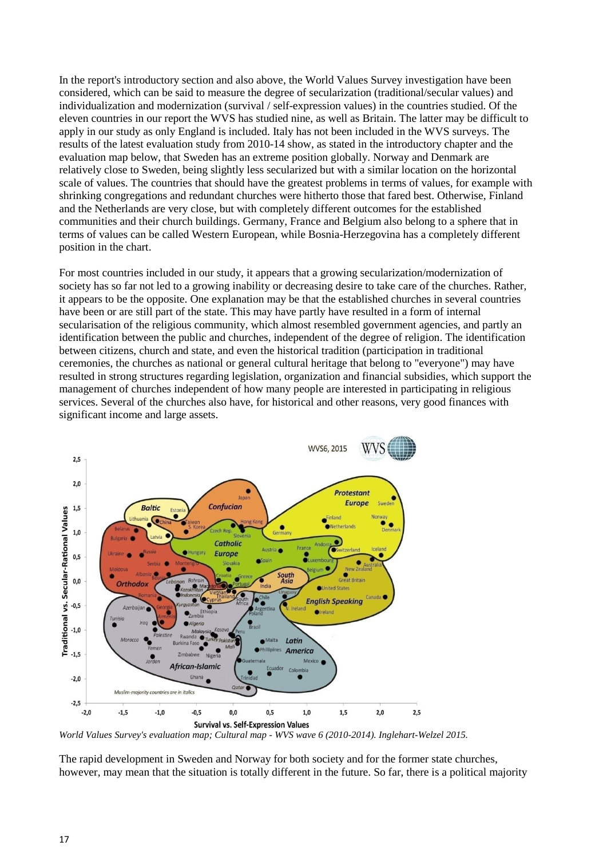In the report's introductory section and also above, the World Values Survey investigation have been considered, which can be said to measure the degree of secularization (traditional/secular values) and individualization and modernization (survival / self-expression values) in the countries studied. Of the eleven countries in our report the WVS has studied nine, as well as Britain. The latter may be difficult to apply in our study as only England is included. Italy has not been included in the WVS surveys. The results of the latest evaluation study from 2010-14 show, as stated in the introductory chapter and the evaluation map below, that Sweden has an extreme position globally. Norway and Denmark are relatively close to Sweden, being slightly less secularized but with a similar location on the horizontal scale of values. The countries that should have the greatest problems in terms of values, for example with shrinking congregations and redundant churches were hitherto those that fared best. Otherwise, Finland and the Netherlands are very close, but with completely different outcomes for the established communities and their church buildings. Germany, France and Belgium also belong to a sphere that in terms of values can be called Western European, while Bosnia-Herzegovina has a completely different position in the chart.

For most countries included in our study, it appears that a growing secularization/modernization of society has so far not led to a growing inability or decreasing desire to take care of the churches. Rather, it appears to be the opposite. One explanation may be that the established churches in several countries have been or are still part of the state. This may have partly have resulted in a form of internal secularisation of the religious community, which almost resembled government agencies, and partly an identification between the public and churches, independent of the degree of religion. The identification between citizens, church and state, and even the historical tradition (participation in traditional ceremonies, the churches as national or general cultural heritage that belong to "everyone") may have resulted in strong structures regarding legislation, organization and financial subsidies, which support the management of churches independent of how many people are interested in participating in religious services. Several of the churches also have, for historical and other reasons, very good finances with significant income and large assets.



*World Values Survey's evaluation map; Cultural map - WVS wave 6 (2010-2014). Inglehart-Welzel 2015.*

The rapid development in Sweden and Norway for both society and for the former state churches, however, may mean that the situation is totally different in the future. So far, there is a political majority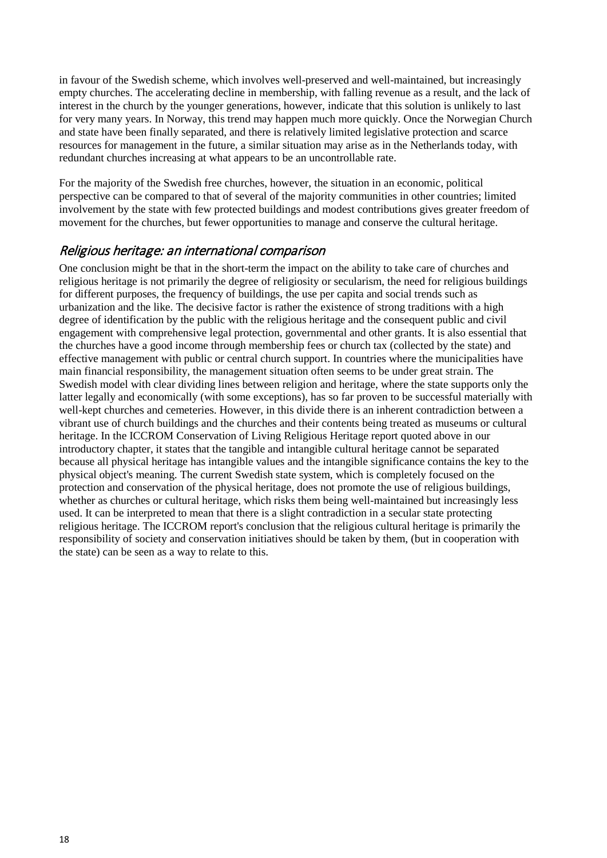in favour of the Swedish scheme, which involves well-preserved and well-maintained, but increasingly empty churches. The accelerating decline in membership, with falling revenue as a result, and the lack of interest in the church by the younger generations, however, indicate that this solution is unlikely to last for very many years. In Norway, this trend may happen much more quickly. Once the Norwegian Church and state have been finally separated, and there is relatively limited legislative protection and scarce resources for management in the future, a similar situation may arise as in the Netherlands today, with redundant churches increasing at what appears to be an uncontrollable rate.

For the majority of the Swedish free churches, however, the situation in an economic, political perspective can be compared to that of several of the majority communities in other countries; limited involvement by the state with few protected buildings and modest contributions gives greater freedom of movement for the churches, but fewer opportunities to manage and conserve the cultural heritage.

## <span id="page-17-0"></span>Religious heritage: an international comparison

One conclusion might be that in the short-term the impact on the ability to take care of churches and religious heritage is not primarily the degree of religiosity or secularism, the need for religious buildings for different purposes, the frequency of buildings, the use per capita and social trends such as urbanization and the like. The decisive factor is rather the existence of strong traditions with a high degree of identification by the public with the religious heritage and the consequent public and civil engagement with comprehensive legal protection, governmental and other grants. It is also essential that the churches have a good income through membership fees or church tax (collected by the state) and effective management with public or central church support. In countries where the municipalities have main financial responsibility, the management situation often seems to be under great strain. The Swedish model with clear dividing lines between religion and heritage, where the state supports only the latter legally and economically (with some exceptions), has so far proven to be successful materially with well-kept churches and cemeteries. However, in this divide there is an inherent contradiction between a vibrant use of church buildings and the churches and their contents being treated as museums or cultural heritage. In the ICCROM Conservation of Living Religious Heritage report quoted above in our introductory chapter, it states that the tangible and intangible cultural heritage cannot be separated because all physical heritage has intangible values and the intangible significance contains the key to the physical object's meaning. The current Swedish state system, which is completely focused on the protection and conservation of the physical heritage, does not promote the use of religious buildings, whether as churches or cultural heritage, which risks them being well-maintained but increasingly less used. It can be interpreted to mean that there is a slight contradiction in a secular state protecting religious heritage. The ICCROM report's conclusion that the religious cultural heritage is primarily the responsibility of society and conservation initiatives should be taken by them, (but in cooperation with the state) can be seen as a way to relate to this.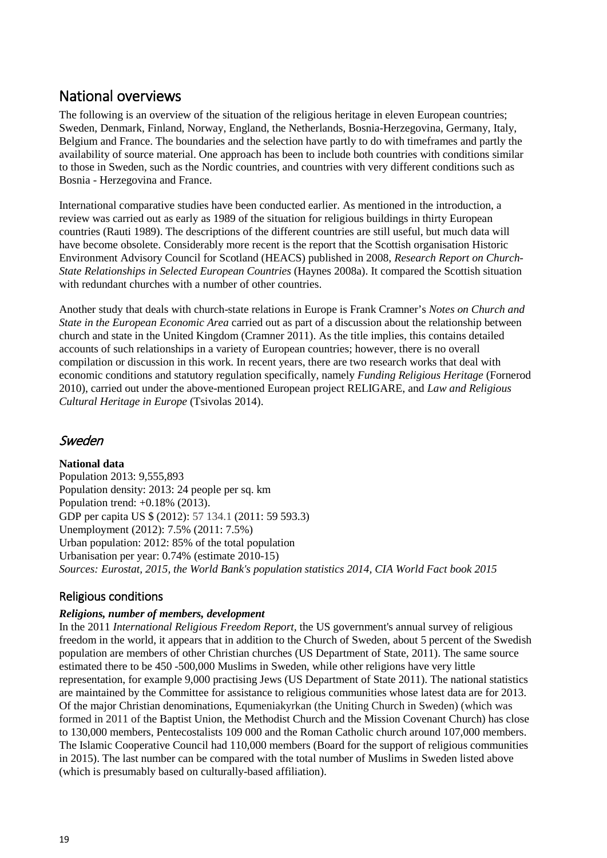# <span id="page-18-0"></span>National overviews

The following is an overview of the situation of the religious heritage in eleven European countries; Sweden, Denmark, Finland, Norway, England, the Netherlands, Bosnia-Herzegovina, Germany, Italy, Belgium and France. The boundaries and the selection have partly to do with timeframes and partly the availability of source material. One approach has been to include both countries with conditions similar to those in Sweden, such as the Nordic countries, and countries with very different conditions such as Bosnia - Herzegovina and France.

International comparative studies have been conducted earlier. As mentioned in the introduction, a review was carried out as early as 1989 of the situation for religious buildings in thirty European countries (Rauti 1989). The descriptions of the different countries are still useful, but much data will have become obsolete. Considerably more recent is the report that the Scottish organisation Historic Environment Advisory Council for Scotland (HEACS) published in 2008, *Research Report on Church-State Relationships in Selected European Countries* (Haynes 2008a). It compared the Scottish situation with redundant churches with a number of other countries.

Another study that deals with church-state relations in Europe is Frank Cramner's *Notes on Church and State in the European Economic Area* carried out as part of a discussion about the relationship between church and state in the United Kingdom (Cramner 2011). As the title implies, this contains detailed accounts of such relationships in a variety of European countries; however, there is no overall compilation or discussion in this work. In recent years, there are two research works that deal with economic conditions and statutory regulation specifically, namely *Funding Religious Heritage* (Fornerod 2010), carried out under the above-mentioned European project RELIGARE, and *Law and Religious Cultural Heritage in Europe* (Tsivolas 2014).

# <span id="page-18-1"></span>Sweden

**National data**

Population 2013: 9,555,893 Population density: 2013: 24 people per sq. km Population trend: +0.18% (2013). GDP per capita US \$ (2012): 57 134.1 (2011: 59 593.3) Unemployment (2012): 7.5% (2011: 7.5%) Urban population: 2012: 85% of the total population Urbanisation per year: 0.74% (estimate 2010-15) *Sources: Eurostat, 2015, the World Bank's population statistics 2014, CIA World Fact book 2015*

# <span id="page-18-2"></span>Religious conditions

## *Religions, number of members, development*

In the 2011 *International Religious Freedom Report,* the US government's annual survey of religious freedom in the world, it appears that in addition to the Church of Sweden, about 5 percent of the Swedish population are members of other Christian churches (US Department of State, 2011). The same source estimated there to be 450 -500,000 Muslims in Sweden, while other religions have very little representation, for example 9,000 practising Jews (US Department of State 2011). The national statistics are maintained by the Committee for assistance to religious communities whose latest data are for 2013. Of the major Christian denominations, Equmeniakyrkan (the Uniting Church in Sweden) (which was formed in 2011 of the Baptist Union, the Methodist Church and the Mission Covenant Church) has close to 130,000 members, Pentecostalists 109 000 and the Roman Catholic church around 107,000 members. The Islamic Cooperative Council had 110,000 members (Board for the support of religious communities in 2015). The last number can be compared with the total number of Muslims in Sweden listed above (which is presumably based on culturally-based affiliation).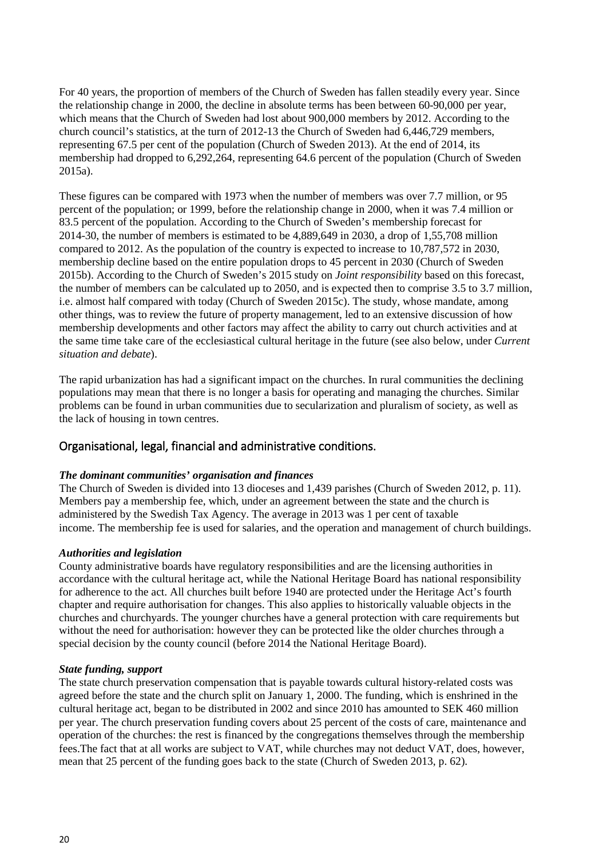For 40 years, the proportion of members of the Church of Sweden has fallen steadily every year. Since the relationship change in 2000, the decline in absolute terms has been between 60-90,000 per year, which means that the Church of Sweden had lost about 900,000 members by 2012. According to the church council's statistics, at the turn of 2012-13 the Church of Sweden had 6,446,729 members, representing 67.5 per cent of the population (Church of Sweden 2013). At the end of 2014, its membership had dropped to 6,292,264, representing 64.6 percent of the population (Church of Sweden 2015a).

These figures can be compared with 1973 when the number of members was over 7.7 million, or 95 percent of the population; or 1999, before the relationship change in 2000, when it was 7.4 million or 83.5 percent of the population. According to the Church of Sweden's membership forecast for 2014-30, the number of members is estimated to be 4,889,649 in 2030, a drop of 1,55,708 million compared to 2012. As the population of the country is expected to increase to 10,787,572 in 2030, membership decline based on the entire population drops to 45 percent in 2030 (Church of Sweden 2015b). According to the Church of Sweden's 2015 study on *Joint responsibility* based on this forecast, the number of members can be calculated up to 2050, and is expected then to comprise 3.5 to 3.7 million, i.e. almost half compared with today (Church of Sweden 2015c). The study, whose mandate, among other things, was to review the future of property management, led to an extensive discussion of how membership developments and other factors may affect the ability to carry out church activities and at the same time take care of the ecclesiastical cultural heritage in the future (see also below, under *Current situation and debate*).

The rapid urbanization has had a significant impact on the churches. In rural communities the declining populations may mean that there is no longer a basis for operating and managing the churches. Similar problems can be found in urban communities due to secularization and pluralism of society, as well as the lack of housing in town centres.

## <span id="page-19-0"></span>Organisational, legal, financial and administrative conditions.

#### *The dominant communities' organisation and finances*

The Church of Sweden is divided into 13 dioceses and 1,439 parishes (Church of Sweden 2012, p. 11). Members pay a membership fee, which, under an agreement between the state and the church is administered by the Swedish Tax Agency. The average in 2013 was 1 per cent of taxable income. The membership fee is used for salaries, and the operation and management of church buildings.

#### *Authorities and legislation*

County administrative boards have regulatory responsibilities and are the licensing authorities in accordance with the cultural heritage act, while the National Heritage Board has national responsibility for adherence to the act. All churches built before 1940 are protected under the Heritage Act's fourth chapter and require authorisation for changes. This also applies to historically valuable objects in the churches and churchyards. The younger churches have a general protection with care requirements but without the need for authorisation: however they can be protected like the older churches through a special decision by the county council (before 2014 the National Heritage Board).

#### *State funding, support*

The state church preservation compensation that is payable towards cultural history-related costs was agreed before the state and the church split on January 1, 2000. The funding, which is enshrined in the cultural heritage act, began to be distributed in 2002 and since 2010 has amounted to SEK 460 million per year. The church preservation funding covers about 25 percent of the costs of care, maintenance and operation of the churches: the rest is financed by the congregations themselves through the membership fees.The fact that at all works are subject to VAT, while churches may not deduct VAT, does, however, mean that 25 percent of the funding goes back to the state (Church of Sweden 2013, p. 62).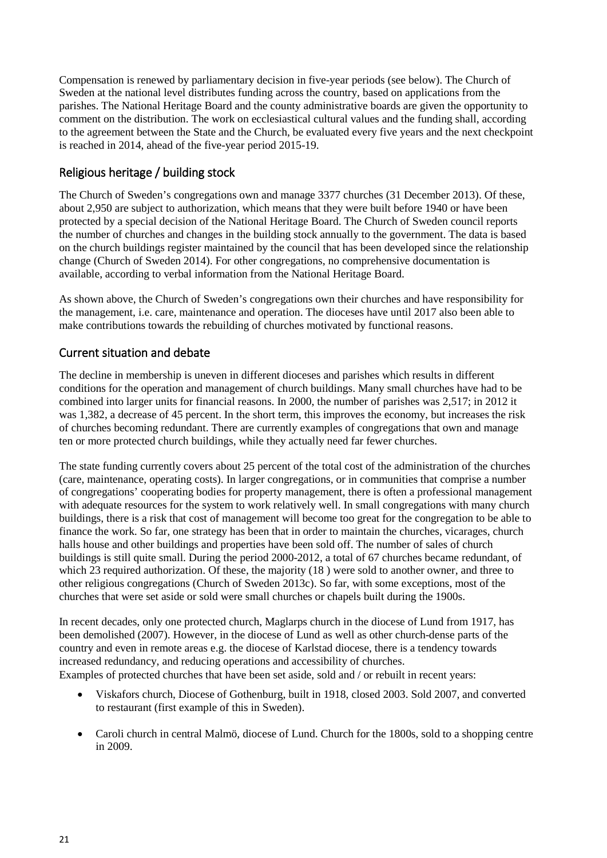Compensation is renewed by parliamentary decision in five-year periods (see below). The Church of Sweden at the national level distributes funding across the country, based on applications from the parishes. The National Heritage Board and the county administrative boards are given the opportunity to comment on the distribution. The work on ecclesiastical cultural values and the funding shall, according to the agreement between the State and the Church, be evaluated every five years and the next checkpoint is reached in 2014, ahead of the five-year period 2015-19.

## <span id="page-20-0"></span>Religious heritage / building stock

The Church of Sweden's congregations own and manage 3377 churches (31 December 2013). Of these, about 2,950 are subject to authorization, which means that they were built before 1940 or have been protected by a special decision of the National Heritage Board. The Church of Sweden council reports the number of churches and changes in the building stock annually to the government. The data is based on the church buildings register maintained by the council that has been developed since the relationship change (Church of Sweden 2014). For other congregations, no comprehensive documentation is available, according to verbal information from the National Heritage Board.

As shown above, the Church of Sweden's congregations own their churches and have responsibility for the management, i.e. care, maintenance and operation. The dioceses have until 2017 also been able to make contributions towards the rebuilding of churches motivated by functional reasons.

## <span id="page-20-1"></span>Current situation and debate

The decline in membership is uneven in different dioceses and parishes which results in different conditions for the operation and management of church buildings. Many small churches have had to be combined into larger units for financial reasons. In 2000, the number of parishes was 2,517; in 2012 it was 1,382, a decrease of 45 percent. In the short term, this improves the economy, but increases the risk of churches becoming redundant. There are currently examples of congregations that own and manage ten or more protected church buildings, while they actually need far fewer churches.

The state funding currently covers about 25 percent of the total cost of the administration of the churches (care, maintenance, operating costs). In larger congregations, or in communities that comprise a number of congregations' cooperating bodies for property management, there is often a professional management with adequate resources for the system to work relatively well. In small congregations with many church buildings, there is a risk that cost of management will become too great for the congregation to be able to finance the work. So far, one strategy has been that in order to maintain the churches, vicarages, church halls house and other buildings and properties have been sold off. The number of sales of church buildings is still quite small. During the period 2000-2012, a total of 67 churches became redundant, of which 23 required authorization. Of these, the majority (18 ) were sold to another owner, and three to other religious congregations (Church of Sweden 2013c). So far, with some exceptions, most of the churches that were set aside or sold were small churches or chapels built during the 1900s.

In recent decades, only one protected church, Maglarps church in the diocese of Lund from 1917, has been demolished (2007). However, in the diocese of Lund as well as other church-dense parts of the country and even in remote areas e.g. the diocese of Karlstad diocese, there is a tendency towards increased redundancy, and reducing operations and accessibility of churches. Examples of protected churches that have been set aside, sold and / or rebuilt in recent years:

- Viskafors church, Diocese of Gothenburg, built in 1918, closed 2003. Sold 2007, and converted to restaurant (first example of this in Sweden).
- Caroli church in central Malmö, diocese of Lund. Church for the 1800s, sold to a shopping centre in 2009.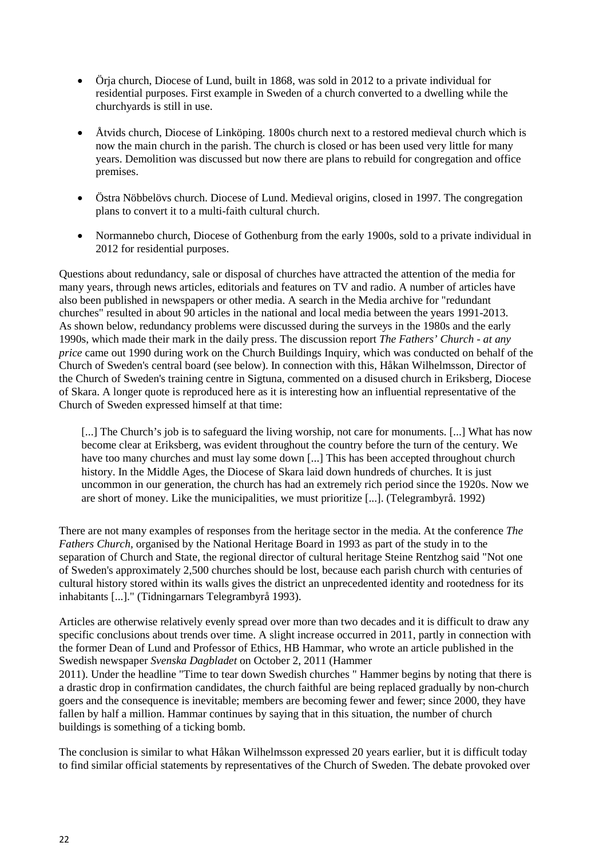- Örja church, Diocese of Lund, built in 1868, was sold in 2012 to a private individual for residential purposes. First example in Sweden of a church converted to a dwelling while the churchyards is still in use.
- Åtvids church, Diocese of Linköping. 1800s church next to a restored medieval church which is now the main church in the parish. The church is closed or has been used very little for many years. Demolition was discussed but now there are plans to rebuild for congregation and office premises.
- Östra Nöbbelövs church. Diocese of Lund. Medieval origins, closed in 1997. The congregation plans to convert it to a multi-faith cultural church.
- Normannebo church, Diocese of Gothenburg from the early 1900s, sold to a private individual in 2012 for residential purposes.

Questions about redundancy, sale or disposal of churches have attracted the attention of the media for many years, through news articles, editorials and features on TV and radio. A number of articles have also been published in newspapers or other media. A search in the Media archive for "redundant churches" resulted in about 90 articles in the national and local media between the years 1991-2013. As shown below, redundancy problems were discussed during the surveys in the 1980s and the early 1990s, which made their mark in the daily press. The discussion report *The Fathers' Church - at any price* came out 1990 during work on the Church Buildings Inquiry, which was conducted on behalf of the Church of Sweden's central board (see below). In connection with this, Håkan Wilhelmsson, Director of the Church of Sweden's training centre in Sigtuna, commented on a disused church in Eriksberg, Diocese of Skara. A longer quote is reproduced here as it is interesting how an influential representative of the Church of Sweden expressed himself at that time:

[...] The Church's job is to safeguard the living worship, not care for monuments. [...] What has now become clear at Eriksberg, was evident throughout the country before the turn of the century. We have too many churches and must lay some down [...] This has been accepted throughout church history. In the Middle Ages, the Diocese of Skara laid down hundreds of churches. It is just uncommon in our generation, the church has had an extremely rich period since the 1920s. Now we are short of money. Like the municipalities, we must prioritize [...]. (Telegrambyrå. 1992)

There are not many examples of responses from the heritage sector in the media. At the conference *The Fathers Church,* organised by the National Heritage Board in 1993 as part of the study in to the separation of Church and State, the regional director of cultural heritage Steine Rentzhog said "Not one of Sweden's approximately 2,500 churches should be lost, because each parish church with centuries of cultural history stored within its walls gives the district an unprecedented identity and rootedness for its inhabitants [...]." (Tidningarnars Telegrambyrå 1993).

Articles are otherwise relatively evenly spread over more than two decades and it is difficult to draw any specific conclusions about trends over time. A slight increase occurred in 2011, partly in connection with the former Dean of Lund and Professor of Ethics, HB Hammar, who wrote an article published in the Swedish newspaper *Svenska Dagbladet* on October 2, 2011 (Hammer

2011). Under the headline "Time to tear down Swedish churches " Hammer begins by noting that there is a drastic drop in confirmation candidates, the church faithful are being replaced gradually by non-church goers and the consequence is inevitable; members are becoming fewer and fewer; since 2000, they have fallen by half a million. Hammar continues by saying that in this situation, the number of church buildings is something of a ticking bomb.

The conclusion is similar to what Håkan Wilhelmsson expressed 20 years earlier, but it is difficult today to find similar official statements by representatives of the Church of Sweden. The debate provoked over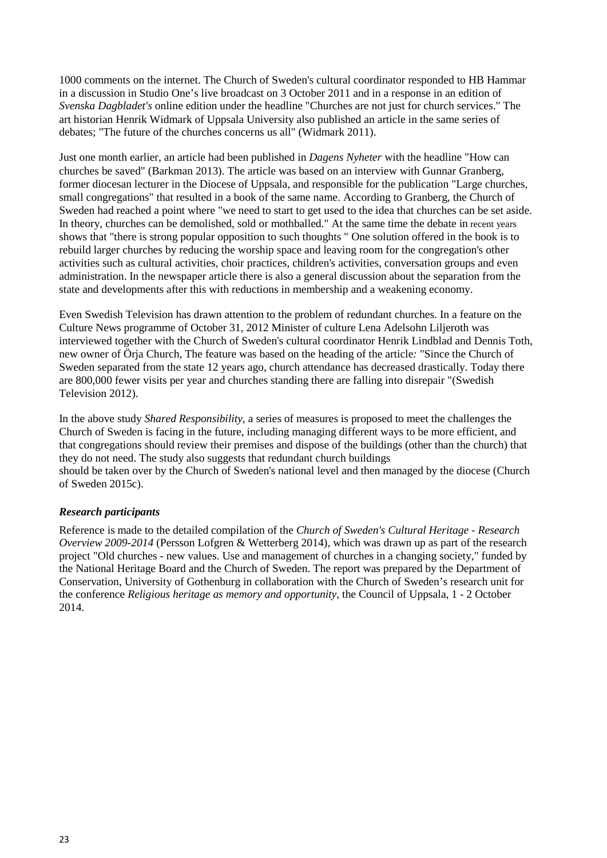1000 comments on the internet. The Church of Sweden's cultural coordinator responded to HB Hammar in a discussion in Studio One's live broadcast on 3 October 2011 and in a response in an edition of *Svenska Dagbladet's* online edition under the headline "Churches are not just for church services." The art historian Henrik Widmark of Uppsala University also published an article in the same series of debates; "The future of the churches concerns us all" (Widmark 2011).

Just one month earlier, an article had been published in *Dagens Nyheter* with the headline "How can churches be saved" (Barkman 2013). The article was based on an interview with Gunnar Granberg, former diocesan lecturer in the Diocese of Uppsala, and responsible for the publication "Large churches, small congregations" that resulted in a book of the same name. According to Granberg, the Church of Sweden had reached a point where "we need to start to get used to the idea that churches can be set aside. In theory, churches can be demolished, sold or mothballed." At the same time the debate in recent years shows that "there is strong popular opposition to such thoughts " One solution offered in the book is to rebuild larger churches by reducing the worship space and leaving room for the congregation's other activities such as cultural activities, choir practices, children's activities, conversation groups and even administration. In the newspaper article there is also a general discussion about the separation from the state and developments after this with reductions in membership and a weakening economy.

Even Swedish Television has drawn attention to the problem of redundant churches. In a feature on the Culture News programme of October 31, 2012 Minister of culture Lena Adelsohn Liljeroth was interviewed together with the Church of Sweden's cultural coordinator Henrik Lindblad and Dennis Toth, new owner of Örja Church, The feature was based on the heading of the article*:* "Since the Church of Sweden separated from the state 12 years ago, church attendance has decreased drastically. Today there are 800,000 fewer visits per year and churches standing there are falling into disrepair "(Swedish Television 2012).

In the above study *Shared Responsibility*, a series of measures is proposed to meet the challenges the Church of Sweden is facing in the future, including managing different ways to be more efficient, and that congregations should review their premises and dispose of the buildings (other than the church) that they do not need. The study also suggests that redundant church buildings should be taken over by the Church of Sweden's national level and then managed by the diocese (Church of Sweden 2015c).

#### *Research participants*

Reference is made to the detailed compilation of the *Church of Sweden's Cultural Heritage - Research Overview 2009-2014* (Persson Lofgren & Wetterberg 2014), which was drawn up as part of the research project "Old churches - new values. Use and management of churches in a changing society," funded by the National Heritage Board and the Church of Sweden. The report was prepared by the Department of Conservation, University of Gothenburg in collaboration with the Church of Sweden's research unit for the conference *Religious heritage as memory and opportunity*, the Council of Uppsala, 1 - 2 October 2014.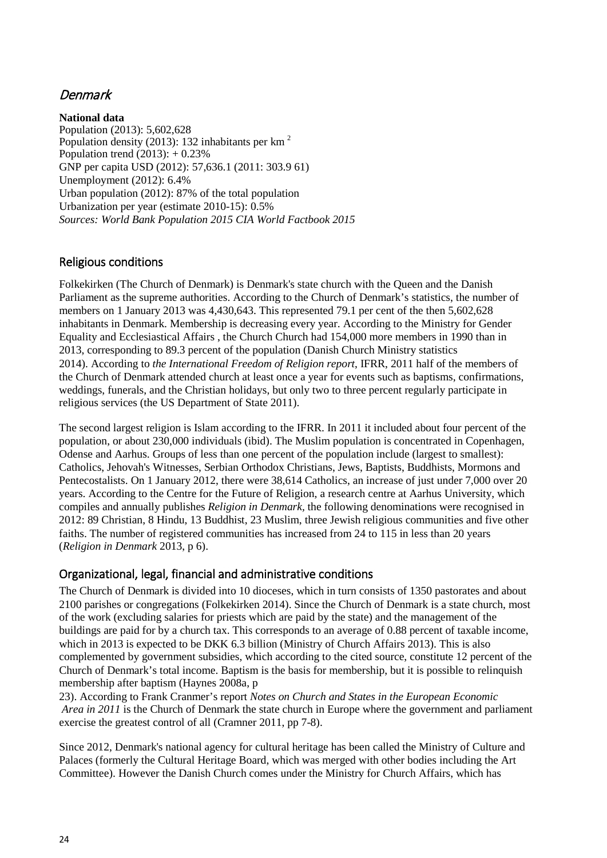# <span id="page-23-0"></span>Denmark

**National data** Population (2013): 5,602,628 Population density (2013): 132 inhabitants per km 2 Population trend  $(2013): +0.23\%$ GNP per capita USD (2012): 57,636.1 (2011: 303.9 61) Unemployment (2012): 6.4% Urban population (2012): 87% of the total population Urbanization per year (estimate 2010-15): 0.5% *Sources: World Bank Population 2015 CIA World Factbook 2015*

## <span id="page-23-1"></span>Religious conditions

Folkekirken (The Church of Denmark) is Denmark's state church with the Queen and the Danish Parliament as the supreme authorities. According to the Church of Denmark's statistics, the number of members on 1 January 2013 was 4,430,643. This represented 79.1 per cent of the then 5,602,628 inhabitants in Denmark. Membership is decreasing every year. According to the Ministry for Gender Equality and Ecclesiastical Affairs , the Church Church had 154,000 more members in 1990 than in 2013, corresponding to 89.3 percent of the population (Danish Church Ministry statistics 2014). According to *the International Freedom of Religion report*, IFRR, 2011 half of the members of the Church of Denmark attended church at least once a year for events such as baptisms, confirmations, weddings, funerals, and the Christian holidays, but only two to three percent regularly participate in religious services (the US Department of State 2011).

The second largest religion is Islam according to the IFRR. In 2011 it included about four percent of the population, or about 230,000 individuals (ibid). The Muslim population is concentrated in Copenhagen, Odense and Aarhus. Groups of less than one percent of the population include (largest to smallest): Catholics, Jehovah's Witnesses, Serbian Orthodox Christians, Jews, Baptists, Buddhists, Mormons and Pentecostalists. On 1 January 2012, there were 38,614 Catholics, an increase of just under 7,000 over 20 years. According to the Centre for the Future of Religion, a research centre at Aarhus University, which compiles and annually publishes *Religion in Denmark,* the following denominations were recognised in 2012: 89 Christian, 8 Hindu, 13 Buddhist, 23 Muslim, three Jewish religious communities and five other faiths. The number of registered communities has increased from 24 to 115 in less than 20 years (*Religion in Denmark* 2013, p 6).

## <span id="page-23-2"></span>Organizational, legal, financial and administrative conditions

The Church of Denmark is divided into 10 dioceses, which in turn consists of 1350 pastorates and about 2100 parishes or congregations (Folkekirken 2014). Since the Church of Denmark is a state church, most of the work (excluding salaries for priests which are paid by the state) and the management of the buildings are paid for by a church tax. This corresponds to an average of 0.88 percent of taxable income, which in 2013 is expected to be DKK 6.3 billion (Ministry of Church Affairs 2013). This is also complemented by government subsidies, which according to the cited source, constitute 12 percent of the Church of Denmark's total income. Baptism is the basis for membership, but it is possible to relinquish membership after baptism (Haynes 2008a, p

23). According to Frank Cranmer's report *Notes on Church and States in the European Economic Area in 2011* is the Church of Denmark the state church in Europe where the government and parliament exercise the greatest control of all (Cramner 2011, pp 7-8).

Since 2012, Denmark's national agency for cultural heritage has been called the Ministry of Culture and Palaces (formerly the Cultural Heritage Board, which was merged with other bodies including the Art Committee). However the Danish Church comes under the Ministry for Church Affairs, which has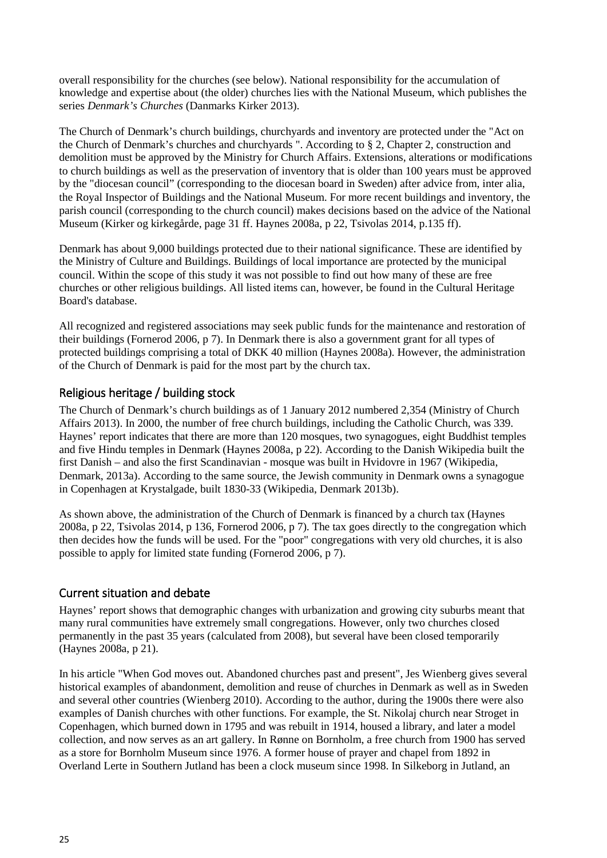overall responsibility for the churches (see below). National responsibility for the accumulation of knowledge and expertise about (the older) churches lies with the National Museum, which publishes the series *Denmark's Churches* (Danmarks Kirker 2013).

The Church of Denmark's church buildings, churchyards and inventory are protected under the "Act on the Church of Denmark's churches and churchyards ". According to § 2, Chapter 2, construction and demolition must be approved by the Ministry for Church Affairs. Extensions, alterations or modifications to church buildings as well as the preservation of inventory that is older than 100 years must be approved by the "diocesan council" (corresponding to the diocesan board in Sweden) after advice from, inter alia, the Royal Inspector of Buildings and the National Museum. For more recent buildings and inventory, the parish council (corresponding to the church council) makes decisions based on the advice of the National Museum (Kirker og kirkegårde, page 31 ff. Haynes 2008a, p 22, Tsivolas 2014, p.135 ff).

Denmark has about 9,000 buildings protected due to their national significance. These are identified by the Ministry of Culture and Buildings. Buildings of local importance are protected by the municipal council. Within the scope of this study it was not possible to find out how many of these are free churches or other religious buildings. All listed items can, however, be found in the Cultural Heritage Board's database.

All recognized and registered associations may seek public funds for the maintenance and restoration of their buildings (Fornerod 2006, p 7). In Denmark there is also a government grant for all types of protected buildings comprising a total of DKK 40 million (Haynes 2008a). However, the administration of the Church of Denmark is paid for the most part by the church tax.

## <span id="page-24-0"></span>Religious heritage / building stock

The Church of Denmark's church buildings as of 1 January 2012 numbered 2,354 (Ministry of Church Affairs 2013). In 2000, the number of free church buildings, including the Catholic Church, was 339. Haynes' report indicates that there are more than 120 mosques, two synagogues, eight Buddhist temples and five Hindu temples in Denmark (Haynes 2008a, p 22). According to the Danish Wikipedia built the first Danish – and also the first Scandinavian - mosque was built in Hvidovre in 1967 (Wikipedia, Denmark, 2013a). According to the same source, the Jewish community in Denmark owns a synagogue in Copenhagen at Krystalgade, built 1830-33 (Wikipedia, Denmark 2013b).

As shown above, the administration of the Church of Denmark is financed by a church tax (Haynes 2008a, p 22, Tsivolas 2014, p 136, Fornerod 2006, p 7). The tax goes directly to the congregation which then decides how the funds will be used. For the "poor" congregations with very old churches, it is also possible to apply for limited state funding (Fornerod 2006, p 7).

## <span id="page-24-1"></span>Current situation and debate

Haynes' report shows that demographic changes with urbanization and growing city suburbs meant that many rural communities have extremely small congregations. However, only two churches closed permanently in the past 35 years (calculated from 2008), but several have been closed temporarily (Haynes 2008a, p 21).

In his article "When God moves out. Abandoned churches past and present", Jes Wienberg gives several historical examples of abandonment, demolition and reuse of churches in Denmark as well as in Sweden and several other countries (Wienberg 2010). According to the author, during the 1900s there were also examples of Danish churches with other functions. For example, the St. Nikolaj church near Stroget in Copenhagen, which burned down in 1795 and was rebuilt in 1914, housed a library, and later a model collection, and now serves as an art gallery. In Rønne on Bornholm, a free church from 1900 has served as a store for Bornholm Museum since 1976. A former house of prayer and chapel from 1892 in Overland Lerte in Southern Jutland has been a clock museum since 1998. In Silkeborg in Jutland, an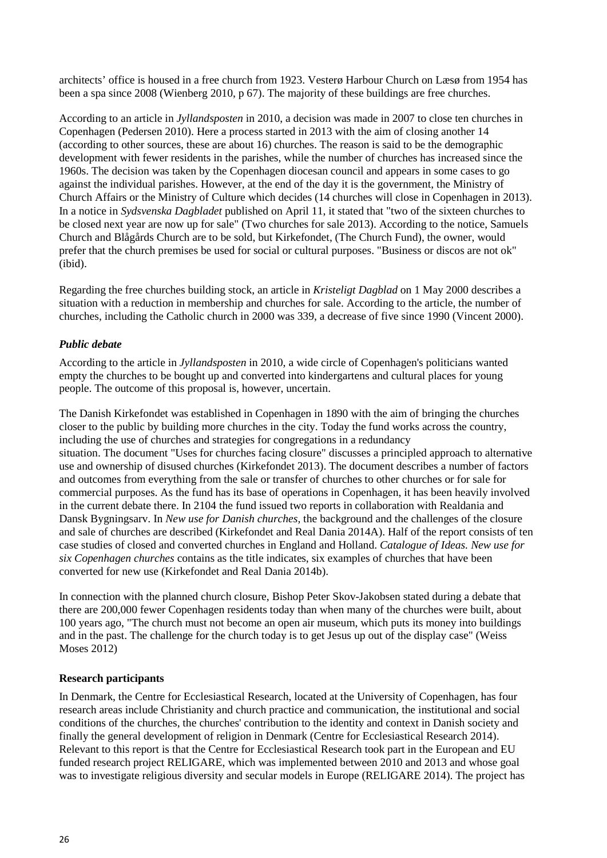architects' office is housed in a free church from 1923. Vesterø Harbour Church on Læsø from 1954 has been a spa since 2008 (Wienberg 2010, p 67). The majority of these buildings are free churches.

According to an article in *Jyllandsposten* in 2010, a decision was made in 2007 to close ten churches in Copenhagen (Pedersen 2010). Here a process started in 2013 with the aim of closing another 14 (according to other sources, these are about 16) churches. The reason is said to be the demographic development with fewer residents in the parishes, while the number of churches has increased since the 1960s. The decision was taken by the Copenhagen diocesan council and appears in some cases to go against the individual parishes. However, at the end of the day it is the government, the Ministry of Church Affairs or the Ministry of Culture which decides (14 churches will close in Copenhagen in 2013). In a notice in *Sydsvenska Dagbladet* published on April 11, it stated that "two of the sixteen churches to be closed next year are now up for sale" (Two churches for sale 2013). According to the notice, Samuels Church and Blågårds Church are to be sold, but Kirkefondet, (The Church Fund), the owner, would prefer that the church premises be used for social or cultural purposes. "Business or discos are not ok" (ibid).

Regarding the free churches building stock, an article in *Kristeligt Dagblad* on 1 May 2000 describes a situation with a reduction in membership and churches for sale. According to the article, the number of churches, including the Catholic church in 2000 was 339, a decrease of five since 1990 (Vincent 2000).

#### *Public debate*

According to the article in *Jyllandsposten* in 2010, a wide circle of Copenhagen's politicians wanted empty the churches to be bought up and converted into kindergartens and cultural places for young people. The outcome of this proposal is, however, uncertain.

The Danish Kirkefondet was established in Copenhagen in 1890 with the aim of bringing the churches closer to the public by building more churches in the city. Today the fund works across the country, including the use of churches and strategies for congregations in a redundancy situation. The document "Uses for churches facing closure" discusses a principled approach to alternative use and ownership of disused churches (Kirkefondet 2013). The document describes a number of factors and outcomes from everything from the sale or transfer of churches to other churches or for sale for commercial purposes. As the fund has its base of operations in Copenhagen, it has been heavily involved in the current debate there. In 2104 the fund issued two reports in collaboration with Realdania and Dansk Bygningsarv. In *New use for Danish churches,* the background and the challenges of the closure and sale of churches are described (Kirkefondet and Real Dania 2014A). Half of the report consists of ten case studies of closed and converted churches in England and Holland. *Catalogue of Ideas. New use for six Copenhagen churches* contains as the title indicates, six examples of churches that have been converted for new use (Kirkefondet and Real Dania 2014b).

In connection with the planned church closure, Bishop Peter Skov-Jakobsen stated during a debate that there are 200,000 fewer Copenhagen residents today than when many of the churches were built, about 100 years ago, "The church must not become an open air museum, which puts its money into buildings and in the past. The challenge for the church today is to get Jesus up out of the display case" (Weiss Moses 2012)

#### **Research participants**

In Denmark, the Centre for Ecclesiastical Research, located at the University of Copenhagen, has four research areas include Christianity and church practice and communication, the institutional and social conditions of the churches, the churches' contribution to the identity and context in Danish society and finally the general development of religion in Denmark (Centre for Ecclesiastical Research 2014). Relevant to this report is that the Centre for Ecclesiastical Research took part in the European and EU funded research project RELIGARE, which was implemented between 2010 and 2013 and whose goal was to investigate religious diversity and secular models in Europe (RELIGARE 2014). The project has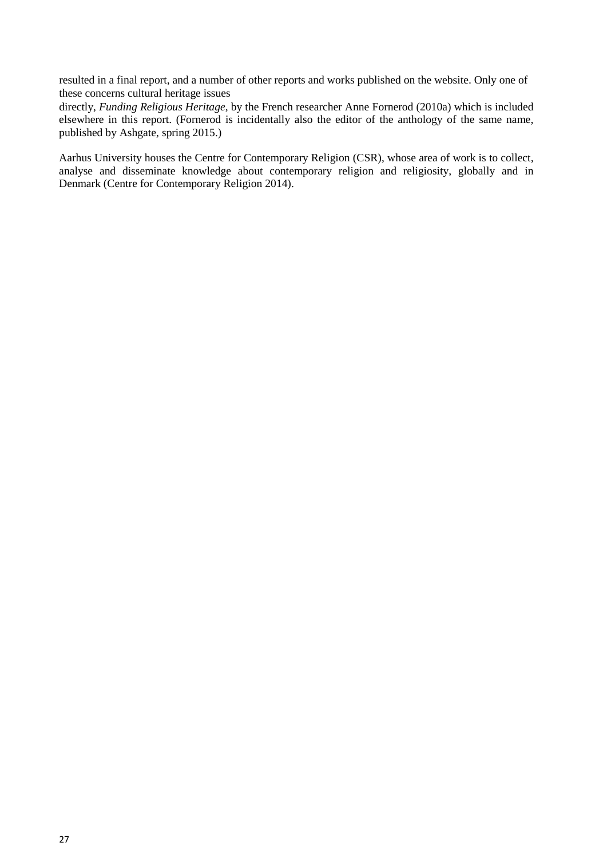resulted in a final report, and a number of other reports and works published on the website. Only one of these concerns cultural heritage issues

directly, *Funding Religious Heritage,* by the French researcher Anne Fornerod (2010a) which is included elsewhere in this report. (Fornerod is incidentally also the editor of the anthology of the same name, published by Ashgate, spring 2015.)

Aarhus University houses the Centre for Contemporary Religion (CSR), whose area of work is to collect, analyse and disseminate knowledge about contemporary religion and religiosity, globally and in Denmark (Centre for Contemporary Religion 2014).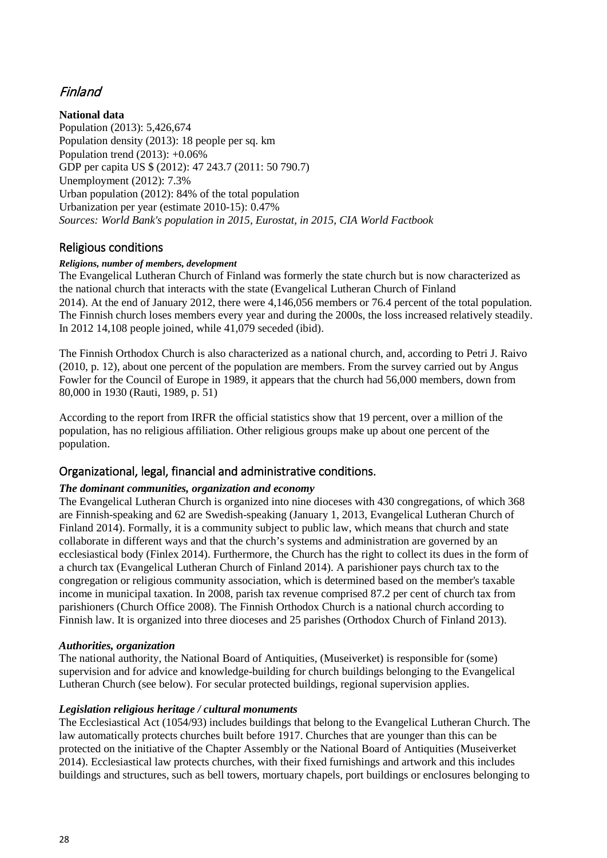# <span id="page-27-0"></span>Finland

#### **National data**

Population (2013): 5,426,674 Population density (2013): 18 people per sq. km Population trend (2013): +0.06% GDP per capita US \$ (2012): 47 243.7 (2011: 50 790.7) Unemployment (2012): 7.3% Urban population (2012): 84% of the total population Urbanization per year (estimate 2010-15): 0.47% *Sources: World Bank's population in 2015, Eurostat, in 2015, CIA World Factbook*

## <span id="page-27-1"></span>Religious conditions

#### *Religions, number of members, development*

The Evangelical Lutheran Church of Finland was formerly the state church but is now characterized as the national church that interacts with the state (Evangelical Lutheran Church of Finland 2014). At the end of January 2012, there were 4,146,056 members or 76.4 percent of the total population. The Finnish church loses members every year and during the 2000s, the loss increased relatively steadily. In 2012 14,108 people joined, while 41,079 seceded (ibid).

The Finnish Orthodox Church is also characterized as a national church, and, according to Petri J. Raivo (2010, p. 12), about one percent of the population are members. From the survey carried out by Angus Fowler for the Council of Europe in 1989, it appears that the church had 56,000 members, down from 80,000 in 1930 (Rauti, 1989, p. 51)

According to the report from IRFR the official statistics show that 19 percent, over a million of the population, has no religious affiliation. Other religious groups make up about one percent of the population.

## <span id="page-27-2"></span>Organizational, legal, financial and administrative conditions.

## *The dominant communities, organization and economy*

The Evangelical Lutheran Church is organized into nine dioceses with 430 congregations, of which 368 are Finnish-speaking and 62 are Swedish-speaking (January 1, 2013, Evangelical Lutheran Church of Finland 2014). Formally, it is a community subject to public law, which means that church and state collaborate in different ways and that the church's systems and administration are governed by an ecclesiastical body (Finlex 2014). Furthermore, the Church has the right to collect its dues in the form of a church tax (Evangelical Lutheran Church of Finland 2014). A parishioner pays church tax to the congregation or religious community association, which is determined based on the member's taxable income in municipal taxation. In 2008, parish tax revenue comprised 87.2 per cent of church tax from parishioners (Church Office 2008). The Finnish Orthodox Church is a national church according to Finnish law. It is organized into three dioceses and 25 parishes (Orthodox Church of Finland 2013).

#### *Authorities, organization*

The national authority, the National Board of Antiquities, (Museiverket) is responsible for (some) supervision and for advice and knowledge-building for church buildings belonging to the Evangelical Lutheran Church (see below). For secular protected buildings, regional supervision applies.

#### *Legislation religious heritage / cultural monuments*

The Ecclesiastical Act (1054/93) includes buildings that belong to the Evangelical Lutheran Church. The law automatically protects churches built before 1917. Churches that are younger than this can be protected on the initiative of the Chapter Assembly or the National Board of Antiquities (Museiverket 2014). Ecclesiastical law protects churches, with their fixed furnishings and artwork and this includes buildings and structures, such as bell towers, mortuary chapels, port buildings or enclosures belonging to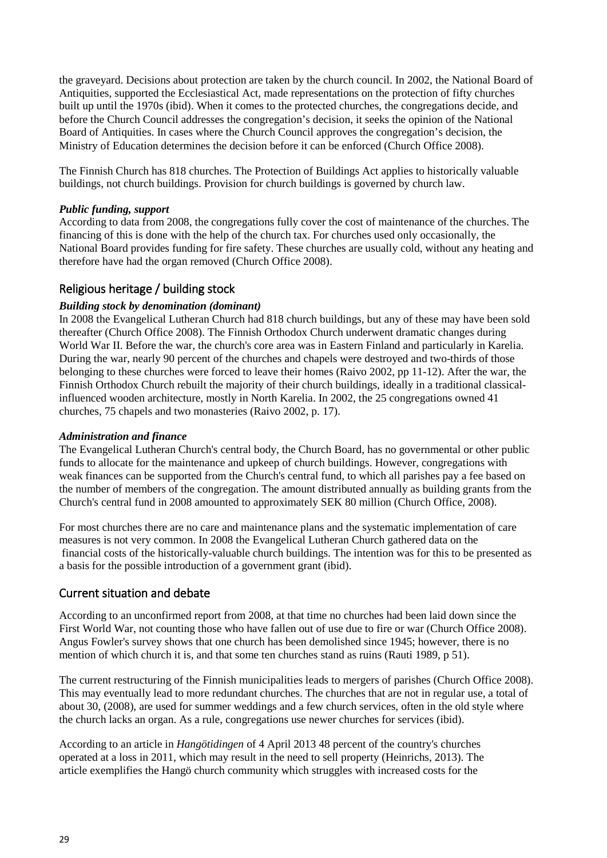the graveyard. Decisions about protection are taken by the church council. In 2002, the National Board of Antiquities, supported the Ecclesiastical Act, made representations on the protection of fifty churches built up until the 1970s (ibid). When it comes to the protected churches, the congregations decide, and before the Church Council addresses the congregation's decision, it seeks the opinion of the National Board of Antiquities. In cases where the Church Council approves the congregation's decision, the Ministry of Education determines the decision before it can be enforced (Church Office 2008).

The Finnish Church has 818 churches. The Protection of Buildings Act applies to historically valuable buildings, not church buildings. Provision for church buildings is governed by church law.

#### *Public funding, support*

According to data from 2008, the congregations fully cover the cost of maintenance of the churches. The financing of this is done with the help of the church tax. For churches used only occasionally, the National Board provides funding for fire safety. These churches are usually cold, without any heating and therefore have had the organ removed (Church Office 2008).

## <span id="page-28-0"></span>Religious heritage / building stock

#### *Building stock by denomination (dominant)*

In 2008 the Evangelical Lutheran Church had 818 church buildings, but any of these may have been sold thereafter (Church Office 2008). The Finnish Orthodox Church underwent dramatic changes during World War II. Before the war, the church's core area was in Eastern Finland and particularly in Karelia. During the war, nearly 90 percent of the churches and chapels were destroyed and two-thirds of those belonging to these churches were forced to leave their homes (Raivo 2002, pp 11-12). After the war, the Finnish Orthodox Church rebuilt the majority of their church buildings, ideally in a traditional classicalinfluenced wooden architecture, mostly in North Karelia. In 2002, the 25 congregations owned 41 churches, 75 chapels and two monasteries (Raivo 2002, p. 17).

#### *Administration and finance*

The Evangelical Lutheran Church's central body, the Church Board, has no governmental or other public funds to allocate for the maintenance and upkeep of church buildings. However, congregations with weak finances can be supported from the Church's central fund, to which all parishes pay a fee based on the number of members of the congregation. The amount distributed annually as building grants from the Church's central fund in 2008 amounted to approximately SEK 80 million (Church Office, 2008).

For most churches there are no care and maintenance plans and the systematic implementation of care measures is not very common. In 2008 the Evangelical Lutheran Church gathered data on the financial costs of the historically-valuable church buildings. The intention was for this to be presented as a basis for the possible introduction of a government grant (ibid).

## <span id="page-28-1"></span>Current situation and debate

According to an unconfirmed report from 2008, at that time no churches had been laid down since the First World War, not counting those who have fallen out of use due to fire or war (Church Office 2008). Angus Fowler's survey shows that one church has been demolished since 1945; however, there is no mention of which church it is, and that some ten churches stand as ruins (Rauti 1989, p 51).

The current restructuring of the Finnish municipalities leads to mergers of parishes (Church Office 2008). This may eventually lead to more redundant churches. The churches that are not in regular use, a total of about 30, (2008), are used for summer weddings and a few church services, often in the old style where the church lacks an organ. As a rule, congregations use newer churches for services (ibid).

According to an article in *Hangötidingen* of 4 April 2013 48 percent of the country's churches operated at a loss in 2011, which may result in the need to sell property (Heinrichs, 2013). The article exemplifies the Hangö church community which struggles with increased costs for the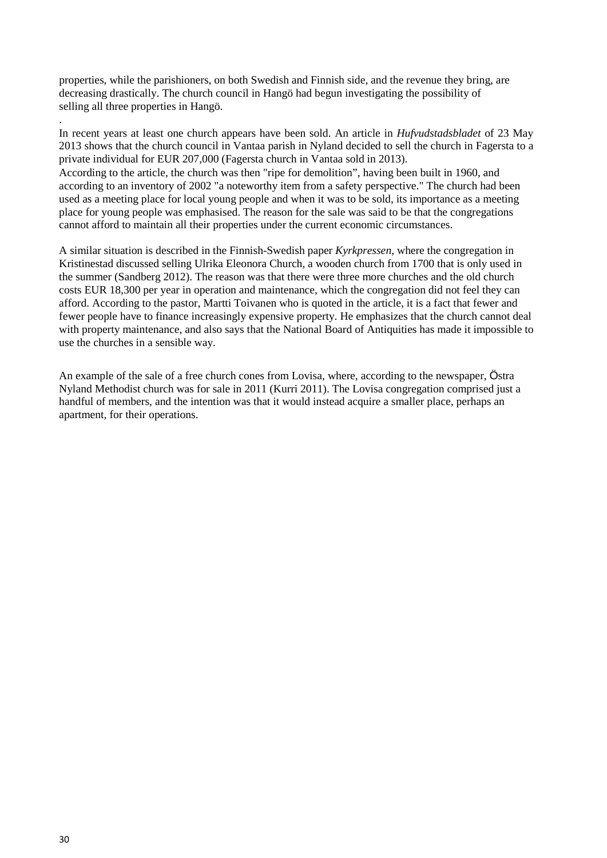properties, while the parishioners, on both Swedish and Finnish side, and the revenue they bring, are decreasing drastically. The church council in Hangö had begun investigating the possibility of selling all three properties in Hangö.

In recent years at least one church appears have been sold. An article in *Hufvudstadsbladet* of 23 May 2013 shows that the church council in Vantaa parish in Nyland decided to sell the church in Fagersta to a private individual for EUR 207,000 (Fagersta church in Vantaa sold in 2013). According to the article, the church was then "ripe for demolition", having been built in 1960, and according to an inventory of 2002 "a noteworthy item from a safety perspective." The church had been used as a meeting place for local young people and when it was to be sold, its importance as a meeting place for young people was emphasised. The reason for the sale was said to be that the congregations cannot afford to maintain all their properties under the current economic circumstances.

A similar situation is described in the Finnish-Swedish paper *Kyrkpressen*, where the congregation in Kristinestad discussed selling Ulrika Eleonora Church, a wooden church from 1700 that is only used in the summer (Sandberg 2012). The reason was that there were three more churches and the old church costs EUR 18,300 per year in operation and maintenance, which the congregation did not feel they can afford. According to the pastor, Martti Toivanen who is quoted in the article, it is a fact that fewer and fewer people have to finance increasingly expensive property. He emphasizes that the church cannot deal with property maintenance, and also says that the National Board of Antiquities has made it impossible to use the churches in a sensible way.

An example of the sale of a free church cones from Lovisa, where, according to the newspaper, Östra Nyland Methodist church was for sale in 2011 (Kurri 2011). The Lovisa congregation comprised just a handful of members, and the intention was that it would instead acquire a smaller place, perhaps an apartment, for their operations.

.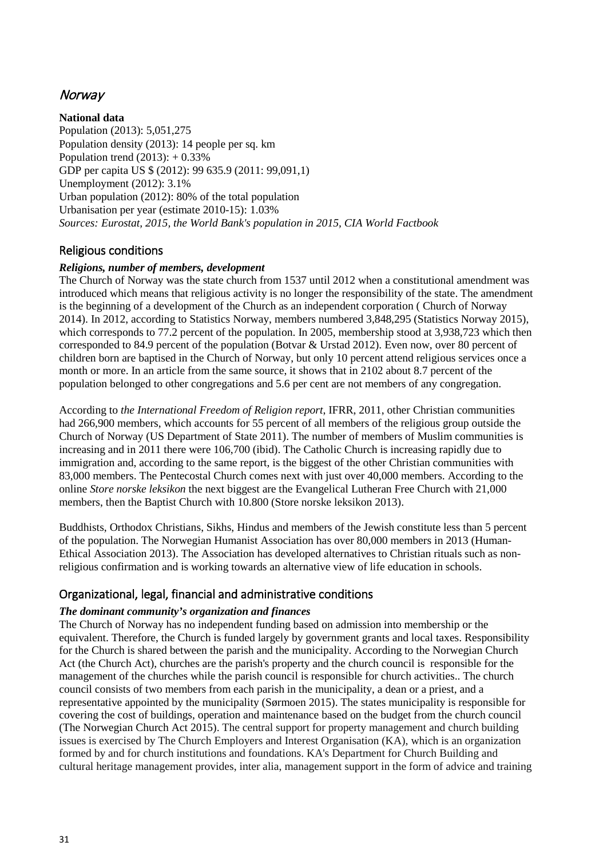## <span id="page-30-0"></span>**Norway**

**National data**

Population (2013): 5,051,275 Population density (2013): 14 people per sq. km Population trend  $(2013): +0.33\%$ GDP per capita US \$ (2012): 99 635.9 (2011: 99,091,1) Unemployment (2012): 3.1% Urban population (2012): 80% of the total population Urbanisation per year (estimate 2010-15): 1.03% *Sources: Eurostat, 2015, the World Bank's population in 2015, CIA World Factbook*

## <span id="page-30-1"></span>Religious conditions

#### *Religions, number of members, development*

The Church of Norway was the state church from 1537 until 2012 when a constitutional amendment was introduced which means that religious activity is no longer the responsibility of the state. The amendment is the beginning of a development of the Church as an independent corporation ( Church of Norway 2014). In 2012, according to Statistics Norway, members numbered 3,848,295 (Statistics Norway 2015), which corresponds to 77.2 percent of the population. In 2005, membership stood at 3,938,723 which then corresponded to 84.9 percent of the population (Botvar & Urstad 2012). Even now, over 80 percent of children born are baptised in the Church of Norway, but only 10 percent attend religious services once a month or more. In an article from the same source, it shows that in 2102 about 8.7 percent of the population belonged to other congregations and 5.6 per cent are not members of any congregation.

According to *the International Freedom of Religion report*, IFRR, 2011, other Christian communities had 266,900 members, which accounts for 55 percent of all members of the religious group outside the Church of Norway (US Department of State 2011). The number of members of Muslim communities is increasing and in 2011 there were 106,700 (ibid). The Catholic Church is increasing rapidly due to immigration and, according to the same report, is the biggest of the other Christian communities with 83,000 members. The Pentecostal Church comes next with just over 40,000 members. According to the online *Store norske leksikon* the next biggest are the Evangelical Lutheran Free Church with 21,000 members, then the Baptist Church with 10.800 (Store norske leksikon 2013).

Buddhists, Orthodox Christians, Sikhs, Hindus and members of the Jewish constitute less than 5 percent of the population. The Norwegian Humanist Association has over 80,000 members in 2013 (Human-Ethical Association 2013). The Association has developed alternatives to Christian rituals such as nonreligious confirmation and is working towards an alternative view of life education in schools.

## <span id="page-30-2"></span>Organizational, legal, financial and administrative conditions

#### *The dominant community's organization and finances*

The Church of Norway has no independent funding based on admission into membership or the equivalent. Therefore, the Church is funded largely by government grants and local taxes. Responsibility for the Church is shared between the parish and the municipality. According to the Norwegian Church Act (the Church Act), churches are the parish's property and the church council is responsible for the management of the churches while the parish council is responsible for church activities.. The church council consists of two members from each parish in the municipality, a dean or a priest, and a representative appointed by the municipality (Sørmoen 2015). The states municipality is responsible for covering the cost of buildings, operation and maintenance based on the budget from the church council (The Norwegian Church Act 2015). The central support for property management and church building issues is exercised by The Church Employers and Interest Organisation (KA), which is an organization formed by and for church institutions and foundations. KA's Department for Church Building and cultural heritage management provides, inter alia, management support in the form of advice and training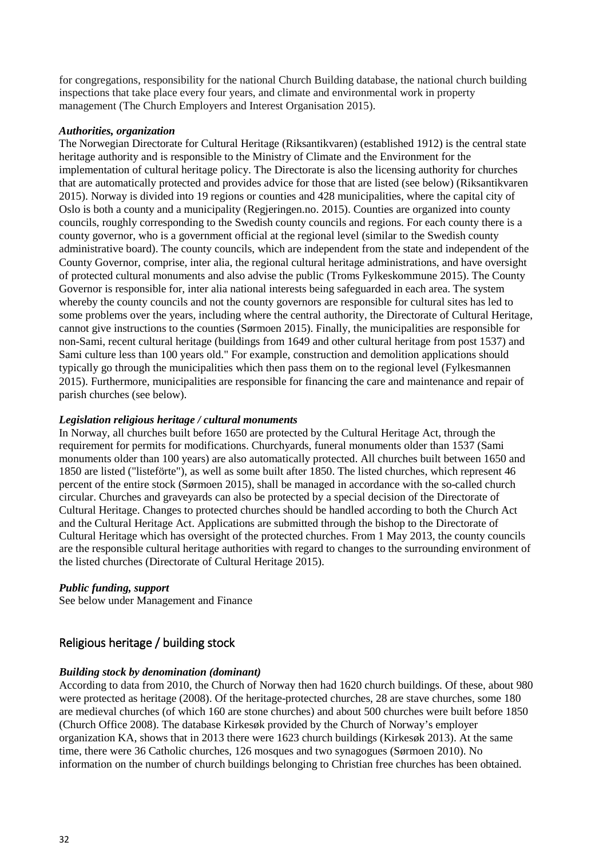for congregations, responsibility for the national Church Building database, the national church building inspections that take place every four years, and climate and environmental work in property management (The Church Employers and Interest Organisation 2015).

#### *Authorities, organization*

The Norwegian Directorate for Cultural Heritage (Riksantikvaren) (established 1912) is the central state heritage authority and is responsible to the Ministry of Climate and the Environment for the implementation of cultural heritage policy. The Directorate is also the licensing authority for churches that are automatically protected and provides advice for those that are listed (see below) (Riksantikvaren 2015). Norway is divided into 19 regions or counties and 428 municipalities, where the capital city of Oslo is both a county and a municipality (Regjeringen.no. 2015). Counties are organized into county councils, roughly corresponding to the Swedish county councils and regions. For each county there is a county governor, who is a government official at the regional level (similar to the Swedish county administrative board). The county councils, which are independent from the state and independent of the County Governor, comprise, inter alia, the regional cultural heritage administrations, and have oversight of protected cultural monuments and also advise the public (Troms Fylkeskommune 2015). The County Governor is responsible for, inter alia national interests being safeguarded in each area. The system whereby the county councils and not the county governors are responsible for cultural sites has led to some problems over the years, including where the central authority, the Directorate of Cultural Heritage, cannot give instructions to the counties (Sørmoen 2015). Finally, the municipalities are responsible for non-Sami, recent cultural heritage (buildings from 1649 and other cultural heritage from post 1537) and Sami culture less than 100 years old." For example, construction and demolition applications should typically go through the municipalities which then pass them on to the regional level (Fylkesmannen 2015). Furthermore, municipalities are responsible for financing the care and maintenance and repair of parish churches (see below).

#### *Legislation religious heritage / cultural monuments*

In Norway, all churches built before 1650 are protected by the Cultural Heritage Act, through the requirement for permits for modifications. Churchyards, funeral monuments older than 1537 (Sami monuments older than 100 years) are also automatically protected. All churches built between 1650 and 1850 are listed ("listeförte"), as well as some built after 1850. The listed churches, which represent 46 percent of the entire stock (Sørmoen 2015), shall be managed in accordance with the so-called church circular. Churches and graveyards can also be protected by a special decision of the Directorate of Cultural Heritage. Changes to protected churches should be handled according to both the Church Act and the Cultural Heritage Act. Applications are submitted through the bishop to the Directorate of Cultural Heritage which has oversight of the protected churches. From 1 May 2013, the county councils are the responsible cultural heritage authorities with regard to changes to the surrounding environment of the listed churches (Directorate of Cultural Heritage 2015).

#### *Public funding, support*

See below under Management and Finance

## <span id="page-31-0"></span>Religious heritage / building stock

#### *Building stock by denomination (dominant)*

According to data from 2010, the Church of Norway then had 1620 church buildings. Of these, about 980 were protected as heritage (2008). Of the heritage-protected churches, 28 are stave churches, some 180 are medieval churches (of which 160 are stone churches) and about 500 churches were built before 1850 (Church Office 2008). The database Kirkesøk provided by the Church of Norway's employer organization KA, shows that in 2013 there were 1623 church buildings (Kirkesøk 2013). At the same time, there were 36 Catholic churches, 126 mosques and two synagogues (Sørmoen 2010). No information on the number of church buildings belonging to Christian free churches has been obtained.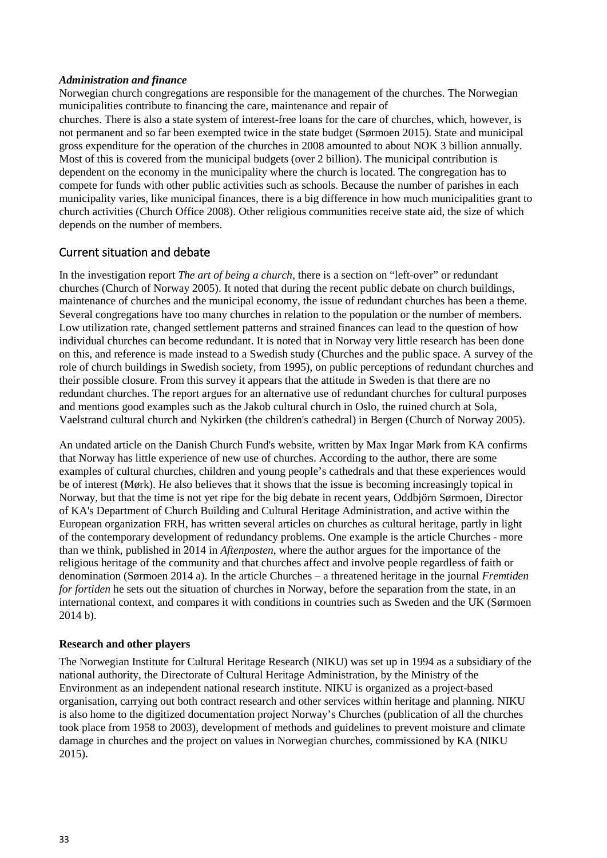#### *Administration and finance*

Norwegian church congregations are responsible for the management of the churches. The Norwegian municipalities contribute to financing the care, maintenance and repair of churches. There is also a state system of interest-free loans for the care of churches, which, however, is not permanent and so far been exempted twice in the state budget (Sørmoen 2015). State and municipal gross expenditure for the operation of the churches in 2008 amounted to about NOK 3 billion annually. Most of this is covered from the municipal budgets (over 2 billion). The municipal contribution is dependent on the economy in the municipality where the church is located. The congregation has to compete for funds with other public activities such as schools. Because the number of parishes in each municipality varies, like municipal finances, there is a big difference in how much municipalities grant to church activities (Church Office 2008). Other religious communities receive state aid, the size of which depends on the number of members.

## <span id="page-32-0"></span>Current situation and debate

In the investigation report *The art of being a church,* there is a section on "left-over" or redundant churches (Church of Norway 2005). It noted that during the recent public debate on church buildings, maintenance of churches and the municipal economy, the issue of redundant churches has been a theme. Several congregations have too many churches in relation to the population or the number of members. Low utilization rate, changed settlement patterns and strained finances can lead to the question of how individual churches can become redundant. It is noted that in Norway very little research has been done on this, and reference is made instead to a Swedish study (Churches and the public space. A survey of the role of church buildings in Swedish society, from 1995), on public perceptions of redundant churches and their possible closure. From this survey it appears that the attitude in Sweden is that there are no redundant churches. The report argues for an alternative use of redundant churches for cultural purposes and mentions good examples such as the Jakob cultural church in Oslo, the ruined church at Sola, Vaelstrand cultural church and Nykirken (the children's cathedral) in Bergen (Church of Norway 2005).

An undated article on the Danish Church Fund's website, written by Max Ingar Mørk from KA confirms that Norway has little experience of new use of churches. According to the author, there are some examples of cultural churches, children and young people's cathedrals and that these experiences would be of interest (Mørk). He also believes that it shows that the issue is becoming increasingly topical in Norway, but that the time is not yet ripe for the big debate in recent years, Oddbjörn Sørmoen, Director of KA's Department of Church Building and Cultural Heritage Administration, and active within the European organization FRH, has written several articles on churches as cultural heritage, partly in light of the contemporary development of redundancy problems. One example is the article Churches - more than we think, published in 2014 in *Aftenposten*, where the author argues for the importance of the religious heritage of the community and that churches affect and involve people regardless of faith or denomination (Sørmoen 2014 a). In the article Churches – a threatened heritage in the journal *Fremtiden for fortiden* he sets out the situation of churches in Norway, before the separation from the state, in an international context, and compares it with conditions in countries such as Sweden and the UK (Sørmoen 2014 b).

#### **Research and other players**

The Norwegian Institute for Cultural Heritage Research (NIKU) was set up in 1994 as a subsidiary of the national authority, the Directorate of Cultural Heritage Administration, by the Ministry of the Environment as an independent national research institute. NIKU is organized as a project-based organisation, carrying out both contract research and other services within heritage and planning. NIKU is also home to the digitized documentation project Norway's Churches (publication of all the churches took place from 1958 to 2003), development of methods and guidelines to prevent moisture and climate damage in churches and the project on values in Norwegian churches, commissioned by KA (NIKU 2015).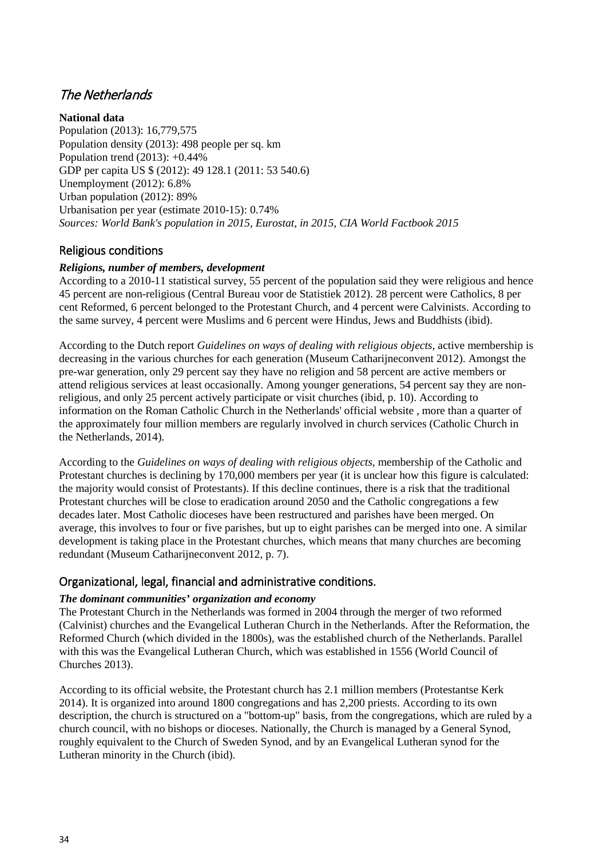# <span id="page-33-0"></span>The Netherlands

**National data**

Population (2013): 16,779,575 Population density (2013): 498 people per sq. km Population trend (2013): +0.44% GDP per capita US \$ (2012): 49 128.1 (2011: 53 540.6) Unemployment (2012): 6.8% Urban population (2012): 89% Urbanisation per year (estimate 2010-15): 0.74% *Sources: World Bank's population in 2015, Eurostat, in 2015, CIA World Factbook 2015*

## <span id="page-33-1"></span>Religious conditions

## *Religions, number of members, development*

According to a 2010-11 statistical survey, 55 percent of the population said they were religious and hence 45 percent are non-religious (Central Bureau voor de Statistiek 2012). 28 percent were Catholics, 8 per cent Reformed, 6 percent belonged to the Protestant Church, and 4 percent were Calvinists. According to the same survey, 4 percent were Muslims and 6 percent were Hindus, Jews and Buddhists (ibid).

According to the Dutch report *Guidelines on ways of dealing with religious objects,* active membership is decreasing in the various churches for each generation (Museum Catharijneconvent 2012). Amongst the pre-war generation, only 29 percent say they have no religion and 58 percent are active members or attend religious services at least occasionally. Among younger generations, 54 percent say they are nonreligious, and only 25 percent actively participate or visit churches (ibid, p. 10). According to information on the Roman Catholic Church in the Netherlands' official website , more than a quarter of the approximately four million members are regularly involved in church services (Catholic Church in the Netherlands, 2014).

According to the *Guidelines on ways of dealing with religious objects*, membership of the Catholic and Protestant churches is declining by 170,000 members per year (it is unclear how this figure is calculated: the majority would consist of Protestants). If this decline continues, there is a risk that the traditional Protestant churches will be close to eradication around 2050 and the Catholic congregations a few decades later. Most Catholic dioceses have been restructured and parishes have been merged. On average, this involves to four or five parishes, but up to eight parishes can be merged into one. A similar development is taking place in the Protestant churches, which means that many churches are becoming redundant (Museum Catharijneconvent 2012, p. 7).

## <span id="page-33-2"></span>Organizational, legal, financial and administrative conditions.

## *The dominant communities' organization and economy*

The Protestant Church in the Netherlands was formed in 2004 through the merger of two reformed (Calvinist) churches and the Evangelical Lutheran Church in the Netherlands. After the Reformation, the Reformed Church (which divided in the 1800s), was the established church of the Netherlands. Parallel with this was the Evangelical Lutheran Church, which was established in 1556 (World Council of Churches 2013).

According to its official website, the Protestant church has 2.1 million members (Protestantse Kerk 2014). It is organized into around 1800 congregations and has 2,200 priests. According to its own description, the church is structured on a "bottom-up" basis, from the congregations, which are ruled by a church council, with no bishops or dioceses. Nationally, the Church is managed by a General Synod, roughly equivalent to the Church of Sweden Synod, and by an Evangelical Lutheran synod for the Lutheran minority in the Church (ibid).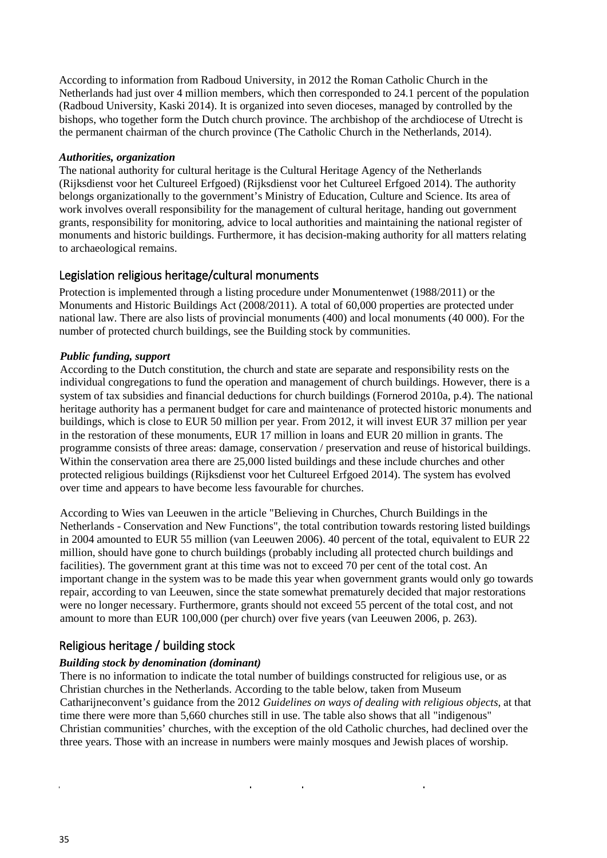According to information from Radboud University, in 2012 the Roman Catholic Church in the Netherlands had just over 4 million members, which then corresponded to 24.1 percent of the population (Radboud University, Kaski 2014). It is organized into seven dioceses, managed by controlled by the bishops, who together form the Dutch church province. The archbishop of the archdiocese of Utrecht is the permanent chairman of the church province (The Catholic Church in the Netherlands, 2014).

#### *Authorities, organization*

The national authority for cultural heritage is the Cultural Heritage Agency of the Netherlands (Rijksdienst voor het Cultureel Erfgoed) (Rijksdienst voor het Cultureel Erfgoed 2014). The authority belongs organizationally to the government's Ministry of Education, Culture and Science. Its area of work involves overall responsibility for the management of cultural heritage, handing out government grants, responsibility for monitoring, advice to local authorities and maintaining the national register of monuments and historic buildings. Furthermore, it has decision-making authority for all matters relating to archaeological remains.

## <span id="page-34-0"></span>Legislation religious heritage/cultural monuments

Protection is implemented through a listing procedure under Monumentenwet (1988/2011) or the Monuments and Historic Buildings Act (2008/2011). A total of 60,000 properties are protected under national law. There are also lists of provincial monuments (400) and local monuments (40 000). For the number of protected church buildings, see the Building stock by communities.

#### *Public funding, support*

According to the Dutch constitution, the church and state are separate and responsibility rests on the individual congregations to fund the operation and management of church buildings. However, there is a system of tax subsidies and financial deductions for church buildings (Fornerod 2010a, p.4). The national heritage authority has a permanent budget for care and maintenance of protected historic monuments and buildings, which is close to EUR 50 million per year. From 2012, it will invest EUR 37 million per year in the restoration of these monuments, EUR 17 million in loans and EUR 20 million in grants. The programme consists of three areas: damage, conservation / preservation and reuse of historical buildings. Within the conservation area there are 25,000 listed buildings and these include churches and other protected religious buildings (Rijksdienst voor het Cultureel Erfgoed 2014). The system has evolved over time and appears to have become less favourable for churches.

According to Wies van Leeuwen in the article "Believing in Churches, Church Buildings in the Netherlands - Conservation and New Functions", the total contribution towards restoring listed buildings in 2004 amounted to EUR 55 million (van Leeuwen 2006). 40 percent of the total, equivalent to EUR 22 million, should have gone to church buildings (probably including all protected church buildings and facilities). The government grant at this time was not to exceed 70 per cent of the total cost. An important change in the system was to be made this year when government grants would only go towards repair, according to van Leeuwen, since the state somewhat prematurely decided that major restorations were no longer necessary. Furthermore, grants should not exceed 55 percent of the total cost, and not amount to more than EUR 100,000 (per church) over five years (van Leeuwen 2006, p. 263).

## <span id="page-34-1"></span>Religious heritage / building stock

#### *Building stock by denomination (dominant)*

There is no information to indicate the total number of buildings constructed for religious use, or as Christian churches in the Netherlands. According to the table below, taken from Museum Catharijneconvent's guidance from the 2012 *Guidelines on ways of dealing with religious objects*, at that time there were more than 5,660 churches still in use. The table also shows that all "indigenous" Christian communities' churches, with the exception of the old Catholic churches, had declined over the three years. Those with an increase in numbers were mainly mosques and Jewish places of worship.

 $\ddot{\phantom{1}}$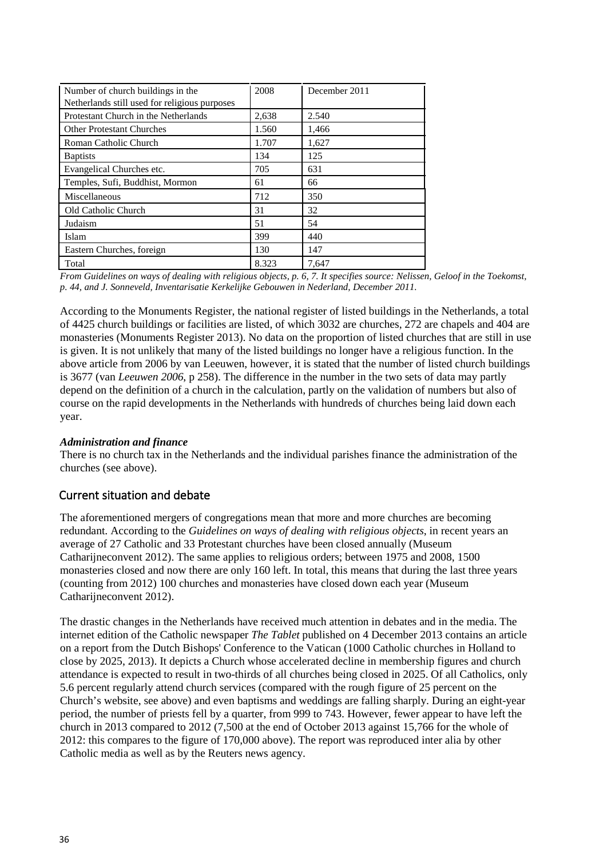| Number of church buildings in the<br>Netherlands still used for religious purposes | 2008  | December 2011 |
|------------------------------------------------------------------------------------|-------|---------------|
| Protestant Church in the Netherlands                                               | 2,638 | 2.540         |
| <b>Other Protestant Churches</b>                                                   | 1.560 | 1,466         |
| Roman Catholic Church                                                              | 1.707 | 1.627         |
| <b>B</b> aptists                                                                   | 134   | 125           |
| Evangelical Churches etc.                                                          | 705   | 631           |
| Temples, Sufi, Buddhist, Mormon                                                    | 61    | 66            |
| Miscellaneous                                                                      | 712   | 350           |
| Old Catholic Church                                                                | 31    | 32            |
| Judaism                                                                            | 51    | 54            |
| Islam                                                                              | 399   | 440           |
| Eastern Churches, foreign                                                          | 130   | 147           |
| Total                                                                              | 8.323 | 7,647         |

*From Guidelines on ways of dealing with religious objects, p. 6, 7. It specifies source: Nelissen, Geloof in the Toekomst, p. 44, and J. Sonneveld, Inventarisatie Kerkelijke Gebouwen in Nederland, December 2011.*

According to the Monuments Register, the national register of listed buildings in the Netherlands, a total of 4425 church buildings or facilities are listed, of which 3032 are churches, 272 are chapels and 404 are monasteries (Monuments Register 2013). No data on the proportion of listed churches that are still in use is given. It is not unlikely that many of the listed buildings no longer have a religious function. In the above article from 2006 by van Leeuwen, however, it is stated that the number of listed church buildings is 3677 (van *Leeuwen 2006*, p 258). The difference in the number in the two sets of data may partly depend on the definition of a church in the calculation, partly on the validation of numbers but also of course on the rapid developments in the Netherlands with hundreds of churches being laid down each year.

#### *Administration and finance*

There is no church tax in the Netherlands and the individual parishes finance the administration of the churches (see above).

## <span id="page-35-0"></span>Current situation and debate

The aforementioned mergers of congregations mean that more and more churches are becoming redundant. According to the *Guidelines on ways of dealing with religious objects*, in recent years an average of 27 Catholic and 33 Protestant churches have been closed annually (Museum Catharijneconvent 2012). The same applies to religious orders; between 1975 and 2008, 1500 monasteries closed and now there are only 160 left. In total, this means that during the last three years (counting from 2012) 100 churches and monasteries have closed down each year (Museum Catharijneconvent 2012).

The drastic changes in the Netherlands have received much attention in debates and in the media. The internet edition of the Catholic newspaper *The Tablet* published on 4 December 2013 contains an article on a report from the Dutch Bishops' Conference to the Vatican (1000 Catholic churches in Holland to close by 2025, 2013). It depicts a Church whose accelerated decline in membership figures and church attendance is expected to result in two-thirds of all churches being closed in 2025. Of all Catholics, only 5.6 percent regularly attend church services (compared with the rough figure of 25 percent on the Church's website, see above) and even baptisms and weddings are falling sharply. During an eight-year period, the number of priests fell by a quarter, from 999 to 743. However, fewer appear to have left the church in 2013 compared to 2012 (7,500 at the end of October 2013 against 15,766 for the whole of 2012: this compares to the figure of 170,000 above). The report was reproduced inter alia by other Catholic media as well as by the Reuters news agency.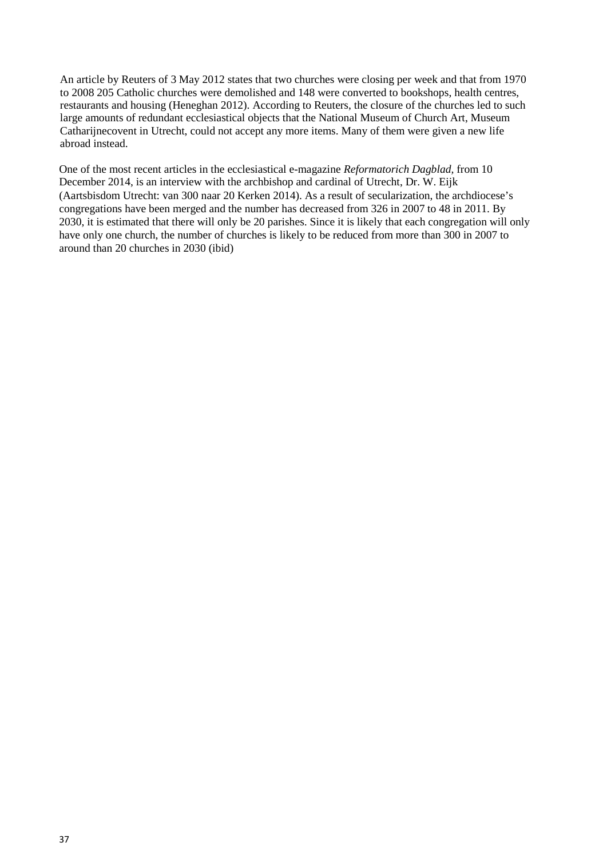An article by Reuters of 3 May 2012 states that two churches were closing per week and that from 1970 to 2008 205 Catholic churches were demolished and 148 were converted to bookshops, health centres, restaurants and housing (Heneghan 2012). According to Reuters, the closure of the churches led to such large amounts of redundant ecclesiastical objects that the National Museum of Church Art, Museum Catharijnecovent in Utrecht, could not accept any more items. Many of them were given a new life abroad instead.

One of the most recent articles in the ecclesiastical e-magazine *Reformatorich Dagblad,* from 10 December 2014, is an interview with the archbishop and cardinal of Utrecht, Dr. W. Eijk (Aartsbisdom Utrecht: van 300 naar 20 Kerken 2014). As a result of secularization, the archdiocese's congregations have been merged and the number has decreased from 326 in 2007 to 48 in 2011. By 2030, it is estimated that there will only be 20 parishes. Since it is likely that each congregation will only have only one church, the number of churches is likely to be reduced from more than 300 in 2007 to around than 20 churches in 2030 (ibid)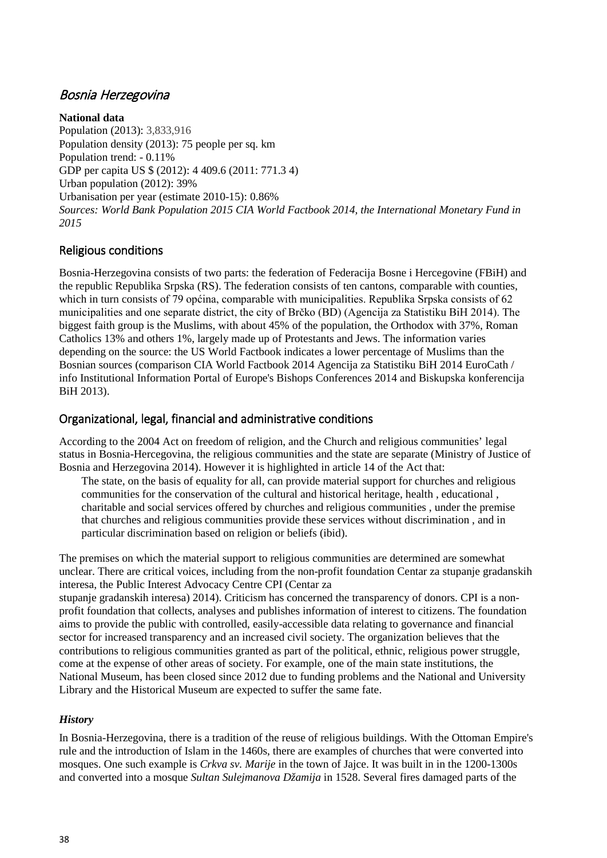## Bosnia Herzegovina

**National data** Population (2013): 3,833,916 Population density (2013): 75 people per sq. km Population trend: - 0.11% GDP per capita US \$ (2012): 4 409.6 (2011: 771.3 4) Urban population (2012): 39% Urbanisation per year (estimate 2010-15): 0.86% *Sources: World Bank Population 2015 CIA World Factbook 2014, the International Monetary Fund in 2015*

# Religious conditions

Bosnia-Herzegovina consists of two parts: the federation of Federacija Bosne i Hercegovine (FBiH) and the republic Republika Srpska (RS). The federation consists of ten cantons, comparable with counties, which in turn consists of 79 općina, comparable with municipalities. Republika Srpska consists of 62 municipalities and one separate district, the city of Brčko (BD) (Agencija za Statistiku BiH 2014). The biggest faith group is the Muslims, with about 45% of the population, the Orthodox with 37%, Roman Catholics 13% and others 1%, largely made up of Protestants and Jews. The information varies depending on the source: the US World Factbook indicates a lower percentage of Muslims than the Bosnian sources (comparison CIA World Factbook 2014 Agencija za Statistiku BiH 2014 EuroCath / info Institutional Information Portal of Europe's Bishops Conferences 2014 and Biskupska konferencija BiH 2013).

## Organizational, legal, financial and administrative conditions

According to the 2004 Act on freedom of religion, and the Church and religious communities' legal status in Bosnia-Hercegovina, the religious communities and the state are separate (Ministry of Justice of Bosnia and Herzegovina 2014). However it is highlighted in article 14 of the Act that:

The state, on the basis of equality for all, can provide material support for churches and religious communities for the conservation of the cultural and historical heritage, health , educational , charitable and social services offered by churches and religious communities , under the premise that churches and religious communities provide these services without discrimination , and in particular discrimination based on religion or beliefs (ibid).

The premises on which the material support to religious communities are determined are somewhat unclear. There are critical voices, including from the non-profit foundation Centar za stupanje gradanskih interesa, the Public Interest Advocacy Centre CPI (Centar za

stupanje gradanskih interesa) 2014). Criticism has concerned the transparency of donors. CPI is a nonprofit foundation that collects, analyses and publishes information of interest to citizens. The foundation aims to provide the public with controlled, easily-accessible data relating to governance and financial sector for increased transparency and an increased civil society. The organization believes that the contributions to religious communities granted as part of the political, ethnic, religious power struggle, come at the expense of other areas of society. For example, one of the main state institutions, the National Museum, has been closed since 2012 due to funding problems and the National and University Library and the Historical Museum are expected to suffer the same fate.

### *History*

In Bosnia-Herzegovina, there is a tradition of the reuse of religious buildings. With the Ottoman Empire's rule and the introduction of Islam in the 1460s, there are examples of churches that were converted into mosques. One such example is *Crkva sv. Marije* in the town of Jajce. It was built in in the 1200-1300s and converted into a mosque *Sultan Sulejmanova Džamija* in 1528. Several fires damaged parts of the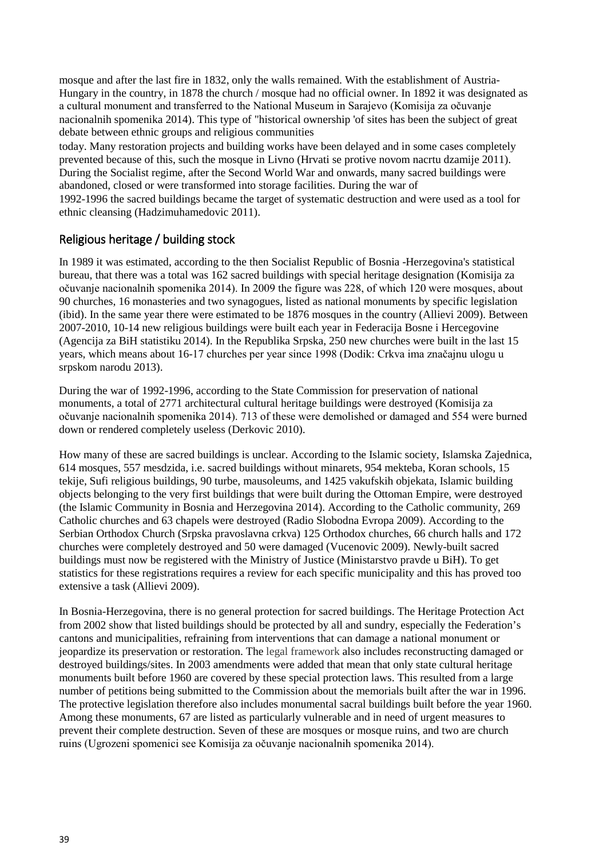mosque and after the last fire in 1832, only the walls remained. With the establishment of Austria-Hungary in the country, in 1878 the church / mosque had no official owner. In 1892 it was designated as a cultural monument and transferred to the National Museum in Sarajevo (Komisija za očuvanje nacionalnih spomenika 2014). This type of "historical ownership 'of sites has been the subject of great debate between ethnic groups and religious communities

today. Many restoration projects and building works have been delayed and in some cases completely prevented because of this, such the mosque in Livno (Hrvati se protive novom nacrtu dzamije 2011). During the Socialist regime, after the Second World War and onwards, many sacred buildings were abandoned, closed or were transformed into storage facilities. During the war of

1992-1996 the sacred buildings became the target of systematic destruction and were used as a tool for ethnic cleansing (Hadzimuhamedovic 2011).

### Religious heritage / building stock

In 1989 it was estimated, according to the then Socialist Republic of Bosnia -Herzegovina's statistical bureau, that there was a total was 162 sacred buildings with special heritage designation (Komisija za očuvanje nacionalnih spomenika 2014). In 2009 the figure was 228, of which 120 were mosques, about 90 churches, 16 monasteries and two synagogues, listed as national monuments by specific legislation (ibid). In the same year there were estimated to be 1876 mosques in the country (Allievi 2009). Between 2007-2010, 10-14 new religious buildings were built each year in Federacija Bosne i Hercegovine (Agencija za BiH statistiku 2014). In the Republika Srpska, 250 new churches were built in the last 15 years, which means about 16-17 churches per year since 1998 (Dodik: Crkva ima značajnu ulogu u srpskom narodu 2013).

During the war of 1992-1996, according to the State Commission for preservation of national monuments, a total of 2771 architectural cultural heritage buildings were destroyed (Komisija za očuvanje nacionalnih spomenika 2014). 713 of these were demolished or damaged and 554 were burned down or rendered completely useless (Derkovic 2010).

How many of these are sacred buildings is unclear. According to the Islamic society, Islamska Zajednica, 614 mosques, 557 mesdzida, i.e. sacred buildings without minarets, 954 mekteba, Koran schools, 15 tekije, Sufi religious buildings, 90 turbe, mausoleums, and 1425 vakufskih objekata, Islamic building objects belonging to the very first buildings that were built during the Ottoman Empire, were destroyed (the Islamic Community in Bosnia and Herzegovina 2014). According to the Catholic community, 269 Catholic churches and 63 chapels were destroyed (Radio Slobodna Evropa 2009). According to the Serbian Orthodox Church (Srpska pravoslavna crkva) 125 Orthodox churches, 66 church halls and 172 churches were completely destroyed and 50 were damaged (Vucenovic 2009). Newly-built sacred buildings must now be registered with the Ministry of Justice (Ministarstvo pravde u BiH). To get statistics for these registrations requires a review for each specific municipality and this has proved too extensive a task (Allievi 2009).

In Bosnia-Herzegovina, there is no general protection for sacred buildings. The Heritage Protection Act from 2002 show that listed buildings should be protected by all and sundry, especially the Federation's cantons and municipalities, refraining from interventions that can damage a national monument or jeopardize its preservation or restoration. The legal framework also includes reconstructing damaged or destroyed buildings/sites. In 2003 amendments were added that mean that only state cultural heritage monuments built before 1960 are covered by these special protection laws. This resulted from a large number of petitions being submitted to the Commission about the memorials built after the war in 1996. The protective legislation therefore also includes monumental sacral buildings built before the year 1960. Among these monuments, 67 are listed as particularly vulnerable and in need of urgent measures to prevent their complete destruction. Seven of these are mosques or mosque ruins, and two are church ruins (Ugrozeni spomenici see Komisija za očuvanje nacionalnih spomenika 2014).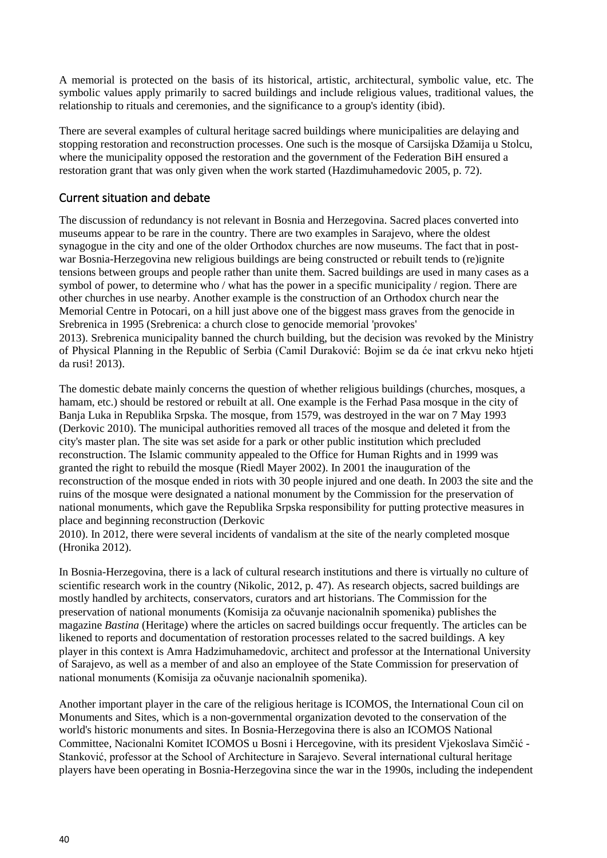A memorial is protected on the basis of its historical, artistic, architectural, symbolic value, etc. The symbolic values apply primarily to sacred buildings and include religious values, traditional values, the relationship to rituals and ceremonies, and the significance to a group's identity (ibid).

There are several examples of cultural heritage sacred buildings where municipalities are delaying and stopping restoration and reconstruction processes. One such is the mosque of Carsijska Džamija u Stolcu, where the municipality opposed the restoration and the government of the Federation BiH ensured a restoration grant that was only given when the work started (Hazdimuhamedovic 2005, p. 72).

### Current situation and debate

The discussion of redundancy is not relevant in Bosnia and Herzegovina. Sacred places converted into museums appear to be rare in the country. There are two examples in Sarajevo, where the oldest synagogue in the city and one of the older Orthodox churches are now museums. The fact that in postwar Bosnia-Herzegovina new religious buildings are being constructed or rebuilt tends to (re)ignite tensions between groups and people rather than unite them. Sacred buildings are used in many cases as a symbol of power, to determine who / what has the power in a specific municipality / region. There are other churches in use nearby. Another example is the construction of an Orthodox church near the Memorial Centre in Potocari, on a hill just above one of the biggest mass graves from the genocide in Srebrenica in 1995 (Srebrenica: a church close to genocide memorial 'provokes'

2013). Srebrenica municipality banned the church building, but the decision was revoked by the Ministry of Physical Planning in the Republic of Serbia (Camil Duraković: Bojim se da će inat crkvu neko htjeti da rusi! 2013).

The domestic debate mainly concerns the question of whether religious buildings (churches, mosques, a hamam, etc.) should be restored or rebuilt at all. One example is the Ferhad Pasa mosque in the city of Banja Luka in Republika Srpska. The mosque, from 1579, was destroyed in the war on 7 May 1993 (Derkovic 2010). The municipal authorities removed all traces of the mosque and deleted it from the city's master plan. The site was set aside for a park or other public institution which precluded reconstruction. The Islamic community appealed to the Office for Human Rights and in 1999 was granted the right to rebuild the mosque (Riedl Mayer 2002). In 2001 the inauguration of the reconstruction of the mosque ended in riots with 30 people injured and one death. In 2003 the site and the ruins of the mosque were designated a national monument by the Commission for the preservation of national monuments, which gave the Republika Srpska responsibility for putting protective measures in place and beginning reconstruction (Derkovic

2010). In 2012, there were several incidents of vandalism at the site of the nearly completed mosque (Hronika 2012).

In Bosnia-Herzegovina, there is a lack of cultural research institutions and there is virtually no culture of scientific research work in the country (Nikolic, 2012, p. 47). As research objects, sacred buildings are mostly handled by architects, conservators, curators and art historians. The Commission for the preservation of national monuments (Komisija za očuvanje nacionalnih spomenika) publishes the magazine *Bastina* (Heritage) where the articles on sacred buildings occur frequently. The articles can be likened to reports and documentation of restoration processes related to the sacred buildings. A key player in this context is Amra Hadzimuhamedovic, architect and professor at the International University of Sarajevo, as well as a member of and also an employee of the State Commission for preservation of national monuments (Komisija za očuvanje nacionalnih spomenika).

Another important player in the care of the religious heritage is ICOMOS, the International Coun cil on Monuments and Sites, which is a non-governmental organization devoted to the conservation of the world's historic monuments and sites. In Bosnia-Herzegovina there is also an ICOMOS National Committee, Nacionalni Komitet ICOMOS u Bosni i Hercegovine, with its president Vjekoslava Simčić - Stanković, professor at the School of Architecture in Sarajevo. Several international cultural heritage players have been operating in Bosnia-Herzegovina since the war in the 1990s, including the independent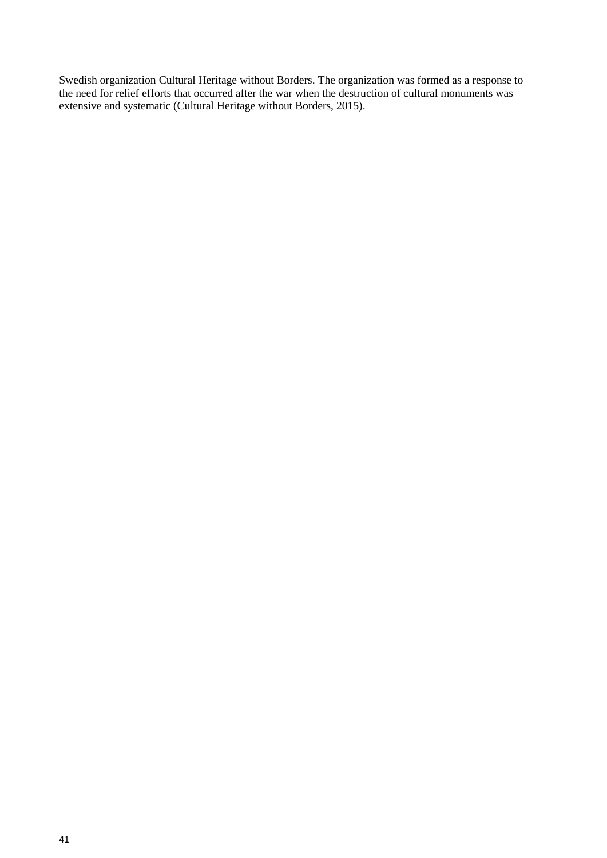Swedish organization Cultural Heritage without Borders. The organization was formed as a response to the need for relief efforts that occurred after the war when the destruction of cultural monuments was extensive and systematic (Cultural Heritage without Borders, 2015).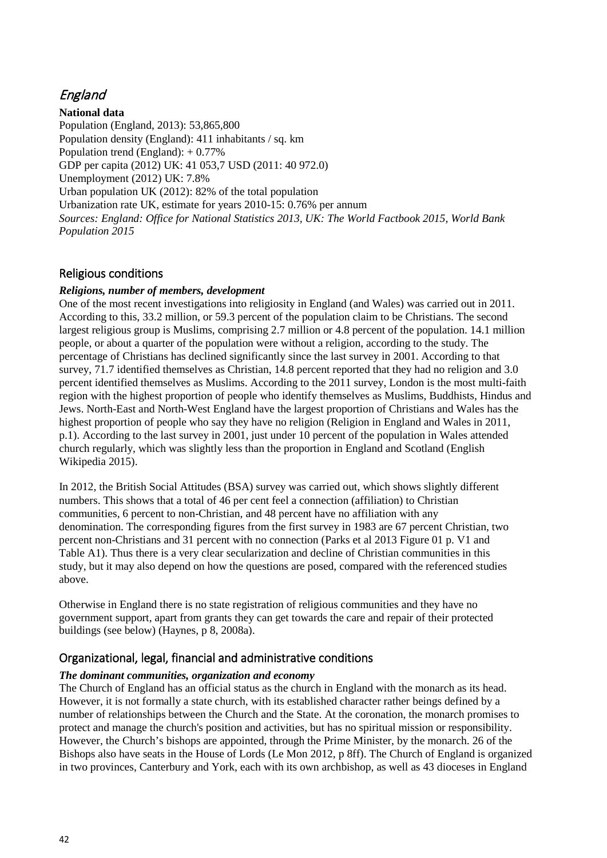# England

**National data**

Population (England, 2013): 53,865,800 Population density (England): 411 inhabitants / sq. km Population trend (England): + 0.77% GDP per capita (2012) UK: 41 053,7 USD (2011: 40 972.0) Unemployment (2012) UK: 7.8% Urban population UK (2012): 82% of the total population Urbanization rate UK, estimate for years 2010-15: 0.76% per annum *Sources: England: Office for National Statistics 2013, UK: The World Factbook 2015, World Bank Population 2015*

### Religious conditions

#### *Religions, number of members, development*

One of the most recent investigations into religiosity in England (and Wales) was carried out in 2011. According to this, 33.2 million, or 59.3 percent of the population claim to be Christians. The second largest religious group is Muslims, comprising 2.7 million or 4.8 percent of the population. 14.1 million people, or about a quarter of the population were without a religion, according to the study. The percentage of Christians has declined significantly since the last survey in 2001. According to that survey, 71.7 identified themselves as Christian, 14.8 percent reported that they had no religion and 3.0 percent identified themselves as Muslims. According to the 2011 survey, London is the most multi-faith region with the highest proportion of people who identify themselves as Muslims, Buddhists, Hindus and Jews. North-East and North-West England have the largest proportion of Christians and Wales has the highest proportion of people who say they have no religion (Religion in England and Wales in 2011, p.1). According to the last survey in 2001, just under 10 percent of the population in Wales attended church regularly, which was slightly less than the proportion in England and Scotland (English Wikipedia 2015).

In 2012, the British Social Attitudes (BSA) survey was carried out, which shows slightly different numbers. This shows that a total of 46 per cent feel a connection (affiliation) to Christian communities, 6 percent to non-Christian, and 48 percent have no affiliation with any denomination. The corresponding figures from the first survey in 1983 are 67 percent Christian, two percent non-Christians and 31 percent with no connection (Parks et al 2013 Figure 01 p. V1 and Table A1). Thus there is a very clear secularization and decline of Christian communities in this study, but it may also depend on how the questions are posed, compared with the referenced studies above.

Otherwise in England there is no state registration of religious communities and they have no government support, apart from grants they can get towards the care and repair of their protected buildings (see below) (Haynes, p 8, 2008a).

### Organizational, legal, financial and administrative conditions

#### *The dominant communities, organization and economy*

The Church of England has an official status as the church in England with the monarch as its head. However, it is not formally a state church, with its established character rather beings defined by a number of relationships between the Church and the State. At the coronation, the monarch promises to protect and manage the church's position and activities, but has no spiritual mission or responsibility. However, the Church's bishops are appointed, through the Prime Minister, by the monarch. 26 of the Bishops also have seats in the House of Lords (Le Mon 2012, p 8ff). The Church of England is organized in two provinces, Canterbury and York, each with its own archbishop, as well as 43 dioceses in England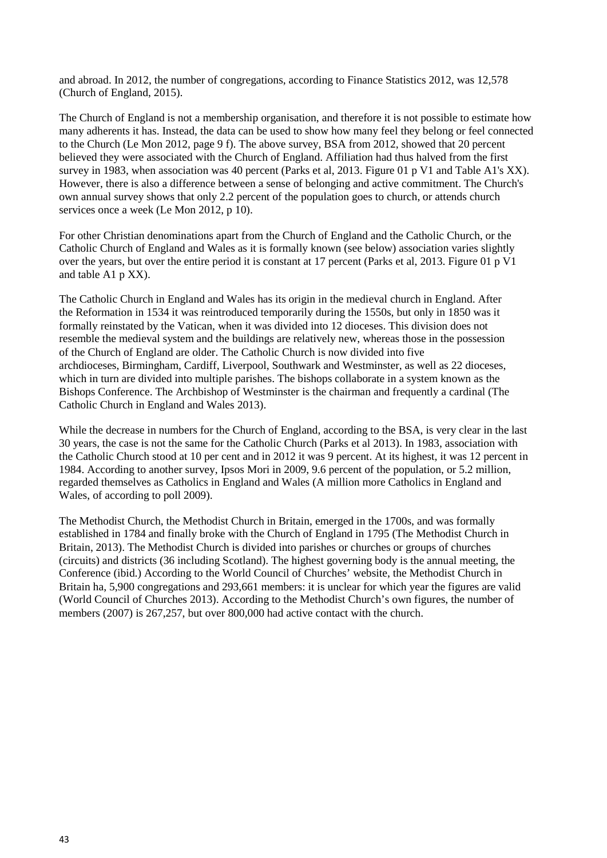and abroad. In 2012, the number of congregations, according to Finance Statistics 2012, was 12,578 (Church of England, 2015).

The Church of England is not a membership organisation, and therefore it is not possible to estimate how many adherents it has. Instead, the data can be used to show how many feel they belong or feel connected to the Church (Le Mon 2012, page 9 f). The above survey, BSA from 2012, showed that 20 percent believed they were associated with the Church of England. Affiliation had thus halved from the first survey in 1983, when association was 40 percent (Parks et al, 2013. Figure 01 p V1 and Table A1's XX). However, there is also a difference between a sense of belonging and active commitment. The Church's own annual survey shows that only 2.2 percent of the population goes to church, or attends church services once a week (Le Mon 2012, p 10).

For other Christian denominations apart from the Church of England and the Catholic Church, or the Catholic Church of England and Wales as it is formally known (see below) association varies slightly over the years, but over the entire period it is constant at 17 percent (Parks et al, 2013. Figure 01 p V1 and table A1 p XX).

The Catholic Church in England and Wales has its origin in the medieval church in England. After the Reformation in 1534 it was reintroduced temporarily during the 1550s, but only in 1850 was it formally reinstated by the Vatican, when it was divided into 12 dioceses. This division does not resemble the medieval system and the buildings are relatively new, whereas those in the possession of the Church of England are older. The Catholic Church is now divided into five archdioceses, Birmingham, Cardiff, Liverpool, Southwark and Westminster, as well as 22 dioceses, which in turn are divided into multiple parishes. The bishops collaborate in a system known as the Bishops Conference. The Archbishop of Westminster is the chairman and frequently a cardinal (The Catholic Church in England and Wales 2013).

While the decrease in numbers for the Church of England, according to the BSA, is very clear in the last 30 years, the case is not the same for the Catholic Church (Parks et al 2013). In 1983, association with the Catholic Church stood at 10 per cent and in 2012 it was 9 percent. At its highest, it was 12 percent in 1984. According to another survey, Ipsos Mori in 2009, 9.6 percent of the population, or 5.2 million, regarded themselves as Catholics in England and Wales (A million more Catholics in England and Wales, of according to poll 2009).

The Methodist Church, the Methodist Church in Britain, emerged in the 1700s, and was formally established in 1784 and finally broke with the Church of England in 1795 (The Methodist Church in Britain, 2013). The Methodist Church is divided into parishes or churches or groups of churches (circuits) and districts (36 including Scotland). The highest governing body is the annual meeting, the Conference (ibid.) According to the World Council of Churches' website, the Methodist Church in Britain ha, 5,900 congregations and 293,661 members: it is unclear for which year the figures are valid (World Council of Churches 2013). According to the Methodist Church's own figures, the number of members (2007) is 267,257, but over 800,000 had active contact with the church.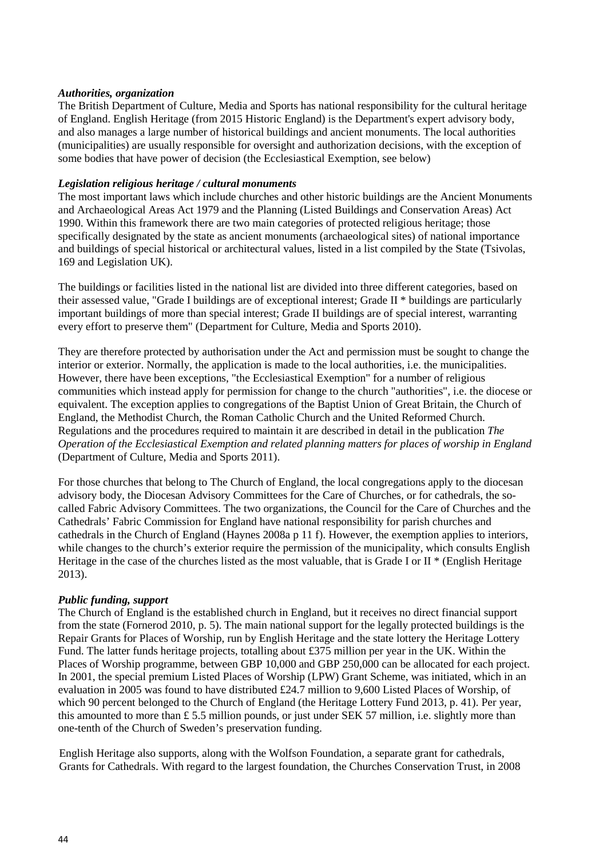#### *Authorities, organization*

The British Department of Culture, Media and Sports has national responsibility for the cultural heritage of England. English Heritage (from 2015 Historic England) is the Department's expert advisory body, and also manages a large number of historical buildings and ancient monuments. The local authorities (municipalities) are usually responsible for oversight and authorization decisions, with the exception of some bodies that have power of decision (the Ecclesiastical Exemption, see below)

#### *Legislation religious heritage / cultural monuments*

The most important laws which include churches and other historic buildings are the Ancient Monuments and Archaeological Areas Act 1979 and the Planning (Listed Buildings and Conservation Areas) Act 1990. Within this framework there are two main categories of protected religious heritage; those specifically designated by the state as ancient monuments (archaeological sites) of national importance and buildings of special historical or architectural values, listed in a list compiled by the State (Tsivolas, 169 and Legislation UK).

The buildings or facilities listed in the national list are divided into three different categories, based on their assessed value, "Grade I buildings are of exceptional interest; Grade II \* buildings are particularly important buildings of more than special interest; Grade II buildings are of special interest, warranting every effort to preserve them" (Department for Culture, Media and Sports 2010).

They are therefore protected by authorisation under the Act and permission must be sought to change the interior or exterior. Normally, the application is made to the local authorities, i.e. the municipalities. However, there have been exceptions, "the Ecclesiastical Exemption" for a number of religious communities which instead apply for permission for change to the church "authorities", i.e. the diocese or equivalent. The exception applies to congregations of the Baptist Union of Great Britain, the Church of England, the Methodist Church, the Roman Catholic Church and the United Reformed Church. Regulations and the procedures required to maintain it are described in detail in the publication *The Operation of the Ecclesiastical Exemption and related planning matters for places of worship in England*  (Department of Culture, Media and Sports 2011).

For those churches that belong to The Church of England, the local congregations apply to the diocesan advisory body, the Diocesan Advisory Committees for the Care of Churches, or for cathedrals, the socalled Fabric Advisory Committees. The two organizations, the Council for the Care of Churches and the Cathedrals' Fabric Commission for England have national responsibility for parish churches and cathedrals in the Church of England (Haynes 2008a p 11 f). However, the exemption applies to interiors, while changes to the church's exterior require the permission of the municipality, which consults English Heritage in the case of the churches listed as the most valuable, that is Grade I or II \* (English Heritage 2013).

#### *Public funding, support*

The Church of England is the established church in England, but it receives no direct financial support from the state (Fornerod 2010, p. 5). The main national support for the legally protected buildings is the Repair Grants for Places of Worship, run by English Heritage and the state lottery the Heritage Lottery Fund. The latter funds heritage projects, totalling about £375 million per year in the UK. Within the Places of Worship programme, between GBP 10,000 and GBP 250,000 can be allocated for each project. In 2001, the special premium Listed Places of Worship (LPW) Grant Scheme, was initiated, which in an evaluation in 2005 was found to have distributed £24.7 million to 9,600 Listed Places of Worship, of which 90 percent belonged to the Church of England (the Heritage Lottery Fund 2013, p. 41). Per year, this amounted to more than  $\pounds$  5.5 million pounds, or just under SEK 57 million, i.e. slightly more than one-tenth of the Church of Sweden's preservation funding.

English Heritage also supports, along with the Wolfson Foundation, a separate grant for cathedrals, Grants for Cathedrals. With regard to the largest foundation, the Churches Conservation Trust, in 2008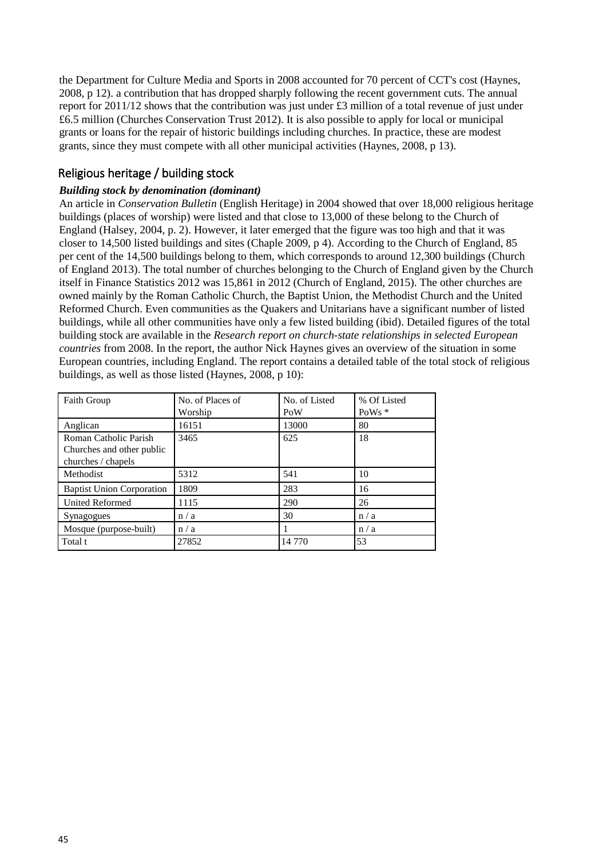the Department for Culture Media and Sports in 2008 accounted for 70 percent of CCT's cost (Haynes, 2008, p 12). a contribution that has dropped sharply following the recent government cuts. The annual report for 2011/12 shows that the contribution was just under £3 million of a total revenue of just under £6.5 million (Churches Conservation Trust 2012). It is also possible to apply for local or municipal grants or loans for the repair of historic buildings including churches. In practice, these are modest grants, since they must compete with all other municipal activities (Haynes, 2008, p 13).

# Religious heritage / building stock

#### *Building stock by denomination (dominant)*

An article in *Conservation Bulletin* (English Heritage) in 2004 showed that over 18,000 religious heritage buildings (places of worship) were listed and that close to 13,000 of these belong to the Church of England (Halsey, 2004, p. 2). However, it later emerged that the figure was too high and that it was closer to 14,500 listed buildings and sites (Chaple 2009, p 4). According to the Church of England, 85 per cent of the 14,500 buildings belong to them, which corresponds to around 12,300 buildings (Church of England 2013). The total number of churches belonging to the Church of England given by the Church itself in Finance Statistics 2012 was 15,861 in 2012 (Church of England, 2015). The other churches are owned mainly by the Roman Catholic Church, the Baptist Union, the Methodist Church and the United Reformed Church. Even communities as the Quakers and Unitarians have a significant number of listed buildings, while all other communities have only a few listed building (ibid). Detailed figures of the total building stock are available in the *Research report on church-state relationships in selected European countries* from 2008. In the report, the author Nick Haynes gives an overview of the situation in some European countries, including England. The report contains a detailed table of the total stock of religious buildings, as well as those listed (Haynes, 2008, p 10):

| <b>Faith Group</b>                                                       | No. of Places of<br>Worship | No. of Listed<br>PoW | % Of Listed<br>PoWs $*$ |
|--------------------------------------------------------------------------|-----------------------------|----------------------|-------------------------|
| Anglican                                                                 | 16151                       | 13000                | 80                      |
| Roman Catholic Parish<br>Churches and other public<br>churches / chapels | 3465                        | 625                  | 18                      |
| Methodist                                                                | 5312                        | 541                  | 10                      |
| <b>Baptist Union Corporation</b>                                         | 1809                        | 283                  | 16                      |
| <b>United Reformed</b>                                                   | 1115                        | 290                  | 26                      |
| Synagogues                                                               | n/a                         | 30                   | n/a                     |
| Mosque (purpose-built)                                                   | n/a                         |                      | n/a                     |
| Total t                                                                  | 27852                       | 14 770               | 53                      |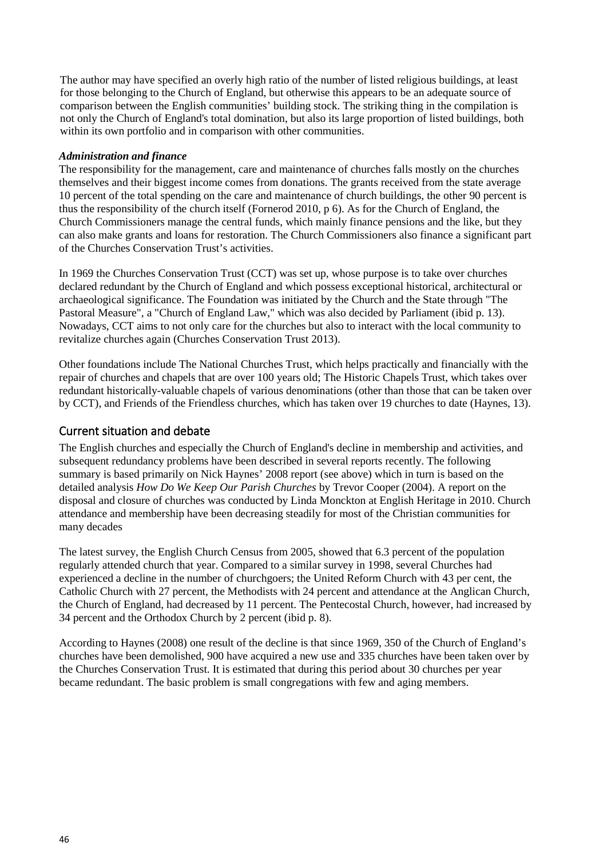The author may have specified an overly high ratio of the number of listed religious buildings, at least for those belonging to the Church of England, but otherwise this appears to be an adequate source of comparison between the English communities' building stock. The striking thing in the compilation is not only the Church of England's total domination, but also its large proportion of listed buildings, both within its own portfolio and in comparison with other communities.

#### *Administration and finance*

The responsibility for the management, care and maintenance of churches falls mostly on the churches themselves and their biggest income comes from donations. The grants received from the state average 10 percent of the total spending on the care and maintenance of church buildings, the other 90 percent is thus the responsibility of the church itself (Fornerod 2010, p 6). As for the Church of England, the Church Commissioners manage the central funds, which mainly finance pensions and the like, but they can also make grants and loans for restoration. The Church Commissioners also finance a significant part of the Churches Conservation Trust's activities.

In 1969 the Churches Conservation Trust (CCT) was set up, whose purpose is to take over churches declared redundant by the Church of England and which possess exceptional historical, architectural or archaeological significance. The Foundation was initiated by the Church and the State through "The Pastoral Measure", a "Church of England Law," which was also decided by Parliament (ibid p. 13). Nowadays, CCT aims to not only care for the churches but also to interact with the local community to revitalize churches again (Churches Conservation Trust 2013).

Other foundations include The National Churches Trust, which helps practically and financially with the repair of churches and chapels that are over 100 years old; The Historic Chapels Trust, which takes over redundant historically-valuable chapels of various denominations (other than those that can be taken over by CCT), and Friends of the Friendless churches, which has taken over 19 churches to date (Haynes, 13).

#### Current situation and debate

The English churches and especially the Church of England's decline in membership and activities, and subsequent redundancy problems have been described in several reports recently. The following summary is based primarily on Nick Haynes' 2008 report (see above) which in turn is based on the detailed analysis *How Do We Keep Our Parish Churches* by Trevor Cooper (2004). A report on the disposal and closure of churches was conducted by Linda Monckton at English Heritage in 2010. Church attendance and membership have been decreasing steadily for most of the Christian communities for many decades

The latest survey, the English Church Census from 2005, showed that 6.3 percent of the population regularly attended church that year. Compared to a similar survey in 1998, several Churches had experienced a decline in the number of churchgoers; the United Reform Church with 43 per cent, the Catholic Church with 27 percent, the Methodists with 24 percent and attendance at the Anglican Church, the Church of England, had decreased by 11 percent. The Pentecostal Church, however, had increased by 34 percent and the Orthodox Church by 2 percent (ibid p. 8).

According to Haynes (2008) one result of the decline is that since 1969, 350 of the Church of England's churches have been demolished, 900 have acquired a new use and 335 churches have been taken over by the Churches Conservation Trust. It is estimated that during this period about 30 churches per year became redundant. The basic problem is small congregations with few and aging members.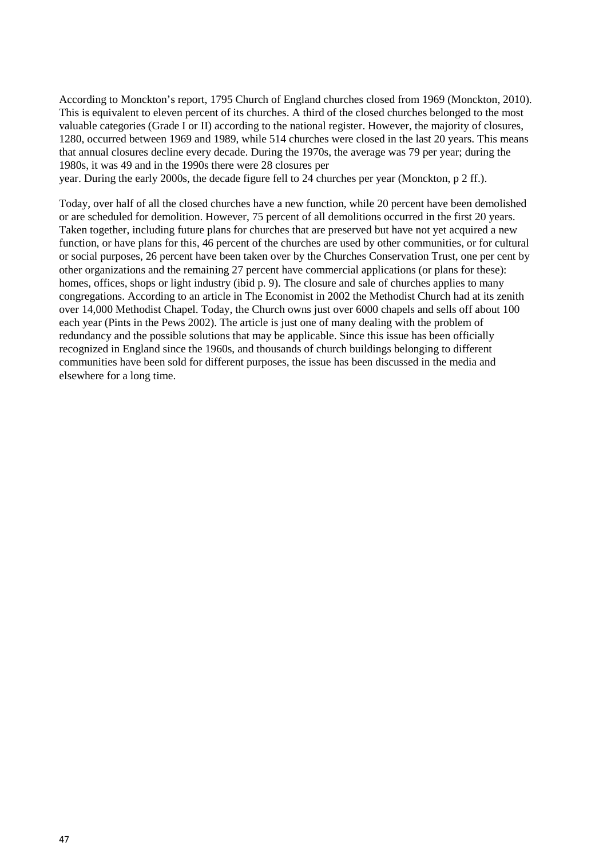According to Monckton's report, 1795 Church of England churches closed from 1969 (Monckton, 2010). This is equivalent to eleven percent of its churches. A third of the closed churches belonged to the most valuable categories (Grade I or II) according to the national register. However, the majority of closures, 1280, occurred between 1969 and 1989, while 514 churches were closed in the last 20 years. This means that annual closures decline every decade. During the 1970s, the average was 79 per year; during the 1980s, it was 49 and in the 1990s there were 28 closures per

year. During the early 2000s, the decade figure fell to 24 churches per year (Monckton, p 2 ff.).

Today, over half of all the closed churches have a new function, while 20 percent have been demolished or are scheduled for demolition. However, 75 percent of all demolitions occurred in the first 20 years. Taken together, including future plans for churches that are preserved but have not yet acquired a new function, or have plans for this, 46 percent of the churches are used by other communities, or for cultural or social purposes, 26 percent have been taken over by the Churches Conservation Trust, one per cent by other organizations and the remaining 27 percent have commercial applications (or plans for these): homes, offices, shops or light industry (ibid p. 9). The closure and sale of churches applies to many congregations. According to an article in The Economist in 2002 the Methodist Church had at its zenith over 14,000 Methodist Chapel. Today, the Church owns just over 6000 chapels and sells off about 100 each year (Pints in the Pews 2002). The article is just one of many dealing with the problem of redundancy and the possible solutions that may be applicable. Since this issue has been officially recognized in England since the 1960s, and thousands of church buildings belonging to different communities have been sold for different purposes, the issue has been discussed in the media and elsewhere for a long time.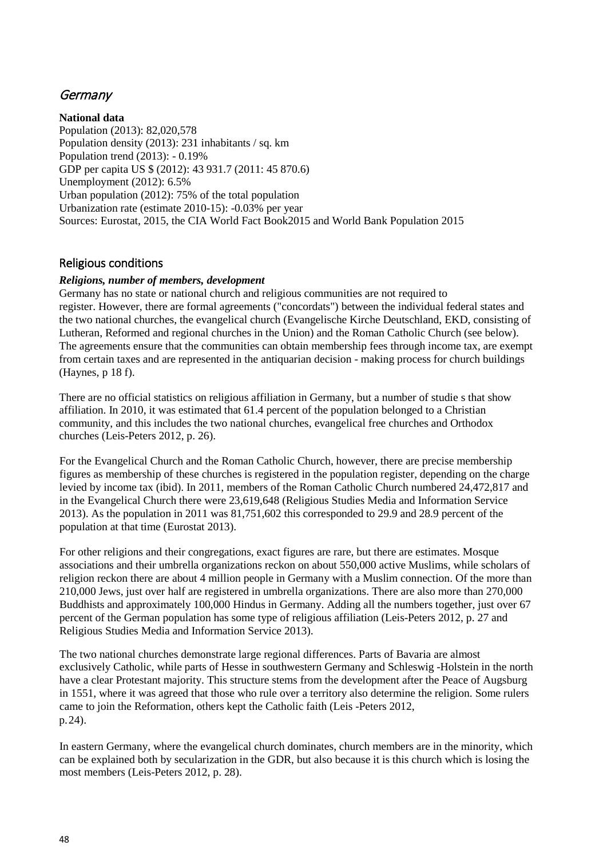## **Germany**

**National data** Population (2013): 82,020,578 Population density (2013): 231 inhabitants / sq. km Population trend (2013): - 0.19% GDP per capita US \$ (2012): 43 931.7 (2011: 45 870.6) Unemployment (2012): 6.5% Urban population (2012): 75% of the total population Urbanization rate (estimate 2010-15): -0.03% per year Sources: Eurostat, 2015, the CIA World Fact Book2015 and World Bank Population 2015

### Religious conditions

#### *Religions, number of members, development*

Germany has no state or national church and religious communities are not required to register. However, there are formal agreements ("concordats") between the individual federal states and the two national churches, the evangelical church (Evangelische Kirche Deutschland, EKD, consisting of Lutheran, Reformed and regional churches in the Union) and the Roman Catholic Church (see below). The agreements ensure that the communities can obtain membership fees through income tax, are exempt from certain taxes and are represented in the antiquarian decision - making process for church buildings (Haynes, p 18 f).

There are no official statistics on religious affiliation in Germany, but a number of studie s that show affiliation. In 2010, it was estimated that 61.4 percent of the population belonged to a Christian community, and this includes the two national churches, evangelical free churches and Orthodox churches (Leis-Peters 2012, p. 26).

For the Evangelical Church and the Roman Catholic Church, however, there are precise membership figures as membership of these churches is registered in the population register, depending on the charge levied by income tax (ibid). In 2011, members of the Roman Catholic Church numbered 24,472,817 and in the Evangelical Church there were 23,619,648 (Religious Studies Media and Information Service 2013). As the population in 2011 was 81,751,602 this corresponded to 29.9 and 28.9 percent of the population at that time (Eurostat 2013).

For other religions and their congregations, exact figures are rare, but there are estimates. Mosque associations and their umbrella organizations reckon on about 550,000 active Muslims, while scholars of religion reckon there are about 4 million people in Germany with a Muslim connection. Of the more than 210,000 Jews, just over half are registered in umbrella organizations. There are also more than 270,000 Buddhists and approximately 100,000 Hindus in Germany. Adding all the numbers together, just over 67 percent of the German population has some type of religious affiliation (Leis-Peters 2012, p. 27 and Religious Studies Media and Information Service 2013).

The two national churches demonstrate large regional differences. Parts of Bavaria are almost exclusively Catholic, while parts of Hesse in southwestern Germany and Schleswig -Holstein in the north have a clear Protestant majority. This structure stems from the development after the Peace of Augsburg in 1551, where it was agreed that those who rule over a territory also determine the religion. Some rulers came to join the Reformation, others kept the Catholic faith (Leis -Peters 2012, p.24).

In eastern Germany, where the evangelical church dominates, church members are in the minority, which can be explained both by secularization in the GDR, but also because it is this church which is losing the most members (Leis-Peters 2012, p. 28).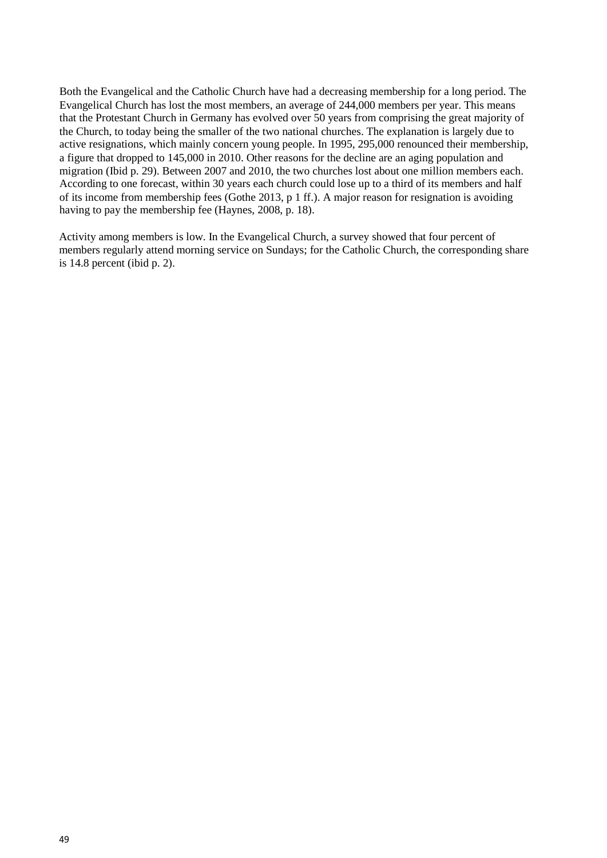Both the Evangelical and the Catholic Church have had a decreasing membership for a long period. The Evangelical Church has lost the most members, an average of 244,000 members per year. This means that the Protestant Church in Germany has evolved over 50 years from comprising the great majority of the Church, to today being the smaller of the two national churches. The explanation is largely due to active resignations, which mainly concern young people. In 1995, 295,000 renounced their membership, a figure that dropped to 145,000 in 2010. Other reasons for the decline are an aging population and migration (Ibid p. 29). Between 2007 and 2010, the two churches lost about one million members each. According to one forecast, within 30 years each church could lose up to a third of its members and half of its income from membership fees (Gothe 2013, p 1 ff.). A major reason for resignation is avoiding having to pay the membership fee (Haynes, 2008, p. 18).

Activity among members is low. In the Evangelical Church, a survey showed that four percent of members regularly attend morning service on Sundays; for the Catholic Church, the corresponding share is 14.8 percent (ibid p. 2).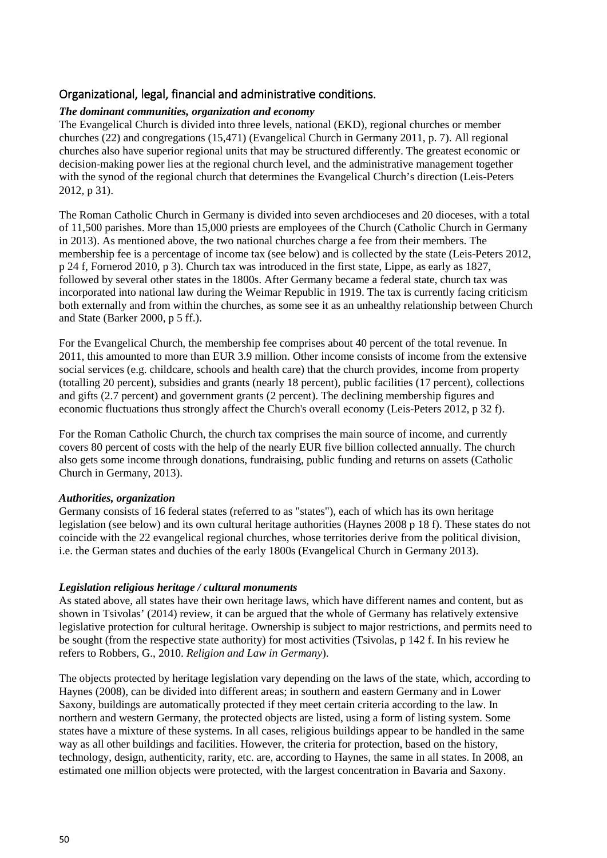### Organizational, legal, financial and administrative conditions.

#### *The dominant communities, organization and economy*

The Evangelical Church is divided into three levels, national (EKD), regional churches or member churches (22) and congregations (15,471) (Evangelical Church in Germany 2011, p. 7). All regional churches also have superior regional units that may be structured differently. The greatest economic or decision-making power lies at the regional church level, and the administrative management together with the synod of the regional church that determines the Evangelical Church's direction (Leis-Peters 2012, p 31).

The Roman Catholic Church in Germany is divided into seven archdioceses and 20 dioceses, with a total of 11,500 parishes. More than 15,000 priests are employees of the Church (Catholic Church in Germany in 2013). As mentioned above, the two national churches charge a fee from their members. The membership fee is a percentage of income tax (see below) and is collected by the state (Leis-Peters 2012, p 24 f, Fornerod 2010, p 3). Church tax was introduced in the first state, Lippe, as early as 1827, followed by several other states in the 1800s. After Germany became a federal state, church tax was incorporated into national law during the Weimar Republic in 1919. The tax is currently facing criticism both externally and from within the churches, as some see it as an unhealthy relationship between Church and State (Barker 2000, p 5 ff.).

For the Evangelical Church, the membership fee comprises about 40 percent of the total revenue. In 2011, this amounted to more than EUR 3.9 million. Other income consists of income from the extensive social services (e.g. childcare, schools and health care) that the church provides, income from property (totalling 20 percent), subsidies and grants (nearly 18 percent), public facilities (17 percent), collections and gifts (2.7 percent) and government grants (2 percent). The declining membership figures and economic fluctuations thus strongly affect the Church's overall economy (Leis-Peters 2012, p 32 f).

For the Roman Catholic Church, the church tax comprises the main source of income, and currently covers 80 percent of costs with the help of the nearly EUR five billion collected annually. The church also gets some income through donations, fundraising, public funding and returns on assets (Catholic Church in Germany, 2013).

#### *Authorities, organization*

Germany consists of 16 federal states (referred to as "states"), each of which has its own heritage legislation (see below) and its own cultural heritage authorities (Haynes 2008 p 18 f). These states do not coincide with the 22 evangelical regional churches, whose territories derive from the political division, i.e. the German states and duchies of the early 1800s (Evangelical Church in Germany 2013).

#### *Legislation religious heritage / cultural monuments*

As stated above, all states have their own heritage laws, which have different names and content, but as shown in Tsivolas' (2014) review, it can be argued that the whole of Germany has relatively extensive legislative protection for cultural heritage. Ownership is subject to major restrictions, and permits need to be sought (from the respective state authority) for most activities (Tsivolas, p 142 f. In his review he refers to Robbers, G., 2010. *Religion and Law in Germany*).

The objects protected by heritage legislation vary depending on the laws of the state, which, according to Haynes (2008), can be divided into different areas; in southern and eastern Germany and in Lower Saxony, buildings are automatically protected if they meet certain criteria according to the law. In northern and western Germany, the protected objects are listed, using a form of listing system. Some states have a mixture of these systems. In all cases, religious buildings appear to be handled in the same way as all other buildings and facilities. However, the criteria for protection, based on the history, technology, design, authenticity, rarity, etc. are, according to Haynes, the same in all states. In 2008, an estimated one million objects were protected, with the largest concentration in Bavaria and Saxony.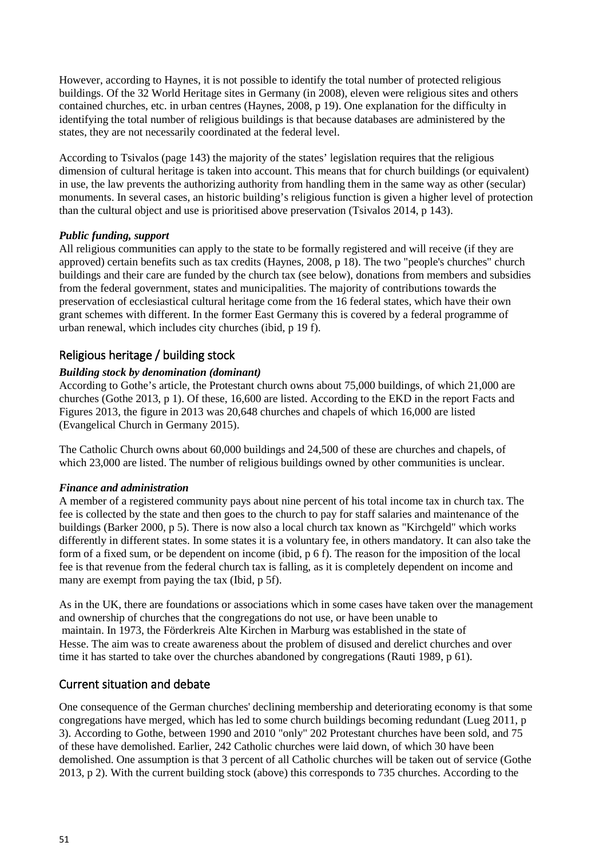However, according to Haynes, it is not possible to identify the total number of protected religious buildings. Of the 32 World Heritage sites in Germany (in 2008), eleven were religious sites and others contained churches, etc. in urban centres (Haynes, 2008, p 19). One explanation for the difficulty in identifying the total number of religious buildings is that because databases are administered by the states, they are not necessarily coordinated at the federal level.

According to Tsivalos (page 143) the majority of the states' legislation requires that the religious dimension of cultural heritage is taken into account. This means that for church buildings (or equivalent) in use, the law prevents the authorizing authority from handling them in the same way as other (secular) monuments. In several cases, an historic building's religious function is given a higher level of protection than the cultural object and use is prioritised above preservation (Tsivalos 2014, p 143).

#### *Public funding, support*

All religious communities can apply to the state to be formally registered and will receive (if they are approved) certain benefits such as tax credits (Haynes, 2008, p 18). The two "people's churches" church buildings and their care are funded by the church tax (see below), donations from members and subsidies from the federal government, states and municipalities. The majority of contributions towards the preservation of ecclesiastical cultural heritage come from the 16 federal states, which have their own grant schemes with different. In the former East Germany this is covered by a federal programme of urban renewal, which includes city churches (ibid, p 19 f).

### Religious heritage / building stock

#### *Building stock by denomination (dominant)*

According to Gothe's article, the Protestant church owns about 75,000 buildings, of which 21,000 are churches (Gothe 2013, p 1). Of these, 16,600 are listed. According to the EKD in the report Facts and Figures 2013, the figure in 2013 was 20,648 churches and chapels of which 16,000 are listed (Evangelical Church in Germany 2015).

The Catholic Church owns about 60,000 buildings and 24,500 of these are churches and chapels, of which 23,000 are listed. The number of religious buildings owned by other communities is unclear.

#### *Finance and administration*

A member of a registered community pays about nine percent of his total income tax in church tax. The fee is collected by the state and then goes to the church to pay for staff salaries and maintenance of the buildings (Barker 2000, p 5). There is now also a local church tax known as "Kirchgeld" which works differently in different states. In some states it is a voluntary fee, in others mandatory. It can also take the form of a fixed sum, or be dependent on income (ibid, p 6 f). The reason for the imposition of the local fee is that revenue from the federal church tax is falling, as it is completely dependent on income and many are exempt from paying the tax (Ibid, p 5f).

As in the UK, there are foundations or associations which in some cases have taken over the management and ownership of churches that the congregations do not use, or have been unable to maintain. In 1973, the Förderkreis Alte Kirchen in Marburg was established in the state of Hesse. The aim was to create awareness about the problem of disused and derelict churches and over time it has started to take over the churches abandoned by congregations (Rauti 1989, p 61).

### Current situation and debate

One consequence of the German churches' declining membership and deteriorating economy is that some congregations have merged, which has led to some church buildings becoming redundant (Lueg 2011, p 3). According to Gothe, between 1990 and 2010 "only" 202 Protestant churches have been sold, and 75 of these have demolished. Earlier, 242 Catholic churches were laid down, of which 30 have been demolished. One assumption is that 3 percent of all Catholic churches will be taken out of service (Gothe 2013, p 2). With the current building stock (above) this corresponds to 735 churches. According to the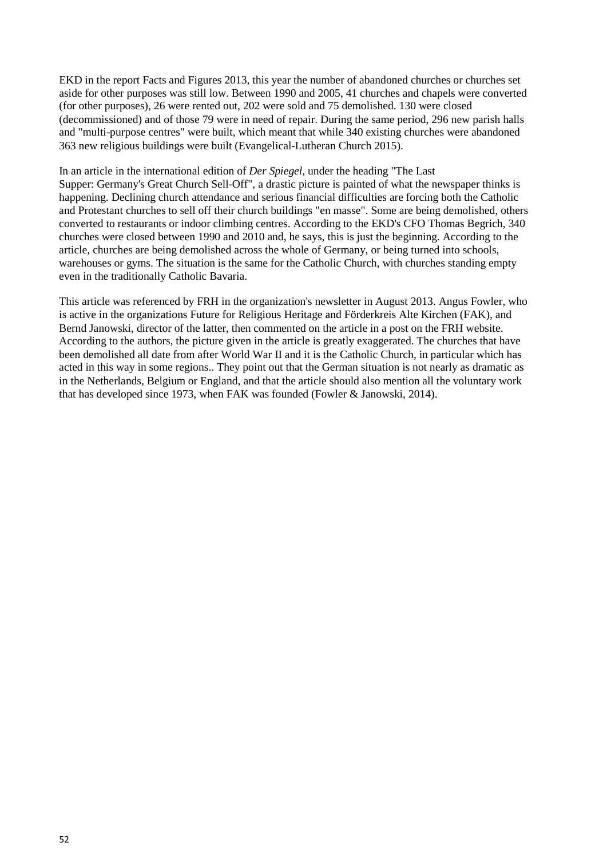EKD in the report Facts and Figures 2013, this year the number of abandoned churches or churches set aside for other purposes was still low. Between 1990 and 2005, 41 churches and chapels were converted (for other purposes), 26 were rented out, 202 were sold and 75 demolished. 130 were closed (decommissioned) and of those 79 were in need of repair. During the same period, 296 new parish halls and "multi-purpose centres" were built, which meant that while 340 existing churches were abandoned 363 new religious buildings were built (Evangelical-Lutheran Church 2015).

In an article in the international edition of *Der Spiegel*, under the heading "The Last Supper: Germany's Great Church Sell-Off", a drastic picture is painted of what the newspaper thinks is happening. Declining church attendance and serious financial difficulties are forcing both the Catholic and Protestant churches to sell off their church buildings "en masse". Some are being demolished, others converted to restaurants or indoor climbing centres. According to the EKD's CFO Thomas Begrich, 340 churches were closed between 1990 and 2010 and, he says, this is just the beginning. According to the article, churches are being demolished across the whole of Germany, or being turned into schools, warehouses or gyms. The situation is the same for the Catholic Church, with churches standing empty even in the traditionally Catholic Bavaria.

This article was referenced by FRH in the organization's newsletter in August 2013. Angus Fowler, who is active in the organizations Future for Religious Heritage and Förderkreis Alte Kirchen (FAK), and Bernd Janowski, director of the latter, then commented on the article in a post on the FRH website. According to the authors, the picture given in the article is greatly exaggerated. The churches that have been demolished all date from after World War II and it is the Catholic Church, in particular which has acted in this way in some regions.. They point out that the German situation is not nearly as dramatic as in the Netherlands, Belgium or England, and that the article should also mention all the voluntary work that has developed since 1973, when FAK was founded (Fowler & Janowski, 2014).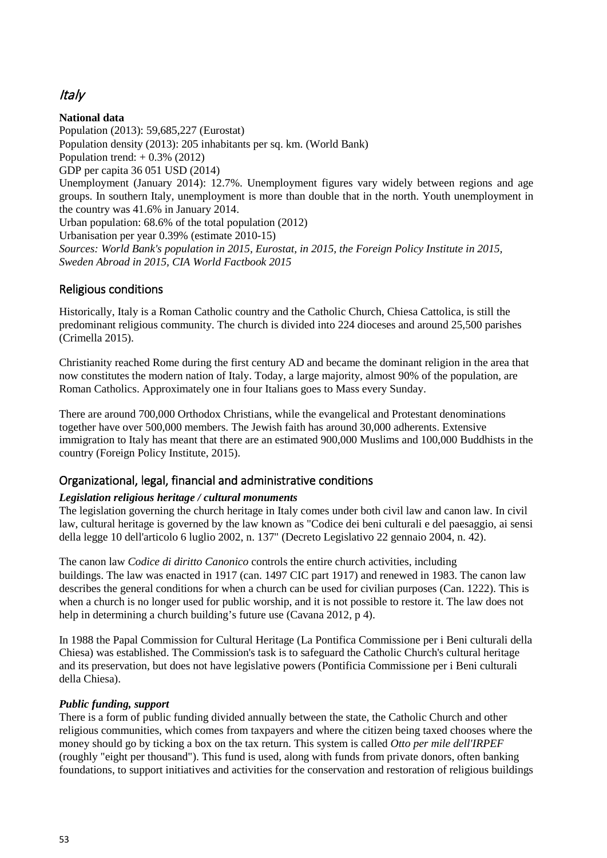# Italy

**National data** Population (2013): 59,685,227 (Eurostat) Population density (2013): 205 inhabitants per sq. km. (World Bank) Population trend:  $+0.3\%$  (2012) GDP per capita 36 051 USD (2014) Unemployment (January 2014): 12.7%. Unemployment figures vary widely between regions and age groups. In southern Italy, unemployment is more than double that in the north. Youth unemployment in the country was 41.6% in January 2014. Urban population: 68.6% of the total population (2012) Urbanisation per year 0.39% (estimate 2010-15) *Sources: World Bank's population in 2015, Eurostat, in 2015, the Foreign Policy Institute in 2015, Sweden Abroad in 2015, CIA World Factbook 2015*

## Religious conditions

Historically, Italy is a Roman Catholic country and the Catholic Church, Chiesa Cattolica, is still the predominant religious community. The church is divided into 224 dioceses and around 25,500 parishes (Crimella 2015).

Christianity reached Rome during the first century AD and became the dominant religion in the area that now constitutes the modern nation of Italy. Today, a large majority, almost 90% of the population, are Roman Catholics. Approximately one in four Italians goes to Mass every Sunday.

There are around 700,000 Orthodox Christians, while the evangelical and Protestant denominations together have over 500,000 members. The Jewish faith has around 30,000 adherents. Extensive immigration to Italy has meant that there are an estimated 900,000 Muslims and 100,000 Buddhists in the country (Foreign Policy Institute, 2015).

## Organizational, legal, financial and administrative conditions

### *Legislation religious heritage / cultural monuments*

The legislation governing the church heritage in Italy comes under both civil law and canon law. In civil law, cultural heritage is governed by the law known as "Codice dei beni culturali e del paesaggio, ai sensi della legge 10 dell'articolo 6 luglio 2002, n. 137" (Decreto Legislativo 22 gennaio 2004, n. 42).

The canon law *Codice di diritto Canonico* controls the entire church activities, including buildings. The law was enacted in 1917 (can. 1497 CIC part 1917) and renewed in 1983. The canon law describes the general conditions for when a church can be used for civilian purposes (Can. 1222). This is when a church is no longer used for public worship, and it is not possible to restore it. The law does not help in determining a church building's future use (Cavana 2012, p 4).

In 1988 the Papal Commission for Cultural Heritage (La Pontifica Commissione per i Beni culturali della Chiesa) was established. The Commission's task is to safeguard the Catholic Church's cultural heritage and its preservation, but does not have legislative powers (Pontificia Commissione per i Beni culturali della Chiesa).

#### *Public funding, support*

There is a form of public funding divided annually between the state, the Catholic Church and other religious communities, which comes from taxpayers and where the citizen being taxed chooses where the money should go by ticking a box on the tax return. This system is called *Otto per mile dell'IRPEF*  (roughly "eight per thousand"). This fund is used, along with funds from private donors, often banking foundations, to support initiatives and activities for the conservation and restoration of religious buildings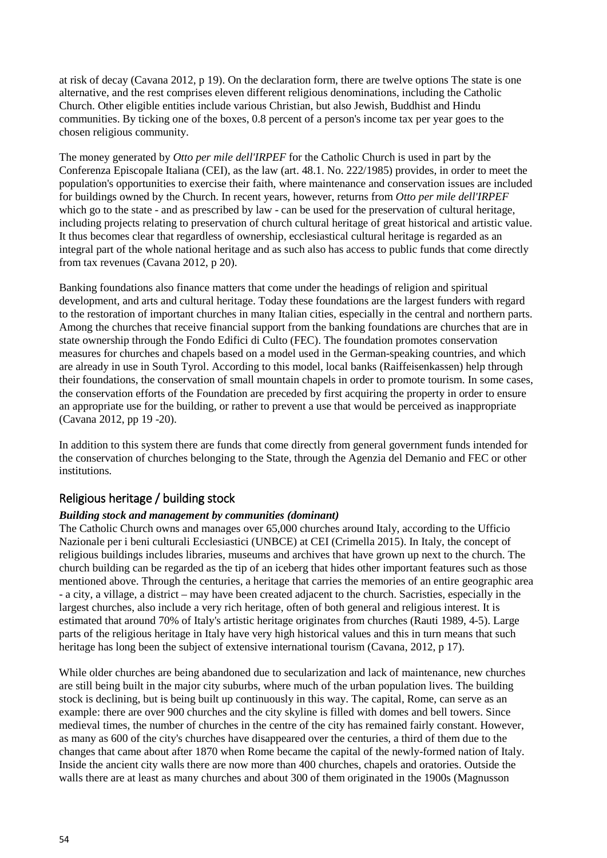at risk of decay (Cavana 2012, p 19). On the declaration form, there are twelve options The state is one alternative, and the rest comprises eleven different religious denominations, including the Catholic Church. Other eligible entities include various Christian, but also Jewish, Buddhist and Hindu communities. By ticking one of the boxes, 0.8 percent of a person's income tax per year goes to the chosen religious community.

The money generated by *Otto per mile dell'IRPEF* for the Catholic Church is used in part by the Conferenza Episcopale Italiana (CEI), as the law (art. 48.1. No. 222/1985) provides, in order to meet the population's opportunities to exercise their faith, where maintenance and conservation issues are included for buildings owned by the Church. In recent years, however, returns from *Otto per mile dell'IRPEF*  which go to the state - and as prescribed by law - can be used for the preservation of cultural heritage, including projects relating to preservation of church cultural heritage of great historical and artistic value. It thus becomes clear that regardless of ownership, ecclesiastical cultural heritage is regarded as an integral part of the whole national heritage and as such also has access to public funds that come directly from tax revenues (Cavana 2012, p 20).

Banking foundations also finance matters that come under the headings of religion and spiritual development, and arts and cultural heritage. Today these foundations are the largest funders with regard to the restoration of important churches in many Italian cities, especially in the central and northern parts. Among the churches that receive financial support from the banking foundations are churches that are in state ownership through the Fondo Edifici di Culto (FEC). The foundation promotes conservation measures for churches and chapels based on a model used in the German-speaking countries, and which are already in use in South Tyrol. According to this model, local banks (Raiffeisenkassen) help through their foundations, the conservation of small mountain chapels in order to promote tourism. In some cases, the conservation efforts of the Foundation are preceded by first acquiring the property in order to ensure an appropriate use for the building, or rather to prevent a use that would be perceived as inappropriate (Cavana 2012, pp 19 -20).

In addition to this system there are funds that come directly from general government funds intended for the conservation of churches belonging to the State, through the Agenzia del Demanio and FEC or other institutions.

### Religious heritage / building stock

#### *Building stock and management by communities (dominant)*

The Catholic Church owns and manages over 65,000 churches around Italy, according to the Ufficio Nazionale per i beni culturali Ecclesiastici (UNBCE) at CEI (Crimella 2015). In Italy, the concept of religious buildings includes libraries, museums and archives that have grown up next to the church. The church building can be regarded as the tip of an iceberg that hides other important features such as those mentioned above. Through the centuries, a heritage that carries the memories of an entire geographic area - a city, a village, a district – may have been created adjacent to the church. Sacristies, especially in the largest churches, also include a very rich heritage, often of both general and religious interest. It is estimated that around 70% of Italy's artistic heritage originates from churches (Rauti 1989, 4-5). Large parts of the religious heritage in Italy have very high historical values and this in turn means that such heritage has long been the subject of extensive international tourism (Cavana, 2012, p 17).

While older churches are being abandoned due to secularization and lack of maintenance, new churches are still being built in the major city suburbs, where much of the urban population lives. The building stock is declining, but is being built up continuously in this way. The capital, Rome, can serve as an example: there are over 900 churches and the city skyline is filled with domes and bell towers. Since medieval times, the number of churches in the centre of the city has remained fairly constant. However, as many as 600 of the city's churches have disappeared over the centuries, a third of them due to the changes that came about after 1870 when Rome became the capital of the newly-formed nation of Italy. Inside the ancient city walls there are now more than 400 churches, chapels and oratories. Outside the walls there are at least as many churches and about 300 of them originated in the 1900s (Magnusson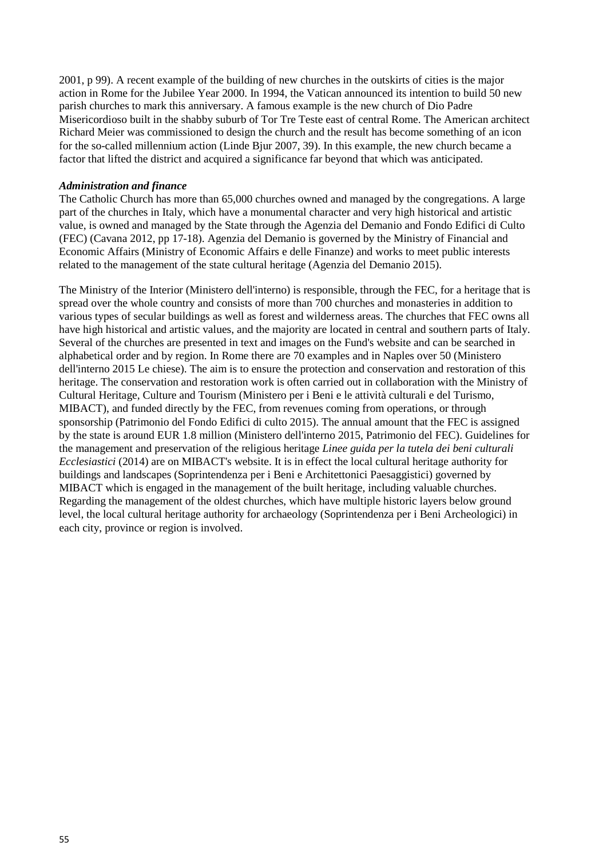2001, p 99). A recent example of the building of new churches in the outskirts of cities is the major action in Rome for the Jubilee Year 2000. In 1994, the Vatican announced its intention to build 50 new parish churches to mark this anniversary. A famous example is the new church of Dio Padre Misericordioso built in the shabby suburb of Tor Tre Teste east of central Rome. The American architect Richard Meier was commissioned to design the church and the result has become something of an icon for the so-called millennium action (Linde Bjur 2007, 39). In this example, the new church became a factor that lifted the district and acquired a significance far beyond that which was anticipated.

#### *Administration and finance*

The Catholic Church has more than 65,000 churches owned and managed by the congregations. A large part of the churches in Italy, which have a monumental character and very high historical and artistic value, is owned and managed by the State through the Agenzia del Demanio and Fondo Edifici di Culto (FEC) (Cavana 2012, pp 17-18). Agenzia del Demanio is governed by the Ministry of Financial and Economic Affairs (Ministry of Economic Affairs e delle Finanze) and works to meet public interests related to the management of the state cultural heritage (Agenzia del Demanio 2015).

The Ministry of the Interior (Ministero dell'interno) is responsible, through the FEC, for a heritage that is spread over the whole country and consists of more than 700 churches and monasteries in addition to various types of secular buildings as well as forest and wilderness areas. The churches that FEC owns all have high historical and artistic values, and the majority are located in central and southern parts of Italy. Several of the churches are presented in text and images on the Fund's website and can be searched in alphabetical order and by region. In Rome there are 70 examples and in Naples over 50 (Ministero dell'interno 2015 Le chiese). The aim is to ensure the protection and conservation and restoration of this heritage. The conservation and restoration work is often carried out in collaboration with the Ministry of Cultural Heritage, Culture and Tourism (Ministero per i Beni e le attività culturali e del Turismo, MIBACT), and funded directly by the FEC, from revenues coming from operations, or through sponsorship (Patrimonio del Fondo Edifici di culto 2015). The annual amount that the FEC is assigned by the state is around EUR 1.8 million (Ministero dell'interno 2015, Patrimonio del FEC). Guidelines for the management and preservation of the religious heritage *Linee guida per la tutela dei beni culturali Ecclesiastici* (2014) are on MIBACT's website. It is in effect the local cultural heritage authority for buildings and landscapes (Soprintendenza per i Beni e Architettonici Paesaggistici) governed by MIBACT which is engaged in the management of the built heritage, including valuable churches. Regarding the management of the oldest churches, which have multiple historic layers below ground level, the local cultural heritage authority for archaeology (Soprintendenza per i Beni Archeologici) in each city, province or region is involved.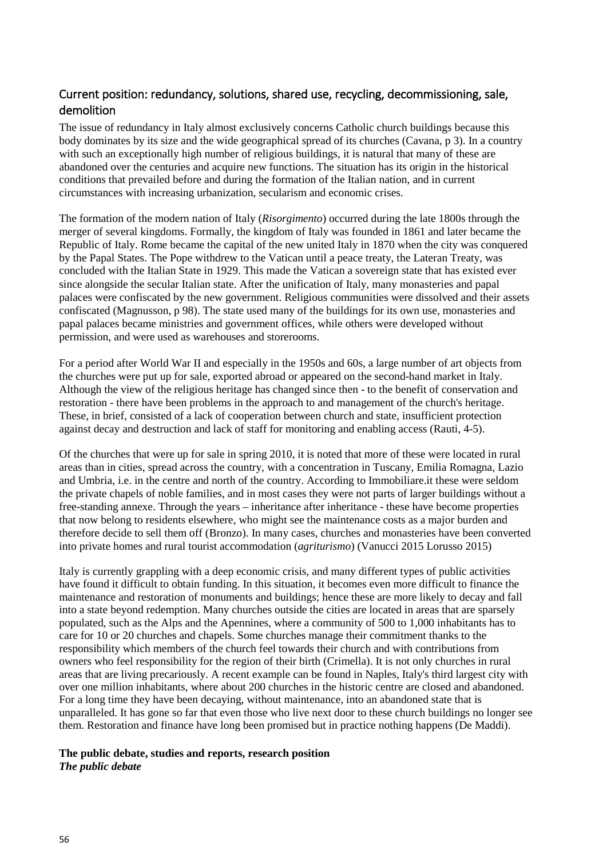## Current position: redundancy, solutions, shared use, recycling, decommissioning, sale, demolition

The issue of redundancy in Italy almost exclusively concerns Catholic church buildings because this body dominates by its size and the wide geographical spread of its churches (Cavana, p 3). In a country with such an exceptionally high number of religious buildings, it is natural that many of these are abandoned over the centuries and acquire new functions. The situation has its origin in the historical conditions that prevailed before and during the formation of the Italian nation, and in current circumstances with increasing urbanization, secularism and economic crises.

The formation of the modern nation of Italy (*Risorgimento*) occurred during the late 1800s through the merger of several kingdoms. Formally, the kingdom of Italy was founded in 1861 and later became the Republic of Italy. Rome became the capital of the new united Italy in 1870 when the city was conquered by the Papal States. The Pope withdrew to the Vatican until a peace treaty, the Lateran Treaty, was concluded with the Italian State in 1929. This made the Vatican a sovereign state that has existed ever since alongside the secular Italian state. After the unification of Italy, many monasteries and papal palaces were confiscated by the new government. Religious communities were dissolved and their assets confiscated (Magnusson, p 98). The state used many of the buildings for its own use, monasteries and papal palaces became ministries and government offices, while others were developed without permission, and were used as warehouses and storerooms.

For a period after World War II and especially in the 1950s and 60s, a large number of art objects from the churches were put up for sale, exported abroad or appeared on the second-hand market in Italy. Although the view of the religious heritage has changed since then - to the benefit of conservation and restoration - there have been problems in the approach to and management of the church's heritage. These, in brief, consisted of a lack of cooperation between church and state, insufficient protection against decay and destruction and lack of staff for monitoring and enabling access (Rauti, 4-5).

Of the churches that were up for sale in spring 2010, it is noted that more of these were located in rural areas than in cities, spread across the country, with a concentration in Tuscany, Emilia Romagna, Lazio and Umbria, i.e. in the centre and north of the country. According to Immobiliare.it these were seldom the private chapels of noble families, and in most cases they were not parts of larger buildings without a free-standing annexe. Through the years – inheritance after inheritance - these have become properties that now belong to residents elsewhere, who might see the maintenance costs as a major burden and therefore decide to sell them off (Bronzo). In many cases, churches and monasteries have been converted into private homes and rural tourist accommodation (*agriturismo*) (Vanucci 2015 Lorusso 2015)

Italy is currently grappling with a deep economic crisis, and many different types of public activities have found it difficult to obtain funding. In this situation, it becomes even more difficult to finance the maintenance and restoration of monuments and buildings; hence these are more likely to decay and fall into a state beyond redemption. Many churches outside the cities are located in areas that are sparsely populated, such as the Alps and the Apennines, where a community of 500 to 1,000 inhabitants has to care for 10 or 20 churches and chapels. Some churches manage their commitment thanks to the responsibility which members of the church feel towards their church and with contributions from owners who feel responsibility for the region of their birth (Crimella). It is not only churches in rural areas that are living precariously. A recent example can be found in Naples, Italy's third largest city with over one million inhabitants, where about 200 churches in the historic centre are closed and abandoned. For a long time they have been decaying, without maintenance, into an abandoned state that is unparalleled. It has gone so far that even those who live next door to these church buildings no longer see them. Restoration and finance have long been promised but in practice nothing happens (De Maddi).

#### **The public debate, studies and reports, research position** *The public debate*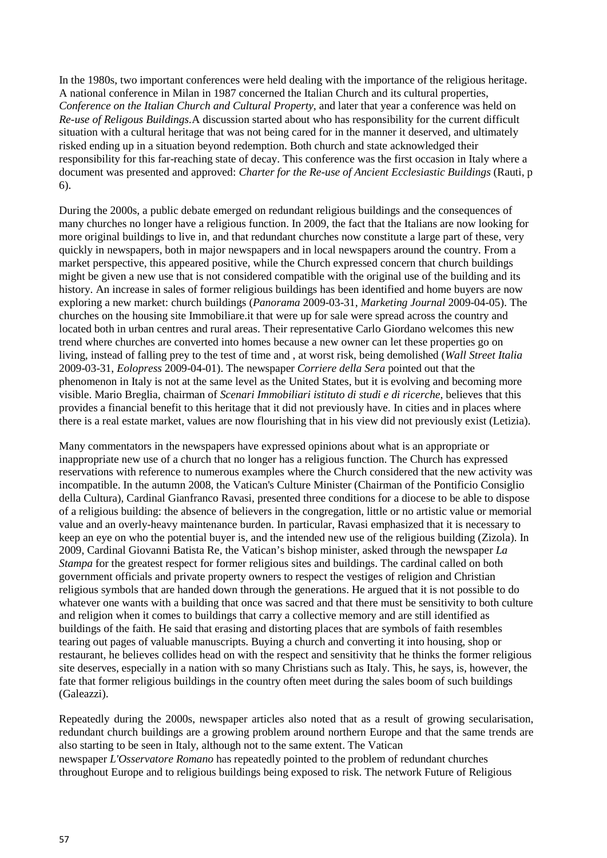In the 1980s, two important conferences were held dealing with the importance of the religious heritage. A national conference in Milan in 1987 concerned the Italian Church and its cultural properties, *Conference on the Italian Church and Cultural Property*, and later that year a conference was held on *Re-use of Religous Buildings.*A discussion started about who has responsibility for the current difficult situation with a cultural heritage that was not being cared for in the manner it deserved, and ultimately risked ending up in a situation beyond redemption. Both church and state acknowledged their responsibility for this far-reaching state of decay. This conference was the first occasion in Italy where a document was presented and approved: *Charter for the Re-use of Ancient Ecclesiastic Buildings* (Rauti, p 6).

During the 2000s, a public debate emerged on redundant religious buildings and the consequences of many churches no longer have a religious function. In 2009, the fact that the Italians are now looking for more original buildings to live in, and that redundant churches now constitute a large part of these, very quickly in newspapers, both in major newspapers and in local newspapers around the country. From a market perspective, this appeared positive, while the Church expressed concern that church buildings might be given a new use that is not considered compatible with the original use of the building and its history. An increase in sales of former religious buildings has been identified and home buyers are now exploring a new market: church buildings (*Panorama* 2009-03-31, *Marketing Journal* 2009-04-05). The churches on the housing site Immobiliare.it that were up for sale were spread across the country and located both in urban centres and rural areas. Their representative Carlo Giordano welcomes this new trend where churches are converted into homes because a new owner can let these properties go on living, instead of falling prey to the test of time and , at worst risk, being demolished (*Wall Street Italia* 2009-03-31, *Eolopress* 2009-04-01). The newspaper *Corriere della Sera* pointed out that the phenomenon in Italy is not at the same level as the United States, but it is evolving and becoming more visible. Mario Breglia, chairman of *Scenari Immobiliari istituto di studi e di ricerche*, believes that this provides a financial benefit to this heritage that it did not previously have. In cities and in places where there is a real estate market, values are now flourishing that in his view did not previously exist (Letizia).

Many commentators in the newspapers have expressed opinions about what is an appropriate or inappropriate new use of a church that no longer has a religious function. The Church has expressed reservations with reference to numerous examples where the Church considered that the new activity was incompatible. In the autumn 2008, the Vatican's Culture Minister (Chairman of the Pontificio Consiglio della Cultura), Cardinal Gianfranco Ravasi, presented three conditions for a diocese to be able to dispose of a religious building: the absence of believers in the congregation, little or no artistic value or memorial value and an overly-heavy maintenance burden. In particular, Ravasi emphasized that it is necessary to keep an eye on who the potential buyer is, and the intended new use of the religious building (Zizola). In 2009, Cardinal Giovanni Batista Re, the Vatican's bishop minister, asked through the newspaper *La Stampa* for the greatest respect for former religious sites and buildings. The cardinal called on both government officials and private property owners to respect the vestiges of religion and Christian religious symbols that are handed down through the generations. He argued that it is not possible to do whatever one wants with a building that once was sacred and that there must be sensitivity to both culture and religion when it comes to buildings that carry a collective memory and are still identified as buildings of the faith. He said that erasing and distorting places that are symbols of faith resembles tearing out pages of valuable manuscripts. Buying a church and converting it into housing, shop or restaurant, he believes collides head on with the respect and sensitivity that he thinks the former religious site deserves, especially in a nation with so many Christians such as Italy. This, he says, is, however, the fate that former religious buildings in the country often meet during the sales boom of such buildings (Galeazzi).

Repeatedly during the 2000s, newspaper articles also noted that as a result of growing secularisation, redundant church buildings are a growing problem around northern Europe and that the same trends are also starting to be seen in Italy, although not to the same extent. The Vatican newspaper *L'Osservatore Romano* has repeatedly pointed to the problem of redundant churches throughout Europe and to religious buildings being exposed to risk. The network Future of Religious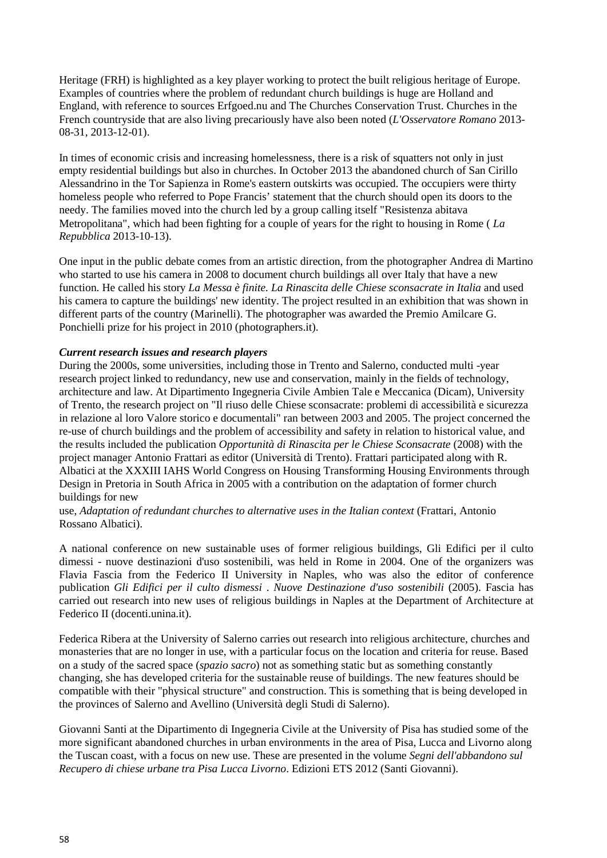Heritage (FRH) is highlighted as a key player working to protect the built religious heritage of Europe. Examples of countries where the problem of redundant church buildings is huge are Holland and England, with reference to sources Erfgoed.nu and The Churches Conservation Trust. Churches in the French countryside that are also living precariously have also been noted (*L'Osservatore Romano* 2013- 08-31, 2013-12-01).

In times of economic crisis and increasing homelessness, there is a risk of squatters not only in just empty residential buildings but also in churches. In October 2013 the abandoned church of San Cirillo Alessandrino in the Tor Sapienza in Rome's eastern outskirts was occupied. The occupiers were thirty homeless people who referred to Pope Francis' statement that the church should open its doors to the needy. The families moved into the church led by a group calling itself "Resistenza abitava Metropolitana", which had been fighting for a couple of years for the right to housing in Rome ( *La Repubblica* 2013-10-13).

One input in the public debate comes from an artistic direction, from the photographer Andrea di Martino who started to use his camera in 2008 to document church buildings all over Italy that have a new function. He called his story *La Messa è finite. La Rinascita delle Chiese sconsacrate in Italia* and used his camera to capture the buildings' new identity. The project resulted in an exhibition that was shown in different parts of the country (Marinelli). The photographer was awarded the Premio Amilcare G. Ponchielli prize for his project in 2010 (photographers.it).

#### *Current research issues and research players*

During the 2000s, some universities, including those in Trento and Salerno, conducted multi -year research project linked to redundancy, new use and conservation, mainly in the fields of technology, architecture and law. At Dipartimento Ingegneria Civile Ambien Tale e Meccanica (Dicam), University of Trento, the research project on "Il riuso delle Chiese sconsacrate: problemi di accessibilità e sicurezza in relazione al loro Valore storico e documentali" ran between 2003 and 2005. The project concerned the re-use of church buildings and the problem of accessibility and safety in relation to historical value, and the results included the publication *Opportunità di Rinascita per le Chiese Sconsacrate* (2008) with the project manager Antonio Frattari as editor (Università di Trento). Frattari participated along with R. Albatici at the XXXIII IAHS World Congress on Housing Transforming Housing Environments through Design in Pretoria in South Africa in 2005 with a contribution on the adaptation of former church buildings for new

use, *Adaptation of redundant churches to alternative uses in the Italian context* (Frattari, Antonio Rossano Albatici).

A national conference on new sustainable uses of former religious buildings, Gli Edifici per il culto dimessi - nuove destinazioni d'uso sostenibili, was held in Rome in 2004. One of the organizers was Flavia Fascia from the Federico II University in Naples, who was also the editor of conference publication *Gli Edifici per il culto dismessi* . *Nuove Destinazione d'uso sostenibili* (2005). Fascia has carried out research into new uses of religious buildings in Naples at the Department of Architecture at Federico II (docenti.unina.it).

Federica Ribera at the University of Salerno carries out research into religious architecture, churches and monasteries that are no longer in use, with a particular focus on the location and criteria for reuse. Based on a study of the sacred space (*spazio sacro*) not as something static but as something constantly changing, she has developed criteria for the sustainable reuse of buildings. The new features should be compatible with their "physical structure" and construction. This is something that is being developed in the provinces of Salerno and Avellino (Università degli Studi di Salerno).

Giovanni Santi at the Dipartimento di Ingegneria Civile at the University of Pisa has studied some of the more significant abandoned churches in urban environments in the area of Pisa, Lucca and Livorno along the Tuscan coast, with a focus on new use. These are presented in the volume *Segni dell'abbandono sul Recupero di chiese urbane tra Pisa Lucca Livorno*. Edizioni ETS 2012 (Santi Giovanni).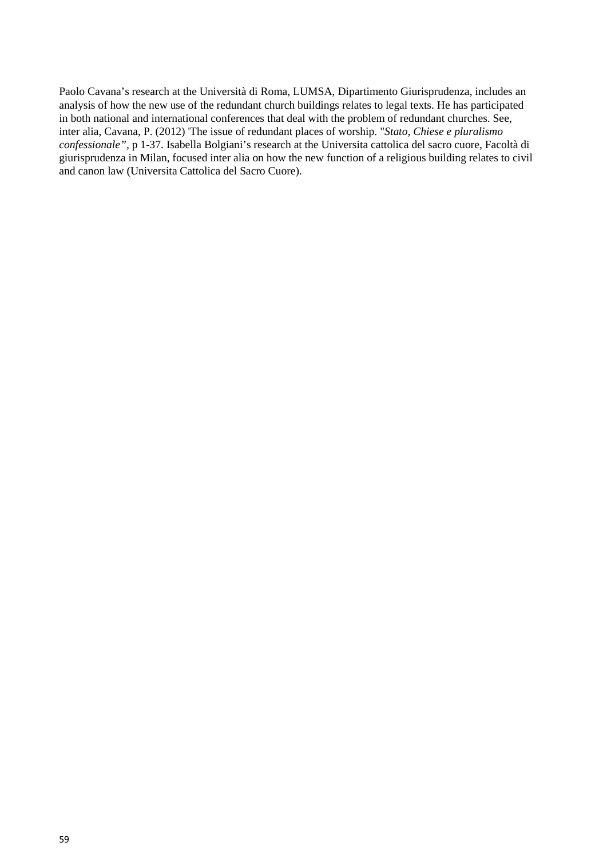Paolo Cavana's research at the Università di Roma, LUMSA, Dipartimento Giurisprudenza, includes an analysis of how the new use of the redundant church buildings relates to legal texts. He has participated in both national and international conferences that deal with the problem of redundant churches. See, inter alia, Cavana, P. (2012) 'The issue of redundant places of worship. "*Stato, Chiese e pluralismo confessionale",* p 1-37. Isabella Bolgiani's research at the Universita cattolica del sacro cuore, Facoltà di giurisprudenza in Milan, focused inter alia on how the new function of a religious building relates to civil and canon law (Universita Cattolica del Sacro Cuore).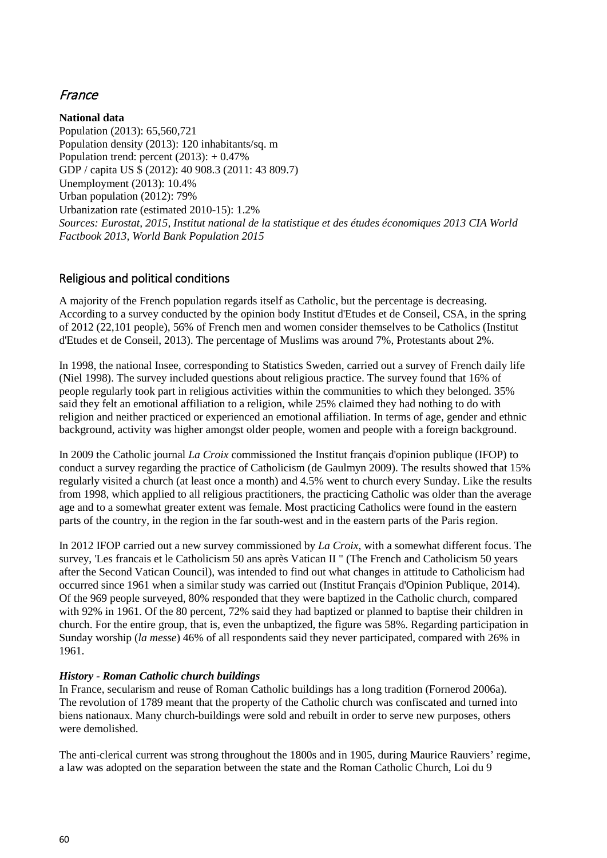# France

**National data** Population (2013): 65,560,721 Population density (2013): 120 inhabitants/sq. m Population trend: percent  $(2013): +0.47\%$ GDP / capita US \$ (2012): 40 908.3 (2011: 43 809.7) Unemployment (2013): 10.4% Urban population (2012): 79% Urbanization rate (estimated 2010-15): 1.2% *Sources: Eurostat, 2015, Institut national de la statistique et des études économiques 2013 CIA World Factbook 2013, World Bank Population 2015*

### Religious and political conditions

A majority of the French population regards itself as Catholic, but the percentage is decreasing. According to a survey conducted by the opinion body Institut d'Etudes et de Conseil, CSA, in the spring of 2012 (22,101 people), 56% of French men and women consider themselves to be Catholics (Institut d'Etudes et de Conseil, 2013). The percentage of Muslims was around 7%, Protestants about 2%.

In 1998, the national Insee, corresponding to Statistics Sweden, carried out a survey of French daily life (Niel 1998). The survey included questions about religious practice. The survey found that 16% of people regularly took part in religious activities within the communities to which they belonged. 35% said they felt an emotional affiliation to a religion, while 25% claimed they had nothing to do with religion and neither practiced or experienced an emotional affiliation. In terms of age, gender and ethnic background, activity was higher amongst older people, women and people with a foreign background.

In 2009 the Catholic journal *La Croix* commissioned the Institut français d'opinion publique (IFOP) to conduct a survey regarding the practice of Catholicism (de Gaulmyn 2009). The results showed that 15% regularly visited a church (at least once a month) and 4.5% went to church every Sunday. Like the results from 1998, which applied to all religious practitioners, the practicing Catholic was older than the average age and to a somewhat greater extent was female. Most practicing Catholics were found in the eastern parts of the country, in the region in the far south-west and in the eastern parts of the Paris region.

In 2012 IFOP carried out a new survey commissioned by *La Croix*, with a somewhat different focus. The survey, 'Les francais et le Catholicism 50 ans après Vatican II " (The French and Catholicism 50 years after the Second Vatican Council), was intended to find out what changes in attitude to Catholicism had occurred since 1961 when a similar study was carried out (Institut Français d'Opinion Publique, 2014). Of the 969 people surveyed, 80% responded that they were baptized in the Catholic church, compared with 92% in 1961. Of the 80 percent, 72% said they had baptized or planned to baptise their children in church. For the entire group, that is, even the unbaptized, the figure was 58%. Regarding participation in Sunday worship (*la messe*) 46% of all respondents said they never participated, compared with 26% in 1961.

#### *History - Roman Catholic church buildings*

In France, secularism and reuse of Roman Catholic buildings has a long tradition (Fornerod 2006a). The revolution of 1789 meant that the property of the Catholic church was confiscated and turned into biens nationaux. Many church-buildings were sold and rebuilt in order to serve new purposes, others were demolished.

The anti-clerical current was strong throughout the 1800s and in 1905, during Maurice Rauviers' regime, a law was adopted on the separation between the state and the Roman Catholic Church, Loi du 9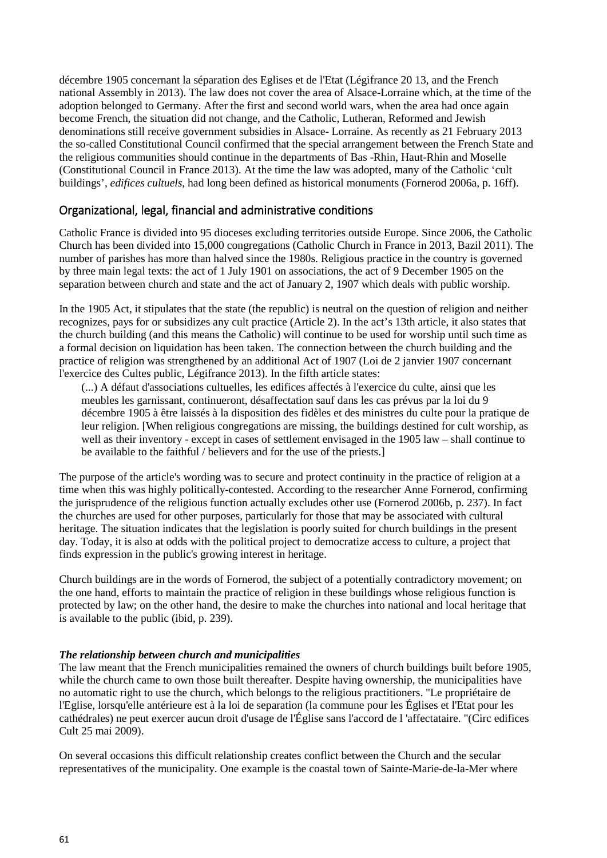décembre 1905 concernant la séparation des Eglises et de l'Etat (Légifrance 20 13, and the French national Assembly in 2013). The law does not cover the area of Alsace-Lorraine which, at the time of the adoption belonged to Germany. After the first and second world wars, when the area had once again become French, the situation did not change, and the Catholic, Lutheran, Reformed and Jewish denominations still receive government subsidies in Alsace- Lorraine. As recently as 21 February 2013 the so-called Constitutional Council confirmed that the special arrangement between the French State and the religious communities should continue in the departments of Bas -Rhin, Haut-Rhin and Moselle (Constitutional Council in France 2013). At the time the law was adopted, many of the Catholic 'cult buildings', *edifices cultuels*, had long been defined as historical monuments (Fornerod 2006a, p. 16ff).

### Organizational, legal, financial and administrative conditions

Catholic France is divided into 95 dioceses excluding territories outside Europe. Since 2006, the Catholic Church has been divided into 15,000 congregations (Catholic Church in France in 2013, Bazil 2011). The number of parishes has more than halved since the 1980s. Religious practice in the country is governed by three main legal texts: the act of 1 July 1901 on associations, the act of 9 December 1905 on the separation between church and state and the act of January 2, 1907 which deals with public worship.

In the 1905 Act, it stipulates that the state (the republic) is neutral on the question of religion and neither recognizes, pays for or subsidizes any cult practice (Article 2). In the act's 13th article, it also states that the church building (and this means the Catholic) will continue to be used for worship until such time as a formal decision on liquidation has been taken. The connection between the church building and the practice of religion was strengthened by an additional Act of 1907 (Loi de 2 janvier 1907 concernant l'exercice des Cultes public, Légifrance 2013). In the fifth article states:

(...) A défaut d'associations cultuelles, les edifices affectés à l'exercice du culte, ainsi que les meubles les garnissant, continueront, désaffectation sauf dans les cas prévus par la loi du 9 décembre 1905 à être laissés à la disposition des fidèles et des ministres du culte pour la pratique de leur religion. [When religious congregations are missing, the buildings destined for cult worship, as well as their inventory - except in cases of settlement envisaged in the 1905 law – shall continue to be available to the faithful / believers and for the use of the priests.]

The purpose of the article's wording was to secure and protect continuity in the practice of religion at a time when this was highly politically-contested. According to the researcher Anne Fornerod, confirming the jurisprudence of the religious function actually excludes other use (Fornerod 2006b, p. 237). In fact the churches are used for other purposes, particularly for those that may be associated with cultural heritage. The situation indicates that the legislation is poorly suited for church buildings in the present day. Today, it is also at odds with the political project to democratize access to culture, a project that finds expression in the public's growing interest in heritage.

Church buildings are in the words of Fornerod, the subject of a potentially contradictory movement; on the one hand, efforts to maintain the practice of religion in these buildings whose religious function is protected by law; on the other hand, the desire to make the churches into national and local heritage that is available to the public (ibid, p. 239).

#### *The relationship between church and municipalities*

The law meant that the French municipalities remained the owners of church buildings built before 1905, while the church came to own those built thereafter. Despite having ownership, the municipalities have no automatic right to use the church, which belongs to the religious practitioners. "Le propriétaire de l'Eglise, lorsqu'elle antérieure est à la loi de separation (la commune pour les Églises et l'Etat pour les cathédrales) ne peut exercer aucun droit d'usage de l'Église sans l'accord de l 'affectataire. "(Circ edifices Cult 25 mai 2009).

On several occasions this difficult relationship creates conflict between the Church and the secular representatives of the municipality. One example is the coastal town of Sainte-Marie-de-la-Mer where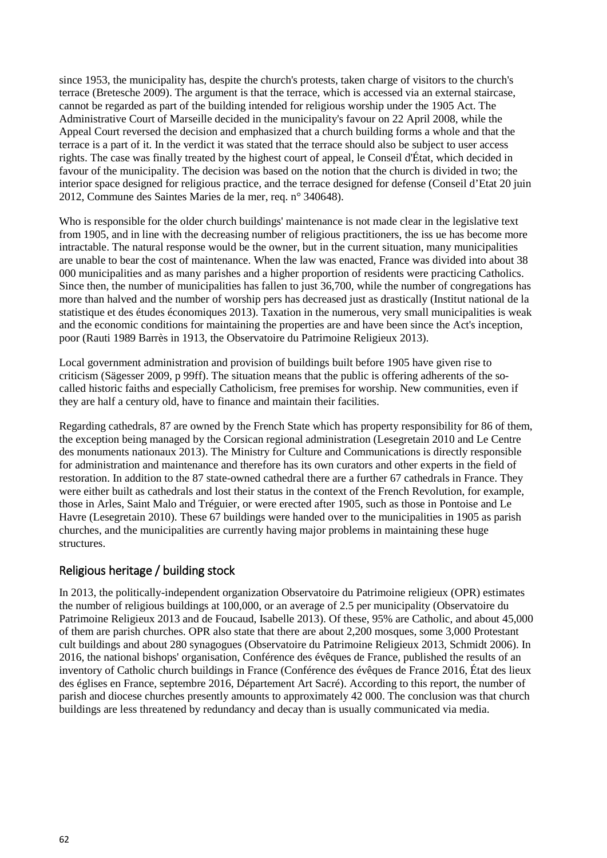since 1953, the municipality has, despite the church's protests, taken charge of visitors to the church's terrace (Bretesche 2009). The argument is that the terrace, which is accessed via an external staircase, cannot be regarded as part of the building intended for religious worship under the 1905 Act. The Administrative Court of Marseille decided in the municipality's favour on 22 April 2008, while the Appeal Court reversed the decision and emphasized that a church building forms a whole and that the terrace is a part of it. In the verdict it was stated that the terrace should also be subject to user access rights. The case was finally treated by the highest court of appeal, le Conseil d'État, which decided in favour of the municipality. The decision was based on the notion that the church is divided in two; the interior space designed for religious practice, and the terrace designed for defense (Conseil d'Etat 20 juin 2012, Commune des Saintes Maries de la mer, req. n° 340648).

Who is responsible for the older church buildings' maintenance is not made clear in the legislative text from 1905, and in line with the decreasing number of religious practitioners, the iss ue has become more intractable. The natural response would be the owner, but in the current situation, many municipalities are unable to bear the cost of maintenance. When the law was enacted, France was divided into about 38 000 municipalities and as many parishes and a higher proportion of residents were practicing Catholics. Since then, the number of municipalities has fallen to just 36,700, while the number of congregations has more than halved and the number of worship pers has decreased just as drastically (Institut national de la statistique et des études économiques 2013). Taxation in the numerous, very small municipalities is weak and the economic conditions for maintaining the properties are and have been since the Act's inception, poor (Rauti 1989 Barrès in 1913, the Observatoire du Patrimoine Religieux 2013).

Local government administration and provision of buildings built before 1905 have given rise to criticism (Sägesser 2009, p 99ff). The situation means that the public is offering adherents of the socalled historic faiths and especially Catholicism, free premises for worship. New communities, even if they are half a century old, have to finance and maintain their facilities.

Regarding cathedrals, 87 are owned by the French State which has property responsibility for 86 of them, the exception being managed by the Corsican regional administration (Lesegretain 2010 and Le Centre des monuments nationaux 2013). The Ministry for Culture and Communications is directly responsible for administration and maintenance and therefore has its own curators and other experts in the field of restoration. In addition to the 87 state-owned cathedral there are a further 67 cathedrals in France. They were either built as cathedrals and lost their status in the context of the French Revolution, for example, those in Arles, Saint Malo and Tréguier, or were erected after 1905, such as those in Pontoise and Le Havre (Lesegretain 2010). These 67 buildings were handed over to the municipalities in 1905 as parish churches, and the municipalities are currently having major problems in maintaining these huge structures.

### Religious heritage / building stock

In 2013, the politically-independent organization Observatoire du Patrimoine religieux (OPR) estimates the number of religious buildings at 100,000, or an average of 2.5 per municipality (Observatoire du Patrimoine Religieux 2013 and de Foucaud, Isabelle 2013). Of these, 95% are Catholic, and about 45,000 of them are parish churches. OPR also state that there are about 2,200 mosques, some 3,000 Protestant cult buildings and about 280 synagogues (Observatoire du Patrimoine Religieux 2013, Schmidt 2006). In 2016, the national bishops' organisation, Conférence des évêques de France, published the results of an inventory of Catholic church buildings in France (Conférence des évêques de France 2016, État des lieux des églises en France, septembre 2016, Département Art Sacré). According to this report, the number of parish and diocese churches presently amounts to approximately 42 000. The conclusion was that church buildings are less threatened by redundancy and decay than is usually communicated via media.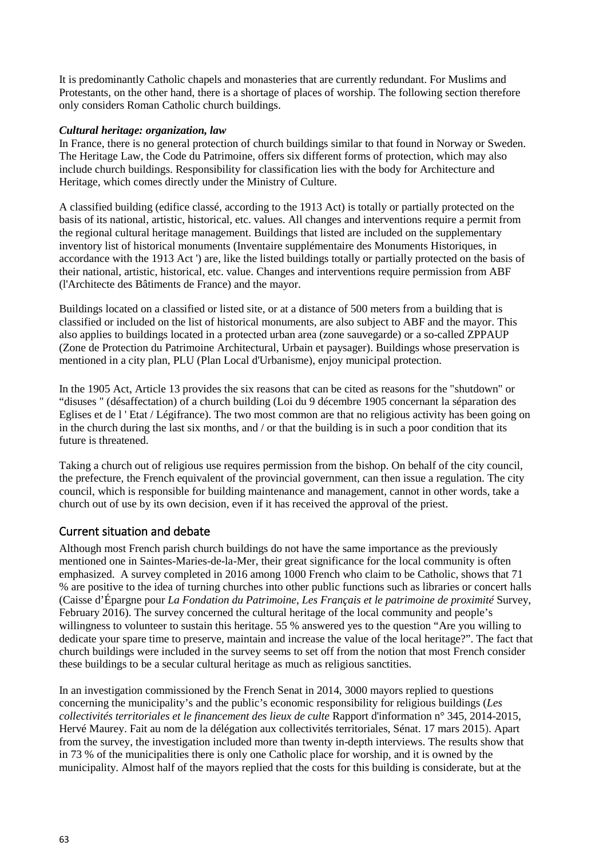It is predominantly Catholic chapels and monasteries that are currently redundant. For Muslims and Protestants, on the other hand, there is a shortage of places of worship. The following section therefore only considers Roman Catholic church buildings.

#### *Cultural heritage: organization, law*

In France, there is no general protection of church buildings similar to that found in Norway or Sweden. The Heritage Law, the Code du Patrimoine, offers six different forms of protection, which may also include church buildings. Responsibility for classification lies with the body for Architecture and Heritage, which comes directly under the Ministry of Culture.

A classified building (edifice classé, according to the 1913 Act) is totally or partially protected on the basis of its national, artistic, historical, etc. values. All changes and interventions require a permit from the regional cultural heritage management. Buildings that listed are included on the supplementary inventory list of historical monuments (Inventaire supplémentaire des Monuments Historiques, in accordance with the 1913 Act ') are, like the listed buildings totally or partially protected on the basis of their national, artistic, historical, etc. value. Changes and interventions require permission from ABF (l'Architecte des Bâtiments de France) and the mayor.

Buildings located on a classified or listed site, or at a distance of 500 meters from a building that is classified or included on the list of historical monuments, are also subject to ABF and the mayor. This also applies to buildings located in a protected urban area (zone sauvegarde) or a so-called ZPPAUP (Zone de Protection du Patrimoine Architectural, Urbain et paysager). Buildings whose preservation is mentioned in a city plan, PLU (Plan Local d'Urbanisme), enjoy municipal protection.

In the 1905 Act, Article 13 provides the six reasons that can be cited as reasons for the "shutdown" or "disuses " (désaffectation) of a church building (Loi du 9 décembre 1905 concernant la séparation des Eglises et de l ' Etat / Légifrance). The two most common are that no religious activity has been going on in the church during the last six months, and / or that the building is in such a poor condition that its future is threatened.

Taking a church out of religious use requires permission from the bishop. On behalf of the city council, the prefecture, the French equivalent of the provincial government, can then issue a regulation. The city council, which is responsible for building maintenance and management, cannot in other words, take a church out of use by its own decision, even if it has received the approval of the priest.

### Current situation and debate

Although most French parish church buildings do not have the same importance as the previously mentioned one in Saintes-Maries-de-la-Mer, their great significance for the local community is often emphasized. A survey completed in 2016 among 1000 French who claim to be Catholic, shows that 71 % are positive to the idea of turning churches into other public functions such as libraries or concert halls (Caisse d'Épargne pour *La Fondation du Patrimoine*, *Les Français et le patrimoine de proximité* Survey, February 2016). The survey concerned the cultural heritage of the local community and people's willingness to volunteer to sustain this heritage. 55 % answered yes to the question "Are you willing to dedicate your spare time to preserve, maintain and increase the value of the local heritage?". The fact that church buildings were included in the survey seems to set off from the notion that most French consider these buildings to be a secular cultural heritage as much as religious sanctities.

In an investigation commissioned by the French Senat in 2014, 3000 mayors replied to questions concerning the municipality's and the public's economic responsibility for religious buildings (*Les collectivités territoriales et le financement des lieux de culte* Rapport d'information n° 345, 2014-2015, Hervé Maurey. Fait au nom de la délégation aux collectivités territoriales, Sénat. 17 mars 2015). Apart from the survey, the investigation included more than twenty in-depth interviews. The results show that in 73 % of the municipalities there is only one Catholic place for worship, and it is owned by the municipality. Almost half of the mayors replied that the costs for this building is considerate, but at the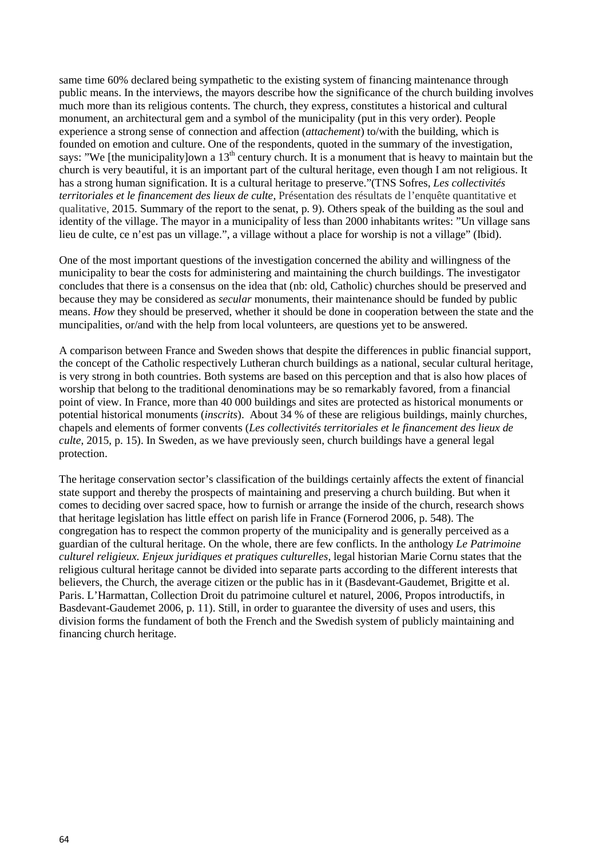same time 60% declared being sympathetic to the existing system of financing maintenance through public means. In the interviews, the mayors describe how the significance of the church building involves much more than its religious contents. The church, they express, constitutes a historical and cultural monument, an architectural gem and a symbol of the municipality (put in this very order). People experience a strong sense of connection and affection (*attachement*) to/with the building, which is founded on emotion and culture. One of the respondents, quoted in the summary of the investigation, says: "We [the municipality]own a  $13<sup>th</sup>$  century church. It is a monument that is heavy to maintain but the church is very beautiful, it is an important part of the cultural heritage, even though I am not religious. It has a strong human signification. It is a cultural heritage to preserve."(TNS Sofres, *Les collectivités territoriales et le financement des lieux de culte*, Présentation des résultats de l'enquête quantitative et qualitative, 2015. Summary of the report to the senat, p. 9). Others speak of the building as the soul and identity of the village. The mayor in a municipality of less than 2000 inhabitants writes: "Un village sans lieu de culte, ce n'est pas un village.", a village without a place for worship is not a village" (Ibid).

One of the most important questions of the investigation concerned the ability and willingness of the municipality to bear the costs for administering and maintaining the church buildings. The investigator concludes that there is a consensus on the idea that (nb: old, Catholic) churches should be preserved and because they may be considered as *secular* monuments, their maintenance should be funded by public means. *How* they should be preserved, whether it should be done in cooperation between the state and the muncipalities, or/and with the help from local volunteers, are questions yet to be answered.

A comparison between France and Sweden shows that despite the differences in public financial support, the concept of the Catholic respectively Lutheran church buildings as a national, secular cultural heritage, is very strong in both countries. Both systems are based on this perception and that is also how places of worship that belong to the traditional denominations may be so remarkably favored, from a financial point of view. In France, more than 40 000 buildings and sites are protected as historical monuments or potential historical monuments (*inscrits*). About 34 % of these are religious buildings, mainly churches, chapels and elements of former convents (*Les collectivités territoriales et le financement des lieux de culte*, 2015, p. 15). In Sweden, as we have previously seen, church buildings have a general legal protection.

The heritage conservation sector's classification of the buildings certainly affects the extent of financial state support and thereby the prospects of maintaining and preserving a church building. But when it comes to deciding over sacred space, how to furnish or arrange the inside of the church, research shows that heritage legislation has little effect on parish life in France (Fornerod 2006, p. 548). The congregation has to respect the common property of the municipality and is generally perceived as a guardian of the cultural heritage. On the whole, there are few conflicts. In the anthology *Le Patrimoine culturel religieux. Enjeux juridiques et pratiques culturelles*, legal historian Marie Cornu states that the religious cultural heritage cannot be divided into separate parts according to the different interests that believers, the Church, the average citizen or the public has in it (Basdevant-Gaudemet, Brigitte et al. Paris. L'Harmattan, Collection Droit du patrimoine culturel et naturel, 2006, Propos introductifs, in Basdevant-Gaudemet 2006, p. 11). Still, in order to guarantee the diversity of uses and users, this division forms the fundament of both the French and the Swedish system of publicly maintaining and financing church heritage.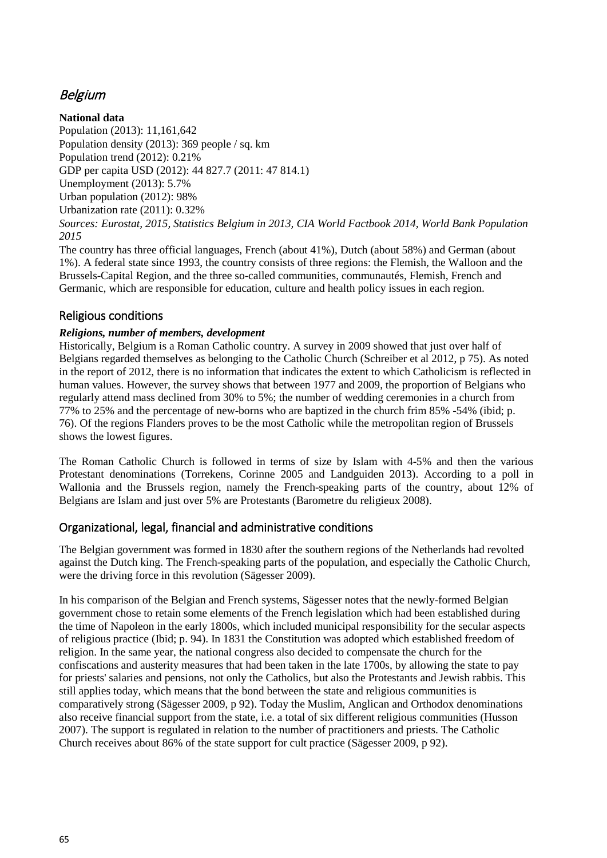# Belgium

**National data** Population (2013): 11,161,642 Population density (2013): 369 people / sq. km Population trend (2012): 0.21% GDP per capita USD (2012): 44 827.7 (2011: 47 814.1) Unemployment (2013): 5.7% Urban population (2012): 98% Urbanization rate (2011): 0.32% *Sources: Eurostat, 2015, Statistics Belgium in 2013, CIA World Factbook 2014, World Bank Population 2015*

The country has three official languages, French (about 41%), Dutch (about 58%) and German (about 1%). A federal state since 1993, the country consists of three regions: the Flemish, the Walloon and the Brussels-Capital Region, and the three so-called communities, communautés, Flemish, French and Germanic, which are responsible for education, culture and health policy issues in each region.

## Religious conditions

#### *Religions, number of members, development*

Historically, Belgium is a Roman Catholic country. A survey in 2009 showed that just over half of Belgians regarded themselves as belonging to the Catholic Church (Schreiber et al 2012, p 75). As noted in the report of 2012, there is no information that indicates the extent to which Catholicism is reflected in human values. However, the survey shows that between 1977 and 2009, the proportion of Belgians who regularly attend mass declined from 30% to 5%; the number of wedding ceremonies in a church from 77% to 25% and the percentage of new-borns who are baptized in the church frim 85% -54% (ibid; p. 76). Of the regions Flanders proves to be the most Catholic while the metropolitan region of Brussels shows the lowest figures.

The Roman Catholic Church is followed in terms of size by Islam with 4-5% and then the various Protestant denominations (Torrekens, Corinne 2005 and Landguiden 2013). According to a poll in Wallonia and the Brussels region, namely the French-speaking parts of the country, about 12% of Belgians are Islam and just over 5% are Protestants (Barometre du religieux 2008).

### Organizational, legal, financial and administrative conditions

The Belgian government was formed in 1830 after the southern regions of the Netherlands had revolted against the Dutch king. The French-speaking parts of the population, and especially the Catholic Church, were the driving force in this revolution (Sägesser 2009).

In his comparison of the Belgian and French systems, Sägesser notes that the newly-formed Belgian government chose to retain some elements of the French legislation which had been established during the time of Napoleon in the early 1800s, which included municipal responsibility for the secular aspects of religious practice (Ibid; p. 94). In 1831 the Constitution was adopted which established freedom of religion. In the same year, the national congress also decided to compensate the church for the confiscations and austerity measures that had been taken in the late 1700s, by allowing the state to pay for priests' salaries and pensions, not only the Catholics, but also the Protestants and Jewish rabbis. This still applies today, which means that the bond between the state and religious communities is comparatively strong (Sägesser 2009, p 92). Today the Muslim, Anglican and Orthodox denominations also receive financial support from the state, i.e. a total of six different religious communities (Husson 2007). The support is regulated in relation to the number of practitioners and priests. The Catholic Church receives about 86% of the state support for cult practice (Sägesser 2009, p 92).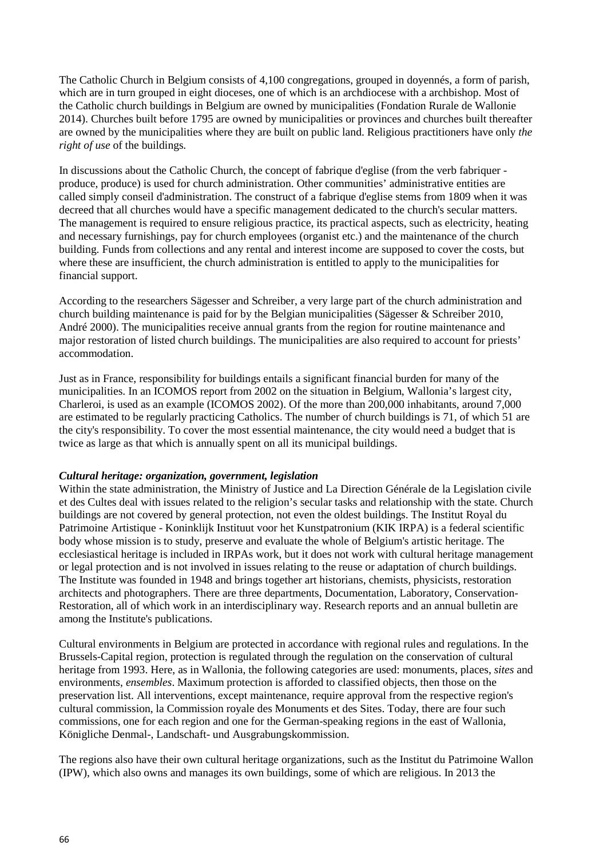The Catholic Church in Belgium consists of 4,100 congregations, grouped in doyennés, a form of parish, which are in turn grouped in eight dioceses, one of which is an archdiocese with a archbishop. Most of the Catholic church buildings in Belgium are owned by municipalities (Fondation Rurale de Wallonie 2014). Churches built before 1795 are owned by municipalities or provinces and churches built thereafter are owned by the municipalities where they are built on public land. Religious practitioners have only *the right of use* of the buildings.

In discussions about the Catholic Church, the concept of fabrique d'eglise (from the verb fabriquer produce, produce) is used for church administration. Other communities' administrative entities are called simply conseil d'administration. The construct of a fabrique d'eglise stems from 1809 when it was decreed that all churches would have a specific management dedicated to the church's secular matters. The management is required to ensure religious practice, its practical aspects, such as electricity, heating and necessary furnishings, pay for church employees (organist etc.) and the maintenance of the church building. Funds from collections and any rental and interest income are supposed to cover the costs, but where these are insufficient, the church administration is entitled to apply to the municipalities for financial support.

According to the researchers Sägesser and Schreiber, a very large part of the church administration and church building maintenance is paid for by the Belgian municipalities (Sägesser & Schreiber 2010, André 2000). The municipalities receive annual grants from the region for routine maintenance and major restoration of listed church buildings. The municipalities are also required to account for priests' accommodation.

Just as in France, responsibility for buildings entails a significant financial burden for many of the municipalities. In an ICOMOS report from 2002 on the situation in Belgium, Wallonia's largest city, Charleroi, is used as an example (ICOMOS 2002). Of the more than 200,000 inhabitants, around 7,000 are estimated to be regularly practicing Catholics. The number of church buildings is 71, of which 51 are the city's responsibility. To cover the most essential maintenance, the city would need a budget that is twice as large as that which is annually spent on all its municipal buildings.

#### *Cultural heritage: organization, government, legislation*

Within the state administration, the Ministry of Justice and La Direction Générale de la Legislation civile et des Cultes deal with issues related to the religion's secular tasks and relationship with the state. Church buildings are not covered by general protection, not even the oldest buildings. The Institut Royal du Patrimoine Artistique - Koninklijk Instituut voor het Kunstpatronium (KIK IRPA) is a federal scientific body whose mission is to study, preserve and evaluate the whole of Belgium's artistic heritage. The ecclesiastical heritage is included in IRPAs work, but it does not work with cultural heritage management or legal protection and is not involved in issues relating to the reuse or adaptation of church buildings. The Institute was founded in 1948 and brings together art historians, chemists, physicists, restoration architects and photographers. There are three departments, Documentation, Laboratory, Conservation-Restoration, all of which work in an interdisciplinary way. Research reports and an annual bulletin are among the Institute's publications.

Cultural environments in Belgium are protected in accordance with regional rules and regulations. In the Brussels-Capital region, protection is regulated through the regulation on the conservation of cultural heritage from 1993. Here, as in Wallonia, the following categories are used: monuments, places, *sites* and environments, *ensembles*. Maximum protection is afforded to classified objects, then those on the preservation list. All interventions, except maintenance, require approval from the respective region's cultural commission, la Commission royale des Monuments et des Sites. Today, there are four such commissions, one for each region and one for the German-speaking regions in the east of Wallonia, Königliche Denmal-, Landschaft- und Ausgrabungskommission.

The regions also have their own cultural heritage organizations, such as the Institut du Patrimoine Wallon (IPW), which also owns and manages its own buildings, some of which are religious. In 2013 the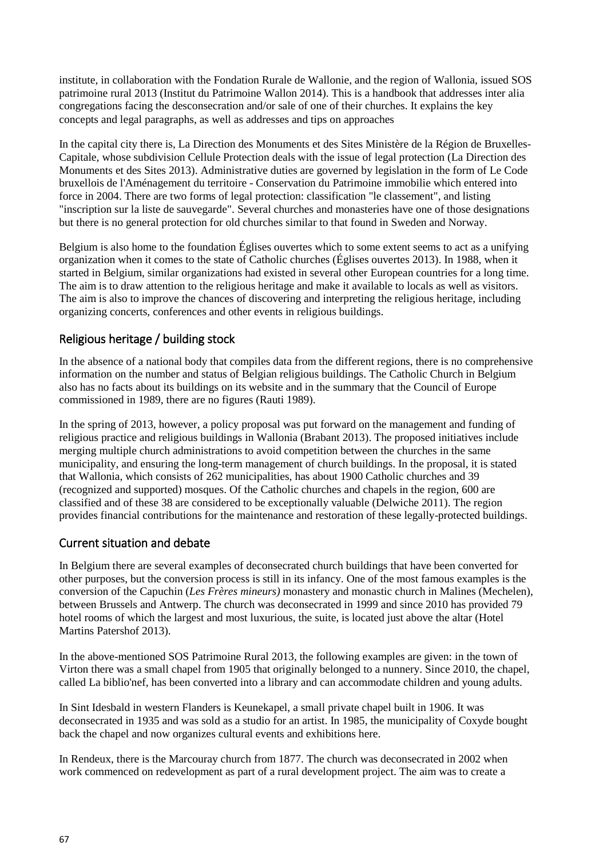institute, in collaboration with the Fondation Rurale de Wallonie, and the region of Wallonia, issued SOS patrimoine rural 2013 (Institut du Patrimoine Wallon 2014). This is a handbook that addresses inter alia congregations facing the desconsecration and/or sale of one of their churches. It explains the key concepts and legal paragraphs, as well as addresses and tips on approaches

In the capital city there is, La Direction des Monuments et des Sites Ministère de la Région de Bruxelles-Capitale, whose subdivision Cellule Protection deals with the issue of legal protection (La Direction des Monuments et des Sites 2013). Administrative duties are governed by legislation in the form of Le Code bruxellois de l'Aménagement du territoire - Conservation du Patrimoine immobilie which entered into force in 2004. There are two forms of legal protection: classification "le classement", and listing "inscription sur la liste de sauvegarde". Several churches and monasteries have one of those designations but there is no general protection for old churches similar to that found in Sweden and Norway.

Belgium is also home to the foundation Églises ouvertes which to some extent seems to act as a unifying organization when it comes to the state of Catholic churches (Églises ouvertes 2013). In 1988, when it started in Belgium, similar organizations had existed in several other European countries for a long time. The aim is to draw attention to the religious heritage and make it available to locals as well as visitors. The aim is also to improve the chances of discovering and interpreting the religious heritage, including organizing concerts, conferences and other events in religious buildings.

## Religious heritage / building stock

In the absence of a national body that compiles data from the different regions, there is no comprehensive information on the number and status of Belgian religious buildings. The Catholic Church in Belgium also has no facts about its buildings on its website and in the summary that the Council of Europe commissioned in 1989, there are no figures (Rauti 1989).

In the spring of 2013, however, a policy proposal was put forward on the management and funding of religious practice and religious buildings in Wallonia (Brabant 2013). The proposed initiatives include merging multiple church administrations to avoid competition between the churches in the same municipality, and ensuring the long-term management of church buildings. In the proposal, it is stated that Wallonia, which consists of 262 municipalities, has about 1900 Catholic churches and 39 (recognized and supported) mosques. Of the Catholic churches and chapels in the region, 600 are classified and of these 38 are considered to be exceptionally valuable (Delwiche 2011). The region provides financial contributions for the maintenance and restoration of these legally-protected buildings.

## Current situation and debate

In Belgium there are several examples of deconsecrated church buildings that have been converted for other purposes, but the conversion process is still in its infancy. One of the most famous examples is the conversion of the Capuchin (*Les Frères mineurs)* monastery and monastic church in Malines (Mechelen), between Brussels and Antwerp. The church was deconsecrated in 1999 and since 2010 has provided 79 hotel rooms of which the largest and most luxurious, the suite, is located just above the altar (Hotel Martins Patershof 2013).

In the above-mentioned SOS Patrimoine Rural 2013, the following examples are given: in the town of Virton there was a small chapel from 1905 that originally belonged to a nunnery. Since 2010, the chapel, called La biblio'nef, has been converted into a library and can accommodate children and young adults.

In Sint Idesbald in western Flanders is Keunekapel, a small private chapel built in 1906. It was deconsecrated in 1935 and was sold as a studio for an artist. In 1985, the municipality of Coxyde bought back the chapel and now organizes cultural events and exhibitions here.

In Rendeux, there is the Marcouray church from 1877. The church was deconsecrated in 2002 when work commenced on redevelopment as part of a rural development project. The aim was to create a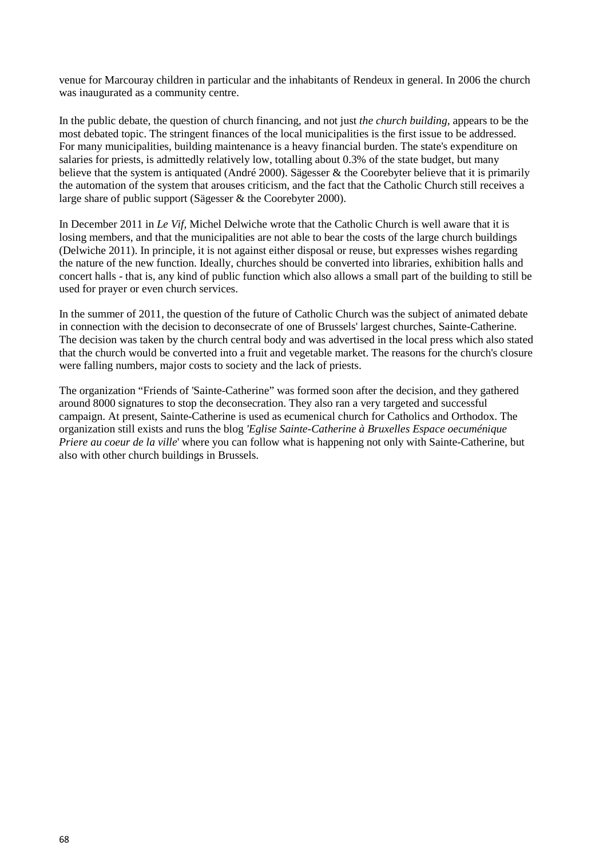venue for Marcouray children in particular and the inhabitants of Rendeux in general. In 2006 the church was inaugurated as a community centre.

In the public debate, the question of church financing, and not just *the church building*, appears to be the most debated topic. The stringent finances of the local municipalities is the first issue to be addressed. For many municipalities, building maintenance is a heavy financial burden. The state's expenditure on salaries for priests, is admittedly relatively low, totalling about 0.3% of the state budget, but many believe that the system is antiquated (André 2000). Sägesser & the Coorebyter believe that it is primarily the automation of the system that arouses criticism, and the fact that the Catholic Church still receives a large share of public support (Sägesser & the Coorebyter 2000).

In December 2011 in *Le Vif,* Michel Delwiche wrote that the Catholic Church is well aware that it is losing members, and that the municipalities are not able to bear the costs of the large church buildings (Delwiche 2011). In principle, it is not against either disposal or reuse, but expresses wishes regarding the nature of the new function. Ideally, churches should be converted into libraries, exhibition halls and concert halls - that is, any kind of public function which also allows a small part of the building to still be used for prayer or even church services.

In the summer of 2011, the question of the future of Catholic Church was the subject of animated debate in connection with the decision to deconsecrate of one of Brussels' largest churches, Sainte-Catherine. The decision was taken by the church central body and was advertised in the local press which also stated that the church would be converted into a fruit and vegetable market. The reasons for the church's closure were falling numbers, major costs to society and the lack of priests.

The organization "Friends of 'Sainte-Catherine" was formed soon after the decision, and they gathered around 8000 signatures to stop the deconsecration. They also ran a very targeted and successful campaign. At present, Sainte-Catherine is used as ecumenical church for Catholics and Orthodox. The organization still exists and runs the blog *'Eglise Sainte-Catherine à Bruxelles Espace oecuménique Priere au coeur de la ville*' where you can follow what is happening not only with Sainte-Catherine, but also with other church buildings in Brussels.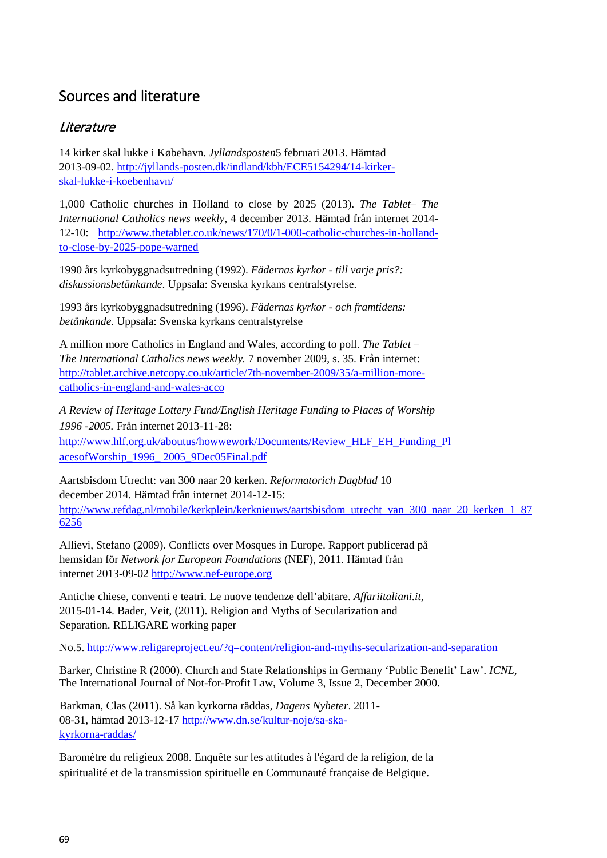# Sources and literature

# **Literature**

14 kirker skal lukke i Købehavn. *Jyllandsposten*5 februari 2013. Hämtad 2013-09-02. [http://jyllands-posten.dk/indland/kbh/ECE5154294/14-kirker](http://jyllands-posten.dk/indland/kbh/ECE5154294/14-kirker-skal-lukke-i-koebenhavn/)[skal-lukke-i-koebenhavn/](http://jyllands-posten.dk/indland/kbh/ECE5154294/14-kirker-skal-lukke-i-koebenhavn/)

1,000 Catholic churches in Holland to close by 2025 (2013). *The Tablet– The International Catholics news weekly*, 4 december 2013. Hämtad från internet 2014- 12-10: [http://www.thetablet.co.uk/news/170/0/1-000-catholic-churches-in-holland](http://www.thetablet.co.uk/news/170/0/1-000-catholic-churches-in-holland-to-close-by-2025-pope-warned)[to-close-by-2025-pope-warned](http://www.thetablet.co.uk/news/170/0/1-000-catholic-churches-in-holland-to-close-by-2025-pope-warned)

1990 års kyrkobyggnadsutredning (1992). *Fädernas kyrkor - till varje pris?: diskussionsbetänkande*. Uppsala: Svenska kyrkans centralstyrelse.

1993 års kyrkobyggnadsutredning (1996). *Fädernas kyrkor - och framtidens: betänkande*. Uppsala: Svenska kyrkans centralstyrelse

A million more Catholics in England and Wales, according to poll. *The Tablet – The International Catholics news weekly.* 7 november 2009, s. 35. Från internet: [http://tablet.archive.netcopy.co.uk/article/7th-november-2009/35/a-million-more](http://tablet.archive.netcopy.co.uk/article/7th-november-2009/35/a-million-more-catholics-in-england-and-wales-acco)[catholics-in-england-and-wales-acco](http://tablet.archive.netcopy.co.uk/article/7th-november-2009/35/a-million-more-catholics-in-england-and-wales-acco)

*A Review of Heritage Lottery Fund/English Heritage Funding to Places of Worship 1996 -2005.* Från internet 2013-11-28:

[http://www.hlf.org.uk/aboutus/howwework/Documents/Review\\_HLF\\_EH\\_Funding\\_Pl](http://www.hlf.org.uk/aboutus/howwework/Documents/Review_HLF_EH_Funding_PlacesofWorship_1996_2005_9Dec05Final.pdf) [acesofWorship\\_1996\\_](http://www.hlf.org.uk/aboutus/howwework/Documents/Review_HLF_EH_Funding_PlacesofWorship_1996_2005_9Dec05Final.pdf) [2005\\_9Dec05Final.pdf](http://www.hlf.org.uk/aboutus/howwework/Documents/Review_HLF_EH_Funding_PlacesofWorship_1996_2005_9Dec05Final.pdf)

Aartsbisdom Utrecht: van 300 naar 20 kerken. *Reformatorich Dagblad* 10 december 2014. Hämtad från internet 2014-12-15:

[http://www.refdag.nl/mobile/kerkplein/kerknieuws/aartsbisdom\\_utrecht\\_van\\_300\\_naar\\_20\\_kerken\\_1\\_87](http://www.refdag.nl/mobile/kerkplein/kerknieuws/aartsbisdom_utrecht_van_300_naar_20_kerken_1_876256) [6256](http://www.refdag.nl/mobile/kerkplein/kerknieuws/aartsbisdom_utrecht_van_300_naar_20_kerken_1_876256)

Allievi, Stefano (2009). Conflicts over Mosques in Europe. Rapport publicerad på hemsidan för *Network for European Foundations* (NEF), 2011. Hämtad från internet 2013-09-02 [http://www.nef-europe.org](http://www.nef-europe.org/)

Antiche chiese, conventi e teatri. Le nuove tendenze dell'abitare. *Affariitaliani.it,* 2015-01-14. Bader, Veit, (2011). Religion and Myths of Secularization and Separation. RELIGARE working paper

No.5.<http://www.religareproject.eu/?q=content/religion-and-myths-secularization-and-separation>

Barker, Christine R (2000). Church and State Relationships in Germany 'Public Benefit' Law'. *ICNL,* The International Journal of Not-for-Profit Law, Volume 3, Issue 2, December 2000.

Barkman, Clas (2011). Så kan kyrkorna räddas, *Dagens Nyheter*. 2011- 08-31, hämtad 2013-12-17 [http://www.dn.se/kultur-noje/sa-ska](http://www.dn.se/kultur-noje/sa-ska-kyrkorna-raddas/)[kyrkorna-raddas/](http://www.dn.se/kultur-noje/sa-ska-kyrkorna-raddas/)

Baromètre du religieux 2008. Enquête sur les attitudes à l'égard de la religion, de la spiritualité et de la transmission spirituelle en Communauté française de Belgique.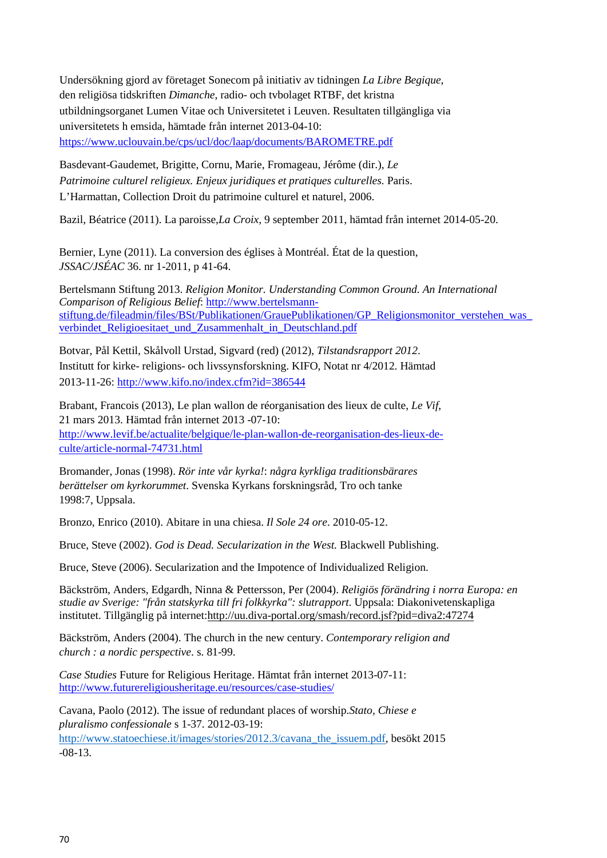Undersökning gjord av företaget Sonecom på initiativ av tidningen *La Libre Begique*, den religiösa tidskriften *Dimanche*, radio- och tvbolaget RTBF, det kristna utbildningsorganet Lumen Vitae och Universitetet i Leuven. Resultaten tillgängliga via universitetets h emsida, hämtade från internet 2013-04-10: <https://www.uclouvain.be/cps/ucl/doc/laap/documents/BAROMETRE.pdf>

Basdevant-Gaudemet, Brigitte, Cornu, Marie, Fromageau, Jérôme (dir.), *Le Patrimoine culturel religieux. Enjeux juridiques et pratiques culturelles.* Paris. L'Harmattan, Collection Droit du patrimoine culturel et naturel, 2006.

Bazil, Béatrice (2011). La paroisse,*La Croix,* 9 september 2011, hämtad från internet 2014-05-20.

Bernier, Lyne (2011). La conversion des églises à Montréal. État de la question, *JSSAC/JSÉAC* 36. nr 1-2011, p 41-64.

Bertelsmann Stiftung 2013. *Religion Monitor. Understanding Common Ground. An International Comparison of Religious Belief*: http://www.bertelsmannstiftung.de/fileadmin/files/BSt/Publikationen/GrauePublikationen/GP\_Religionsmonitor\_verstehen\_was [verbindet\\_Religioesitaet\\_und\\_Zusammenhalt\\_in\\_Deutschland.pdf](http://www.bertelsmann-stiftung.de/fileadmin/files/BSt/Publikationen/GrauePublikationen/GP_Religionsmonitor_verstehen_was_verbindet_Religioesitaet_und_Zusammenhalt_in_Deutschland.pdf)

Botvar, Pål Kettil, Skålvoll Urstad, Sigvard (red) (2012), *Tilstandsrapport 2012*. Institutt for kirke- religions- och livssynsforskning. KIFO, Notat nr 4/2012. Hämtad 2013-11-26:<http://www.kifo.no/index.cfm?id=386544>

Brabant, Francois (2013), Le plan wallon de réorganisation des lieux de culte, *Le Vif*, 21 mars 2013. Hämtad från internet 2013 -07-10: [http://www.levif.be/actualite/belgique/le-plan-wallon-de-reorganisation-des-lieux-de](http://www.levif.be/actualite/belgique/le-plan-wallon-de-reorganisation-des-lieux-de-culte/article-normal-74731.html)[culte/article-normal-74731.html](http://www.levif.be/actualite/belgique/le-plan-wallon-de-reorganisation-des-lieux-de-culte/article-normal-74731.html)

Bromander, Jonas (1998). *Rör inte vår kyrka!*: *några kyrkliga traditionsbärares berättelser om kyrkorummet*. Svenska Kyrkans forskningsråd, Tro och tanke 1998:7, Uppsala.

Bronzo, Enrico (2010). Abitare in una chiesa. *Il Sole 24 ore*. 2010-05-12.

Bruce, Steve (2002). *God is Dead. Secularization in the West.* Blackwell Publishing.

Bruce, Steve (2006). Secularization and the Impotence of Individualized Religion.

Bäckström, Anders, Edgardh, Ninna & Pettersson, Per (2004). *Religiös förändring i norra Europa: en studie av Sverige: "från statskyrka till fri folkkyrka": slutrapport*. Uppsala: Diakonivetenskapliga institutet. Tillgänglig på internet[:http://uu.diva-portal.org/smash/record.jsf?pid=diva2:47274](http://uu.diva-portal.org/smash/record.jsf?pid=diva2:47274)

Bäckström, Anders (2004). The church in the new century. *Contemporary religion and church : a nordic perspective*. s. 81-99.

*Case Studies* Future for Religious Heritage. Hämtat från internet 2013-07-11: <http://www.futurereligiousheritage.eu/resources/case-studies/>

Cavana, Paolo (2012). The issue of redundant places of worship.*Stato, Chiese e pluralismo confessionale* s 1-37. 2012-03-19: [http://www.statoechiese.it/images/stories/2012.3/cavana\\_the\\_issuem.pdf,](http://www.statoechiese.it/images/stories/2012.3/cavana_the_issuem.pdf) besökt 2015

-08-13.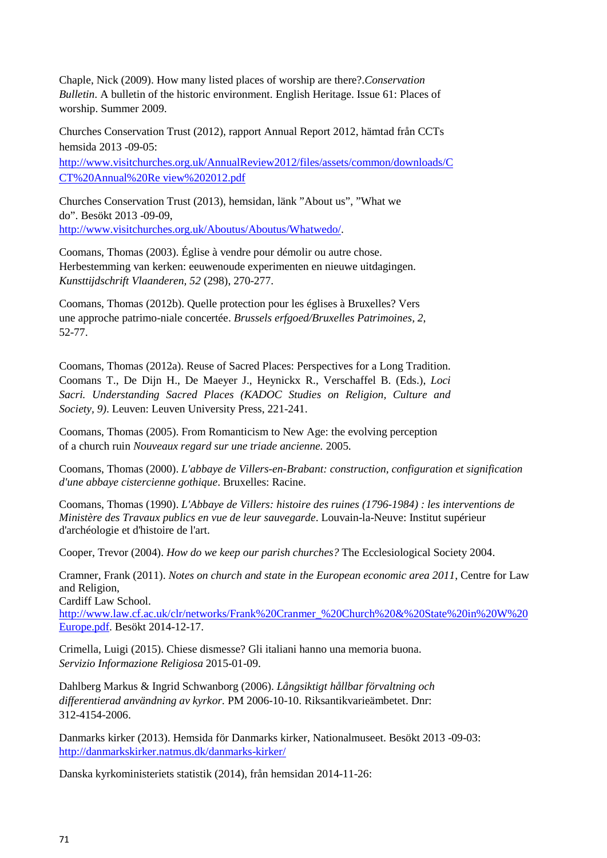Chaple, Nick (2009). How many listed places of worship are there?.*Conservation Bulletin*. A bulletin of the historic environment. English Heritage. Issue 61: Places of worship. Summer 2009.

Churches Conservation Trust (2012), rapport Annual Report 2012, hämtad från CCTs hemsida 2013 -09-05:

[http://www.visitchurches.org.uk/AnnualReview2012/files/assets/common/downloads/C](http://www.visitchurches.org.uk/AnnualReview2012/files/assets/common/downloads/CCT%20Annual%20Review%202012.pdf) [CT%20Annual%20Re](http://www.visitchurches.org.uk/AnnualReview2012/files/assets/common/downloads/CCT%20Annual%20Review%202012.pdf) [view%202012.pdf](http://www.visitchurches.org.uk/AnnualReview2012/files/assets/common/downloads/CCT%20Annual%20Review%202012.pdf)

Churches Conservation Trust (2013), hemsidan, länk "About us", "What we do". Besökt 2013 -09-09, [http://www.visitchurches.org.uk/Aboutus/Aboutus/Whatwedo/.](http://www.visitchurches.org.uk/Aboutus/Aboutus/Whatwedo/)

Coomans, Thomas (2003). Église à vendre pour démolir ou autre chose. Herbestemming van kerken: eeuwenoude experimenten en nieuwe uitdagingen. *Kunsttijdschrift Vlaanderen, 52* (298), 270-277.

Coomans, Thomas (2012b). Quelle protection pour les églises à Bruxelles? Vers une approche patrimo-niale concertée. *Brussels erfgoed/Bruxelles Patrimoines, 2*, 52-77.

Coomans, Thomas (2012a). Reuse of Sacred Places: Perspectives for a Long Tradition. Coomans T., De Dijn H., De Maeyer J., Heynickx R., Verschaffel B. (Eds.), *Loci Sacri. Understanding Sacred Places (KADOC Studies on Religion, Culture and Society, 9)*. Leuven: Leuven University Press, 221-241.

Coomans, Thomas (2005). From Romanticism to New Age: the evolving perception of a church ruin *Nouveaux regard sur une triade ancienne.* 2005.

Coomans, Thomas (2000). *L'abbaye de Villers-en-Brabant: construction, configuration et signification d'une abbaye cistercienne gothique*. Bruxelles: Racine.

Coomans, Thomas (1990). *L'Abbaye de Villers: histoire des ruines (1796-1984) : les interventions de Ministère des Travaux publics en vue de leur sauvegarde*. Louvain-la-Neuve: Institut supérieur d'archéologie et d'histoire de l'art.

Cooper, Trevor (2004). *How do we keep our parish churches?* The Ecclesiological Society 2004.

Cramner, Frank (2011). *Notes on church and state in the European economic area 2011*, Centre for Law and Religion,

Cardiff Law School.

[http://www.law.cf.ac.uk/clr/networks/Frank%20Cranmer\\_%20Church%20&%20State%20in%20W%20](http://www.law.cf.ac.uk/clr/networks/Frank%20Cranmer_%20Church%20&%20State%20in%20W%20Europe.pdf) [Europe.pdf. B](http://www.law.cf.ac.uk/clr/networks/Frank%20Cranmer_%20Church%20&%20State%20in%20W%20Europe.pdf)esökt 2014-12-17.

Crimella, Luigi (2015). Chiese dismesse? Gli italiani hanno una memoria buona. *Servizio Informazione Religiosa* 2015-01-09.

Dahlberg Markus & Ingrid Schwanborg (2006). *Långsiktigt hållbar förvaltning och differentierad användning av kyrkor.* PM 2006-10-10. Riksantikvarieämbetet. Dnr: 312-4154-2006.

Danmarks kirker (2013). Hemsida för Danmarks kirker, Nationalmuseet. Besökt 2013 -09-03: <http://danmarkskirker.natmus.dk/danmarks-kirker/>

Danska kyrkoministeriets statistik (2014), från hemsidan 2014-11-26: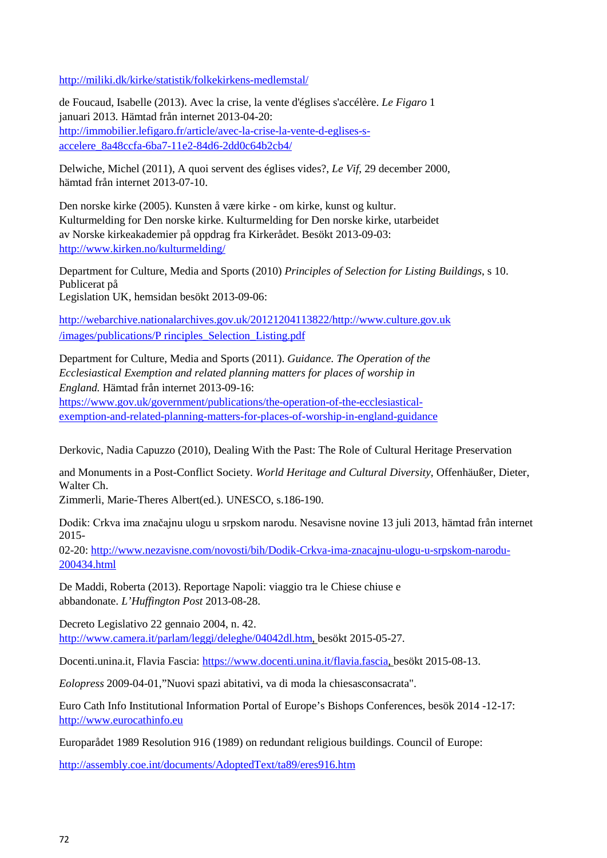<http://miliki.dk/kirke/statistik/folkekirkens-medlemstal/>

de Foucaud, Isabelle (2013). Avec la crise, la vente d'églises s'accélère. *Le Figaro* 1 januari 2013*.* Hämtad från internet 2013-04-20: [http://immobilier.lefigaro.fr/article/avec-la-crise-la-vente-d-eglises-s](http://immobilier.lefigaro.fr/article/avec-la-crise-la-vente-d-eglises-s-accelere_8a48ccfa-6ba7-11e2-84d6-2dd0c64b2cb4/)[accelere\\_8a48ccfa-6ba7-11e2-84d6-2dd0c64b2cb4/](http://immobilier.lefigaro.fr/article/avec-la-crise-la-vente-d-eglises-s-accelere_8a48ccfa-6ba7-11e2-84d6-2dd0c64b2cb4/)

Delwiche, Michel (2011), A quoi servent des églises vides?, *Le Vif*, 29 december 2000, hämtad från internet 2013-07-10.

Den norske kirke (2005). Kunsten å være kirke - om kirke, kunst og kultur. Kulturmelding for Den norske kirke. Kulturmelding for Den norske kirke, utarbeidet av Norske kirkeakademier på oppdrag fra Kirkerådet. Besökt 2013-09-03: <http://www.kirken.no/kulturmelding/>

Department for Culture, Media and Sports (2010) *Principles of Selection for Listing Buildings*, s 10. Publicerat på Legislation UK, hemsidan besökt 2013-09-06:

[http://webarchive.nationalarchives.gov.uk/20121204113822/http://www.culture.gov.uk](http://webarchive.nationalarchives.gov.uk/20121204113822/http:/www.culture.gov.uk/images/publications/Principles_Selection_Listing.pdf) [/images/publications/P](http://webarchive.nationalarchives.gov.uk/20121204113822/http:/www.culture.gov.uk/images/publications/Principles_Selection_Listing.pdf) [rinciples\\_Selection\\_Listing.pdf](http://webarchive.nationalarchives.gov.uk/20121204113822/http:/www.culture.gov.uk/images/publications/Principles_Selection_Listing.pdf)

Department for Culture, Media and Sports (2011). *Guidance. The Operation of the Ecclesiastical Exemption and related planning matters for places of worship in England.* Hämtad från internet 2013-09-16: [https://www.gov.uk/government/publications/the-operation-of-the-ecclesiastical](https://www.gov.uk/government/publications/the-operation-of-the-ecclesiastical-exemption-and-related-planning-matters-for-places-of-worship-in-england-guidance)[exemption-and-related-planning-matters-for-places-of-worship-in-england-guidance](https://www.gov.uk/government/publications/the-operation-of-the-ecclesiastical-exemption-and-related-planning-matters-for-places-of-worship-in-england-guidance)

Derkovic, Nadia Capuzzo (2010), Dealing With the Past: The Role of Cultural Heritage Preservation

and Monuments in a Post-Conflict Society. *World Heritage and Cultural Diversity*, Offenhäußer, Dieter, Walter Ch.

Zimmerli, Marie-Theres Albert(ed.). UNESCO, s.186-190.

Dodik: Crkva ima značajnu ulogu u srpskom narodu. Nesavisne novine 13 juli 2013, hämtad från internet 2015-

02-20: [http://www.nezavisne.com/novosti/bih/Dodik-Crkva-ima-znacajnu-ulogu-u-srpskom-narodu-](http://www.nezavisne.com/novosti/bih/Dodik-Crkva-ima-znacajnu-ulogu-u-srpskom-narodu-200434.html)[200434.html](http://www.nezavisne.com/novosti/bih/Dodik-Crkva-ima-znacajnu-ulogu-u-srpskom-narodu-200434.html)

De Maddi, Roberta (2013). Reportage Napoli: viaggio tra le Chiese chiuse e abbandonate. *L'Huffington Post* 2013-08-28.

Decreto Legislativo 22 gennaio 2004, n. 42. [http://www.camera.it/parlam/leggi/deleghe/04042dl.htm, b](http://www.camera.it/parlam/leggi/deleghe/04042dl.htm)esökt 2015-05-27.

Docenti.unina.it, Flavia Fascia: [https://www.docenti.unina.it/flavia.fascia, b](https://www.docenti.unina.it/flavia.fascia)esökt 2015-08-13.

*Eolopress* 2009-04-01,"Nuovi spazi abitativi, va di moda la chiesasconsacrata".

Euro Cath Info Institutional Information Portal of Europe's Bishops Conferences, besök 2014 -12-17: [http://www.eurocathinfo.eu](http://www.eurocathinfo.eu/)

Europarådet 1989 Resolution 916 (1989) on redundant religious buildings. Council of Europe:

<http://assembly.coe.int/documents/AdoptedText/ta89/eres916.htm>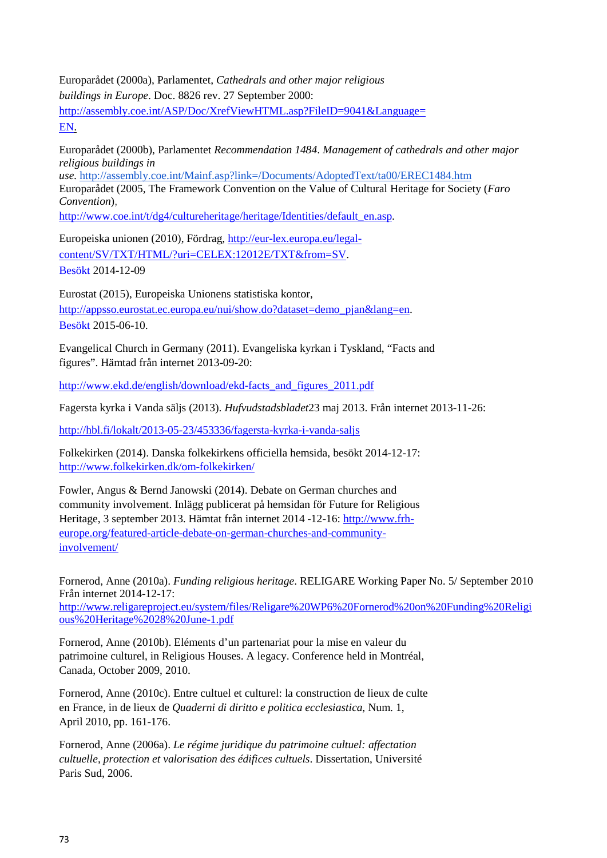Europarådet (2000a), Parlamentet, *Cathedrals and other major religious buildings in Europe*. Doc. 8826 rev. 27 September 2000: [http://assembly.coe.int/ASP/Doc/XrefViewHTML.asp?FileID=9041&Language=](http://assembly.coe.int/ASP/Doc/XrefViewHTML.asp?FileID=9041&Language=EN) [EN.](http://assembly.coe.int/ASP/Doc/XrefViewHTML.asp?FileID=9041&Language=EN)

Europarådet (2000b), Parlamentet *Recommendation 1484*. *Management of cathedrals and other major religious buildings in use.* <http://assembly.coe.int/Mainf.asp?link=/Documents/AdoptedText/ta00/EREC1484.htm>

Europarådet (2005, The Framework Convention on the Value of Cultural Heritage for Society (*Faro Convention*),

[http://www.coe.int/t/dg4/cultureheritage/heritage/Identities/default\\_en.asp.](http://www.coe.int/t/dg4/cultureheritage/heritage/Identities/default_en.asp)

Europeiska unionen (2010), Fördrag, [http://eur-lex.europa.eu/legal](http://eur-lex.europa.eu/legal-content/SV/TXT/HTML/?uri=CELEX:12012E/TXT&from=SV)[content/SV/TXT/HTML/?uri=CELEX:12012E/TXT&from=SV.](http://eur-lex.europa.eu/legal-content/SV/TXT/HTML/?uri=CELEX:12012E/TXT&from=SV)  Besökt 2014-12-09

Eurostat (2015), Europeiska Unionens statistiska kontor, [http://appsso.eurostat.ec.europa.eu/nui/show.do?dataset=demo\\_pjan&lang=en.](http://appsso.eurostat.ec.europa.eu/nui/show.do?dataset=demo_pjan&lang=en) Besökt 2015-06-10.

Evangelical Church in Germany (2011). Evangeliska kyrkan i Tyskland, "Facts and figures". Hämtad från internet 2013-09-20:

[http://www.ekd.de/english/download/ekd-facts\\_and\\_figures\\_2011.pdf](http://www.ekd.de/english/download/ekd-facts_and_figures_2011.pdf)

Fagersta kyrka i Vanda säljs (2013). *Hufvudstadsbladet*23 maj 2013. Från internet 2013-11-26:

<http://hbl.fi/lokalt/2013-05-23/453336/fagersta-kyrka-i-vanda-saljs>

Folkekirken (2014). Danska folkekirkens officiella hemsida, besökt 2014-12-17: <http://www.folkekirken.dk/om-folkekirken/>

Fowler, Angus & Bernd Janowski (2014). Debate on German churches and community involvement. Inlägg publicerat på hemsidan för Future for Religious Heritage, 3 september 2013. Hämtat från internet 2014 -12-16: [http://www.frh](http://www.frh-europe.org/featured-article-debate-on-german-churches-and-community-involvement/)[europe.org/featured-article-debate-on-german-churches-and-community](http://www.frh-europe.org/featured-article-debate-on-german-churches-and-community-involvement/)[involvement/](http://www.frh-europe.org/featured-article-debate-on-german-churches-and-community-involvement/)

Fornerod, Anne (2010a). *Funding religious heritage*. RELIGARE Working Paper No. 5/ September 2010 Från internet 2014-12-17: [http://www.religareproject.eu/system/files/Religare%20WP6%20Fornerod%20on%20Funding%20Religi](http://www.religareproject.eu/system/files/Religare%20WP6%20Fornerod%20on%20Funding%20Religious%20Heritage%2028%20June-1.pdf) [ous%20Heritage%2028%20June-1.pdf](http://www.religareproject.eu/system/files/Religare%20WP6%20Fornerod%20on%20Funding%20Religious%20Heritage%2028%20June-1.pdf)

Fornerod, Anne (2010b). Eléments d'un partenariat pour la mise en valeur du patrimoine culturel, in Religious Houses. A legacy. Conference held in Montréal, Canada, October 2009, 2010.

Fornerod, Anne (2010c). Entre cultuel et culturel: la construction de lieux de culte en France, in de lieux de *Quaderni di diritto e politica ecclesiastica*, Num. 1, April 2010, pp. 161-176.

Fornerod, Anne (2006a). *Le régime juridique du patrimoine cultuel: affectation cultuelle, protection et valorisation des édifices cultuels*. Dissertation, Université Paris Sud, 2006.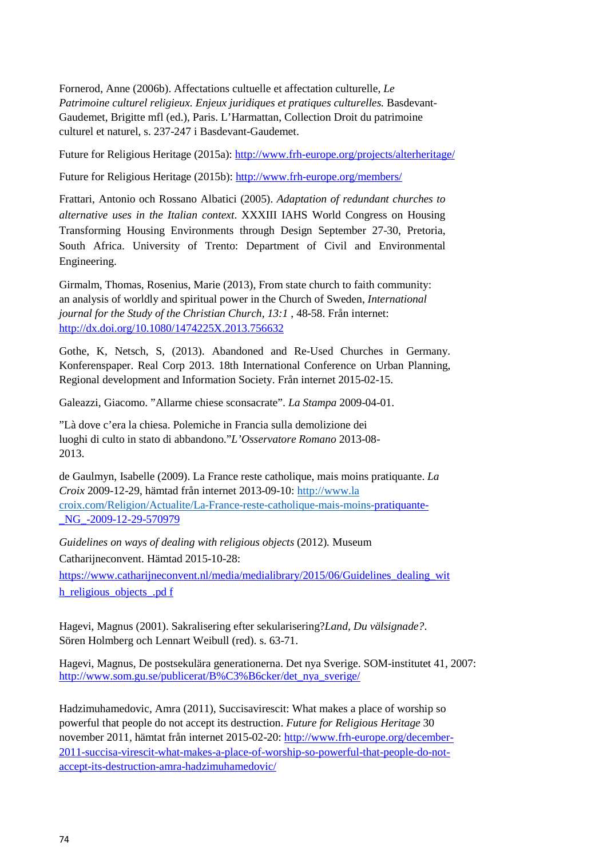Fornerod, Anne (2006b). Affectations cultuelle et affectation culturelle, *Le Patrimoine culturel religieux. Enjeux juridiques et pratiques culturelles.* Basdevant-Gaudemet, Brigitte mfl (ed.), Paris. L'Harmattan, Collection Droit du patrimoine culturel et naturel, s. 237-247 i Basdevant-Gaudemet.

Future for Religious Heritage (2015a):<http://www.frh-europe.org/projects/alterheritage/>

Future for Religious Heritage (2015b):<http://www.frh-europe.org/members/>

Frattari, Antonio och Rossano Albatici (2005). *Adaptation of redundant churches to alternative uses in the Italian context*. XXXIII IAHS World Congress on Housing Transforming Housing Environments through Design September 27-30, Pretoria, South Africa. University of Trento: Department of Civil and Environmental Engineering.

Girmalm, Thomas, Rosenius, Marie (2013), From state church to faith community: an analysis of worldly and spiritual power in the Church of Sweden, *International journal for the Study of the Christian Church, 13:1* , 48-58. Från internet: <http://dx.doi.org/10.1080/1474225X.2013.756632>

Gothe, K, Netsch, S, (2013). Abandoned and Re-Used Churches in Germany. Konferenspaper. Real Corp 2013. 18th International Conference on Urban Planning, Regional development and Information Society. Från internet 2015-02-15.

Galeazzi, Giacomo. "Allarme chiese sconsacrate". *La Stampa* 2009-04-01.

"Là dove c'era la chiesa. Polemiche in Francia sulla demolizione dei luoghi di culto in stato di abbandono."*L'Osservatore Romano* 2013-08- 2013.

de Gaulmyn, Isabelle (2009). La France reste catholique, mais moins pratiquante. *La Croix* 2009-12-29, hämtad från internet 2013-09-10: http://www.la croix.com/Religion/Actualite/La-France-reste-catholique-mais-moins[-pratiquante-](http://www.la-croix.com/Religion/Actualite/La-France-reste-catholique-mais-moins-pratiquante-_NG_-2009-12-29-570979) [\\_NG\\_-2009-12-29-570979](http://www.la-croix.com/Religion/Actualite/La-France-reste-catholique-mais-moins-pratiquante-_NG_-2009-12-29-570979)

*Guidelines on ways of dealing with religious objects* (2012)*.* Museum Catharijneconvent. Hämtad 2015-10-28: https://www.catharijneconvent.nl/media/medialibrary/2015/06/Guidelines dealing wit [h\\_religious\\_objects\\_.pd](https://www.catharijneconvent.nl/media/medialibrary/2015/06/Guidelines_dealing_with_religious_objects_.pdf) [f](https://www.catharijneconvent.nl/media/medialibrary/2015/06/Guidelines_dealing_with_religious_objects_.pdf)

Hagevi, Magnus (2001). Sakralisering efter sekularisering?*Land, Du välsignade?*. Sören Holmberg och Lennart Weibull (red). s. 63-71.

Hagevi, Magnus, De postsekulära generationerna. Det nya Sverige. SOM-institutet 41, 2007: [http://www.som.gu.se/publicerat/B%C3%B6cker/det\\_nya\\_sverige/](http://www.som.gu.se/publicerat/B%C3%B6cker/det_nya_sverige/)

Hadzimuhamedovic, Amra (2011), Succisavirescit: What makes a place of worship so powerful that people do not accept its destruction. *Future for Religious Heritage* 30 november 2011, hämtat från internet 2015-02-20: [http://www.frh-europe.org/december-](http://www.frh-europe.org/december-2011-succisa-virescit-what-makes-a-place-of-worship-so-powerful-that-people-do-not-accept-its-destruction-amra-hadzimuhamedovic/)[2011-succisa-virescit-what-makes-a-place-of-worship-so-powerful-that-people-do-not](http://www.frh-europe.org/december-2011-succisa-virescit-what-makes-a-place-of-worship-so-powerful-that-people-do-not-accept-its-destruction-amra-hadzimuhamedovic/)[accept-its-destruction-amra-hadzimuhamedovic/](http://www.frh-europe.org/december-2011-succisa-virescit-what-makes-a-place-of-worship-so-powerful-that-people-do-not-accept-its-destruction-amra-hadzimuhamedovic/)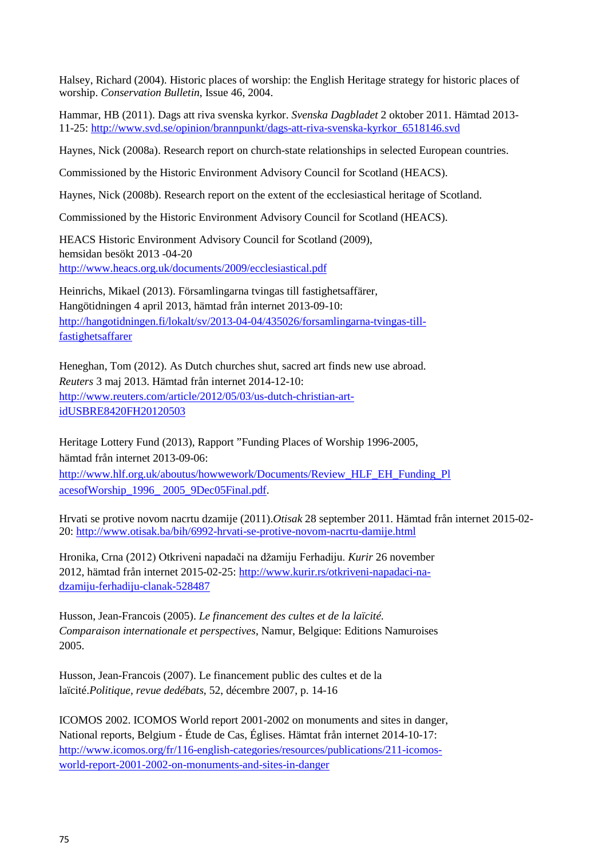Halsey, Richard (2004). Historic places of worship: the English Heritage strategy for historic places of worship. *Conservation Bulletin*, Issue 46, 2004.

Hammar, HB (2011). Dags att riva svenska kyrkor. *Svenska Dagbladet* 2 oktober 2011. Hämtad 2013- 11-25: [http://www.svd.se/opinion/brannpunkt/dags-att-riva-svenska-kyrkor\\_6518146.svd](http://www.svd.se/opinion/brannpunkt/dags-att-riva-svenska-kyrkor_6518146.svd)

Haynes, Nick (2008a). Research report on church-state relationships in selected European countries.

Commissioned by the Historic Environment Advisory Council for Scotland (HEACS).

Haynes, Nick (2008b). Research report on the extent of the ecclesiastical heritage of Scotland.

Commissioned by the Historic Environment Advisory Council for Scotland (HEACS).

HEACS Historic Environment Advisory Council for Scotland (2009), hemsidan besökt 2013 -04-20 <http://www.heacs.org.uk/documents/2009/ecclesiastical.pdf>

Heinrichs, Mikael (2013). Församlingarna tvingas till fastighetsaffärer, Hangötidningen 4 april 2013, hämtad från internet 2013-09-10: [http://hangotidningen.fi/lokalt/sv/2013-04-04/435026/forsamlingarna-tvingas-till](http://hangotidningen.fi/lokalt/sv/2013-04-04/435026/forsamlingarna-tvingas-till-fastighetsaffarer)[fastighetsaffarer](http://hangotidningen.fi/lokalt/sv/2013-04-04/435026/forsamlingarna-tvingas-till-fastighetsaffarer)

Heneghan, Tom (2012). As Dutch churches shut, sacred art finds new use abroad. *Reuters* 3 maj 2013. Hämtad från internet 2014-12-10: [http://www.reuters.com/article/2012/05/03/us-dutch-christian-art](http://www.reuters.com/article/2012/05/03/us-dutch-christian-art-idUSBRE8420FH20120503)[idUSBRE8420FH20120503](http://www.reuters.com/article/2012/05/03/us-dutch-christian-art-idUSBRE8420FH20120503)

Heritage Lottery Fund (2013), Rapport "Funding Places of Worship 1996-2005, hämtad från internet 2013-09-06: [http://www.hlf.org.uk/aboutus/howwework/Documents/Review\\_HLF\\_EH\\_Funding\\_Pl](http://www.hlf.org.uk/aboutus/howwework/Documents/Review_HLF_EH_Funding_PlacesofWorship_1996_2005_9Dec05Final.pdf) [acesofWorship\\_1996\\_](http://www.hlf.org.uk/aboutus/howwework/Documents/Review_HLF_EH_Funding_PlacesofWorship_1996_2005_9Dec05Final.pdf) [2005\\_9Dec05Final.pdf.](http://www.hlf.org.uk/aboutus/howwework/Documents/Review_HLF_EH_Funding_PlacesofWorship_1996_2005_9Dec05Final.pdf)

Hrvati se protive novom nacrtu dzamije (2011).*Otisak* 28 september 2011. Hämtad från internet 2015-02- 20: <http://www.otisak.ba/bih/6992-hrvati-se-protive-novom-nacrtu-damije.html>

Hronika, Crna (2012) Otkriveni napadači na džamiju Ferhadiju. *Kurir* 26 november 2012, hämtad från internet 2015-02-25: [http://www.kurir.rs/otkriveni-napadaci-na](http://www.kurir.rs/otkriveni-napadaci-na-dzamiju-ferhadiju-clanak-528487)[dzamiju-ferhadiju-clanak-528487](http://www.kurir.rs/otkriveni-napadaci-na-dzamiju-ferhadiju-clanak-528487)

Husson, Jean-Francois (2005). *Le financement des cultes et de la laïcité. Comparaison internationale et perspectives*, Namur, Belgique: Editions Namuroises 2005.

Husson, Jean-Francois (2007). Le financement public des cultes et de la laïcité.*Politique, revue dedébats*, 52, décembre 2007, p. 14-16

ICOMOS 2002. ICOMOS World report 2001-2002 on monuments and sites in danger, National reports, Belgium - Étude de Cas, Églises. Hämtat från internet 2014-10-17: [http://www.icomos.org/fr/116-english-categories/resources/publications/211-icomos](http://www.icomos.org/fr/116-english-categories/resources/publications/211-icomos-world-report-2001-2002-on-monuments-and-sites-in-danger)[world-report-2001-2002-on-monuments-and-sites-in-danger](http://www.icomos.org/fr/116-english-categories/resources/publications/211-icomos-world-report-2001-2002-on-monuments-and-sites-in-danger)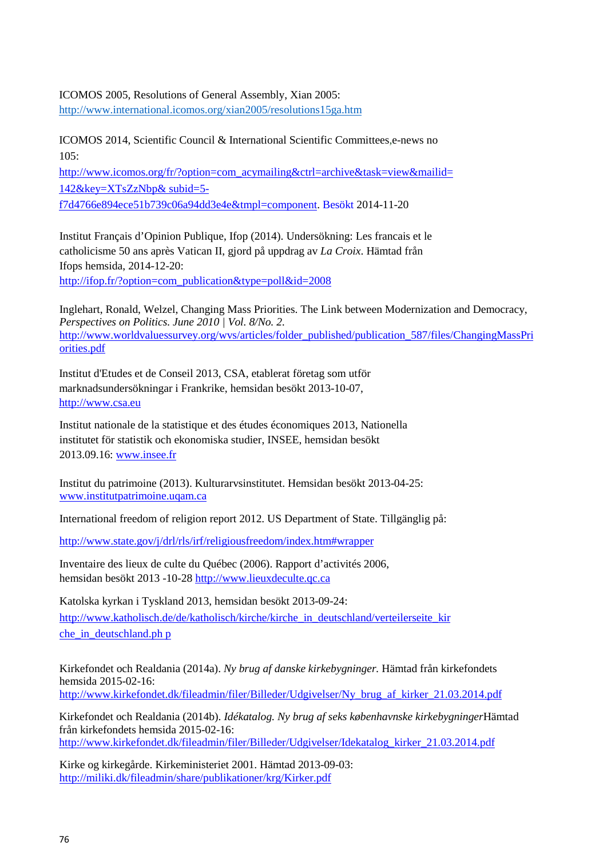## ICOMOS 2005, Resolutions of General Assembly, Xian 2005:

<http://www.international.icomos.org/xian2005/resolutions15ga.htm>

ICOMOS 2014, Scientific Council & International Scientific Committees,e-news no  $105:$ 

[http://www.icomos.org/fr/?option=com\\_acymailing&ctrl=archive&task=view&mailid=](http://www.icomos.org/fr/?option=com_acymailing&ctrl=archive&task=view&mailid=142&key=XTsZzNbp&subid=5-f7d4766e894ece51b739c06a94dd3e4e&tmpl=component) [142&key=XTsZzNbp&](http://www.icomos.org/fr/?option=com_acymailing&ctrl=archive&task=view&mailid=142&key=XTsZzNbp&subid=5-f7d4766e894ece51b739c06a94dd3e4e&tmpl=component) [subid=5-](http://www.icomos.org/fr/?option=com_acymailing&ctrl=archive&task=view&mailid=142&key=XTsZzNbp&subid=5-f7d4766e894ece51b739c06a94dd3e4e&tmpl=component)

[f7d4766e894ece51b739c06a94dd3e4e&tmpl=component. B](http://www.icomos.org/fr/?option=com_acymailing&ctrl=archive&task=view&mailid=142&key=XTsZzNbp&subid=5-f7d4766e894ece51b739c06a94dd3e4e&tmpl=component)esökt 2014-11-20

Institut Français d'Opinion Publique, Ifop (2014). Undersökning: Les francais et le catholicisme 50 ans après Vatican II, gjord på uppdrag av *La Croix*. Hämtad från Ifops hemsida, 2014-12-20: [http://ifop.fr/?option=com\\_publication&type=poll&id=2008](http://ifop.fr/?option=com_publication&type=poll&id=2008)

Inglehart, Ronald, Welzel, Changing Mass Priorities. The Link between Modernization and Democracy, *Perspectives on Politics. June 2010 | Vol. 8/No. 2.* [http://www.worldvaluessurvey.org/wvs/articles/folder\\_published/publication\\_587/files/ChangingMassPri](http://www.worldvaluessurvey.org/wvs/articles/folder_published/publication_587/files/ChangingMassPriorities.pdf) [orities](http://www.worldvaluessurvey.org/wvs/articles/folder_published/publication_587/files/ChangingMassPriorities.pdf).pdf

Institut d'Etudes et de Conseil 2013, CSA, etablerat företag som utför marknadsundersökningar i Frankrike, hemsidan besökt 2013-10-07, [http://www.csa.eu](http://www.csa.eu/)

Institut nationale de la statistique et des études économiques 2013, Nationella institutet för statistik och ekonomiska studier, INSEE, hemsidan besökt 2013.09.16: [www.insee.fr](http://www.insee.fr/)

Institut du patrimoine (2013). Kulturarvsinstitutet. Hemsidan besökt 2013-04-25: [www.institutpatrimoine.uqam.ca](http://www.institutpatrimoine.uqam.ca/)

International freedom of religion report 2012. US Department of State. Tillgänglig på:

<http://www.state.gov/j/drl/rls/irf/religiousfreedom/index.htm#wrapper>

Inventaire des lieux de culte du Québec (2006). Rapport d'activités 2006, hemsidan besökt 2013 -10-28 [http://www.lieuxdeculte.qc.ca](http://www.lieuxdeculte.qc.ca/)

Katolska kyrkan i Tyskland 2013, hemsidan besökt 2013-09-24: [http://www.katholisch.de/de/katholisch/kirche/kirche\\_in\\_deutschland/verteilerseite\\_kir](http://www.katholisch.de/de/katholisch/kirche/kirche_in_deutschland/verteilerseite_kirche_in_deutschland.php) che in deutschland.[p](http://www.katholisch.de/de/katholisch/kirche/kirche_in_deutschland/verteilerseite_kirche_in_deutschland.php)h p

Kirkefondet och Realdania (2014a). *Ny brug af danske kirkebygninger.* Hämtad från kirkefondets hemsida 2015-02-16: [http://www.kirkefondet.dk/fileadmin/filer/Billeder/Udgivelser/Ny\\_brug\\_af\\_kirker\\_21.03.2014.pdf](http://www.kirkefondet.dk/fileadmin/filer/Billeder/Udgivelser/Ny_brug_af_kirker_21.03.2014.pdf)

Kirkefondet och Realdania (2014b). *Idékatalog. Ny brug af seks københavnske kirkebygninger*Hämtad från kirkefondets hemsida 2015-02-16: [http://www.kirkefondet.dk/fileadmin/filer/Billeder/Udgivelser/Idekatalog\\_kirker\\_21.03.2014.pdf](http://www.kirkefondet.dk/fileadmin/filer/Billeder/Udgivelser/Idekatalog_kirker_21.03.2014.pdf)

Kirke og kirkegårde. Kirkeministeriet 2001. Hämtad 2013-09-03: <http://miliki.dk/fileadmin/share/publikationer/krg/Kirker.pdf>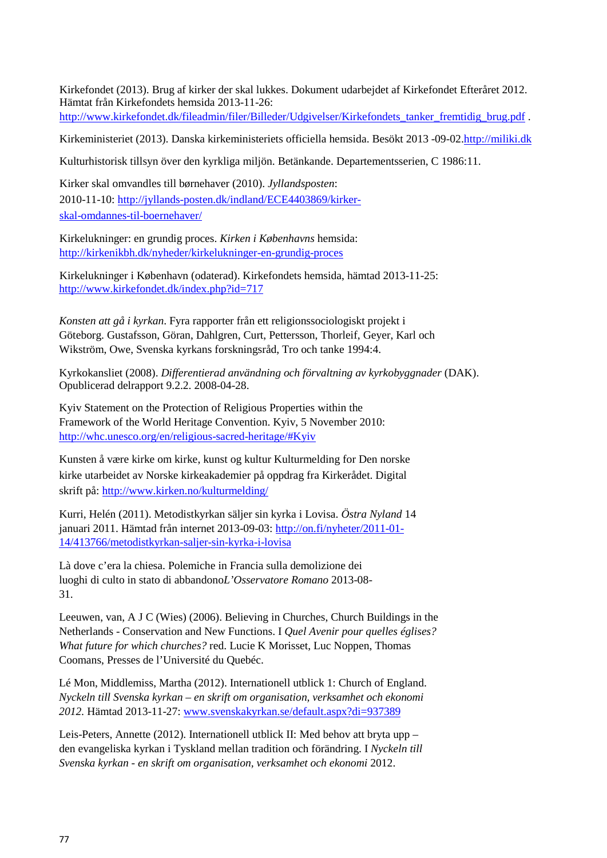Kirkefondet (2013). Brug af kirker der skal lukkes. Dokument udarbejdet af Kirkefondet Efteråret 2012. Hämtat från Kirkefondets hemsida 2013-11-26:

[http://www.kirkefondet.dk/fileadmin/filer/Billeder/Udgivelser/Kirkefondets\\_tanker\\_fremtidig\\_brug.pdf](http://www.kirkefondet.dk/fileadmin/filer/Billeder/Udgivelser/Kirkefondets_tanker_fremtidig_brug.pdf) .

Kirkeministeriet (2013). Danska kirkeministeriets officiella hemsida. Besökt 2013 -09-02[.http://miliki.dk](http://miliki.dk/kirke/folkekirken/oekonomi/kirkeskat/)

Kulturhistorisk tillsyn över den kyrkliga miljön. Betänkande. Departementsserien, C 1986:11.

Kirker skal omvandles till børnehaver (2010). *Jyllandsposten*: 2010-11-10: [http://jyllands-posten.dk/indland/ECE4403869/kirker](http://jyllands-posten.dk/indland/ECE4403869/kirker-skal-omdannes-til-boernehaver/)[skal-omdannes-til-boernehaver/](http://jyllands-posten.dk/indland/ECE4403869/kirker-skal-omdannes-til-boernehaver/)

Kirkelukninger: en grundig proces. *Kirken i Københavns* hemsida: <http://kirkenikbh.dk/nyheder/kirkelukninger-en-grundig-proces>

Kirkelukninger i København (odaterad). Kirkefondets hemsida, hämtad 2013-11-25: <http://www.kirkefondet.dk/index.php?id=717>

*Konsten att gå i kyrkan*. Fyra rapporter från ett religionssociologiskt projekt i Göteborg. Gustafsson, Göran, Dahlgren, Curt, Pettersson, Thorleif, Geyer, Karl och Wikström, Owe, Svenska kyrkans forskningsråd, Tro och tanke 1994:4.

Kyrkokansliet (2008). *Differentierad användning och förvaltning av kyrkobyggnader* (DAK). Opublicerad delrapport 9.2.2. 2008-04-28.

Kyiv Statement on the Protection of Religious Properties within the Framework of the World Heritage Convention. Kyiv, 5 November 2010: [http://whc.unesco.org/en/religious-sacred-heritage/#Kyiv](http://whc.unesco.org/en/religious-sacred-heritage/%23Kyiv)

Kunsten å være kirke om kirke, kunst og kultur Kulturmelding for Den norske kirke utarbeidet av Norske kirkeakademier på oppdrag fra Kirkerådet. Digital skrift på:<http://www.kirken.no/kulturmelding/>

Kurri, Helén (2011). Metodistkyrkan säljer sin kyrka i Lovisa. *Östra Nyland* 14 januari 2011. Hämtad från internet 2013-09-03: [http://on.fi/nyheter/2011-01-](http://on.fi/nyheter/2011-01-14/413766/metodistkyrkan-saljer-sin-kyrka-i-lovisa) [14/413766/metodistkyrkan-saljer-sin-kyrka-i-lovisa](http://on.fi/nyheter/2011-01-14/413766/metodistkyrkan-saljer-sin-kyrka-i-lovisa)

Là dove c'era la chiesa. Polemiche in Francia sulla demolizione dei luoghi di culto in stato di abbandono*L'Osservatore Romano* 2013-08- 31.

Leeuwen, van, A J C (Wies) (2006). Believing in Churches, Church Buildings in the Netherlands - Conservation and New Functions. I *Quel Avenir pour quelles églises? What future for which churches?* red. Lucie K Morisset, Luc Noppen, Thomas Coomans, Presses de l'Université du Quebéc.

Lé Mon, Middlemiss, Martha (2012). Internationell utblick 1: Church of England. *Nyckeln till Svenska kyrkan – en skrift om organisation, verksamhet och ekonomi 2012.* Hämtad 2013-11-27: [www.svenskakyrkan.se/default.aspx?di=937389](http://www.svenskakyrkan.se/default.aspx?di=937389)

Leis-Peters, Annette (2012). Internationell utblick II: Med behov att bryta upp – den evangeliska kyrkan i Tyskland mellan tradition och förändring. I *Nyckeln till Svenska kyrkan - en skrift om organisation, verksamhet och ekonomi* 2012.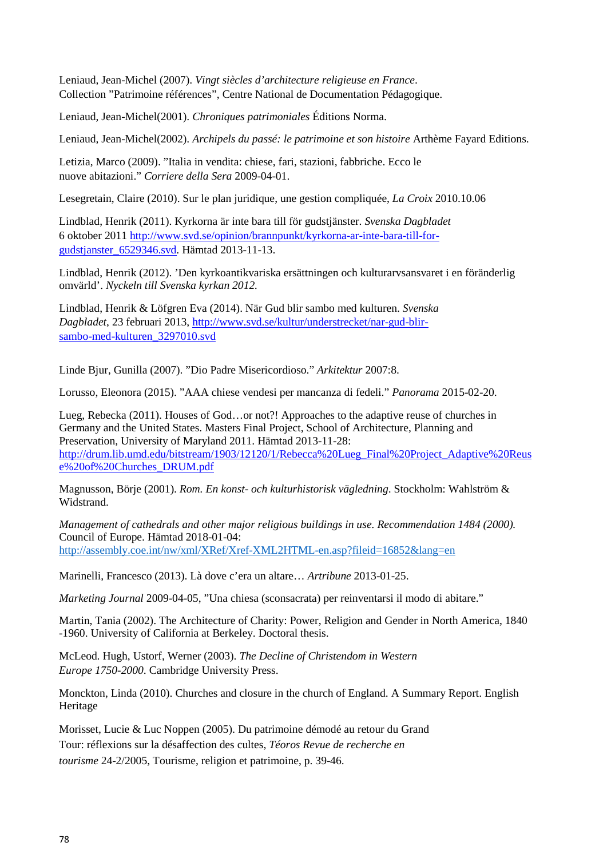Leniaud, Jean-Michel (2007). *Vingt siècles d'architecture religieuse en France*. Collection "Patrimoine références", Centre National de Documentation Pédagogique.

Leniaud, Jean-Michel(2001). *Chroniques patrimoniales* Éditions Norma.

Leniaud, Jean-Michel(2002). *Archipels du passé: le patrimoine et son histoire* Arthème Fayard Editions.

Letizia, Marco (2009). "Italia in vendita: chiese, fari, stazioni, fabbriche. Ecco le nuove abitazioni." *Corriere della Sera* 2009-04-01.

Lesegretain, Claire (2010). Sur le plan juridique, une gestion compliquée, *La Croix* 2010.10.06

Lindblad, Henrik (2011). Kyrkorna är inte bara till för gudstjänster. *Svenska Dagbladet* 6 oktober 2011 [http://www.svd.se/opinion/brannpunkt/kyrkorna-ar-inte-bara-till-for](http://www.svd.se/opinion/brannpunkt/kyrkorna-ar-inte-bara-till-for-gudstjanster_6529346.svd)[gudstjanster\\_6529346.svd. H](http://www.svd.se/opinion/brannpunkt/kyrkorna-ar-inte-bara-till-for-gudstjanster_6529346.svd)ämtad 2013-11-13.

Lindblad, Henrik (2012). 'Den kyrkoantikvariska ersättningen och kulturarvsansvaret i en föränderlig omvärld'. *Nyckeln till Svenska kyrkan 2012.*

Lindblad, Henrik & Löfgren Eva (2014). När Gud blir sambo med kulturen. *Svenska Dagbladet*, 23 februari 2013[, http://www.svd.se/kultur/understrecket/nar-gud-blir](http://www.svd.se/kultur/understrecket/nar-gud-blir-sambo-med-kulturen_3297010.svd)[sambo-med-kulturen\\_3297010.svd](http://www.svd.se/kultur/understrecket/nar-gud-blir-sambo-med-kulturen_3297010.svd)

Linde Bjur, Gunilla (2007). "Dio Padre Misericordioso." *Arkitektur* 2007:8.

Lorusso, Eleonora (2015). "AAA chiese vendesi per mancanza di fedeli." *Panorama* 2015-02-20.

Lueg, Rebecka (2011). Houses of God…or not?! Approaches to the adaptive reuse of churches in Germany and the United States. Masters Final Project, School of Architecture, Planning and Preservation, University of Maryland 2011. Hämtad 2013-11-28: [http://drum.lib.umd.edu/bitstream/1903/12120/1/Rebecca%20Lueg\\_Final%20Project\\_Adaptive%20Reus](http://drum.lib.umd.edu/bitstream/1903/12120/1/Rebecca%20Lueg_Final%20Project_Adaptive%20Reuse%20of%20Churches_DRUM.pdf) [e%20of%20Churches\\_DRUM.pdf](http://drum.lib.umd.edu/bitstream/1903/12120/1/Rebecca%20Lueg_Final%20Project_Adaptive%20Reuse%20of%20Churches_DRUM.pdf)

Magnusson, Börje (2001). *Rom. En konst- och kulturhistorisk vägledning*. Stockholm: Wahlström & Widstrand.

*Management of cathedrals and other major religious buildings in use. Recommendation 1484 (2000).*  Council of Europe. Hämtad 2018-01-04: <http://assembly.coe.int/nw/xml/XRef/Xref-XML2HTML-en.asp?fileid=16852&lang=en>

Marinelli, Francesco (2013). Là dove c'era un altare… *Artribune* 2013-01-25.

*Marketing Journal* 2009-04-05, "Una chiesa (sconsacrata) per reinventarsi il modo di abitare."

Martin, Tania (2002). The Architecture of Charity: Power, Religion and Gender in North America, 1840 -1960. University of California at Berkeley. Doctoral thesis.

McLeod. Hugh, Ustorf, Werner (2003). *The Decline of Christendom in Western Europe 1750-2000*. Cambridge University Press.

Monckton, Linda (2010). Churches and closure in the church of England. A Summary Report. English Heritage

Morisset, Lucie & Luc Noppen (2005). Du patrimoine démodé au retour du Grand Tour: réflexions sur la désaffection des cultes, *Téoros Revue de recherche en tourisme* 24-2/2005, Tourisme, religion et patrimoine, p. 39-46.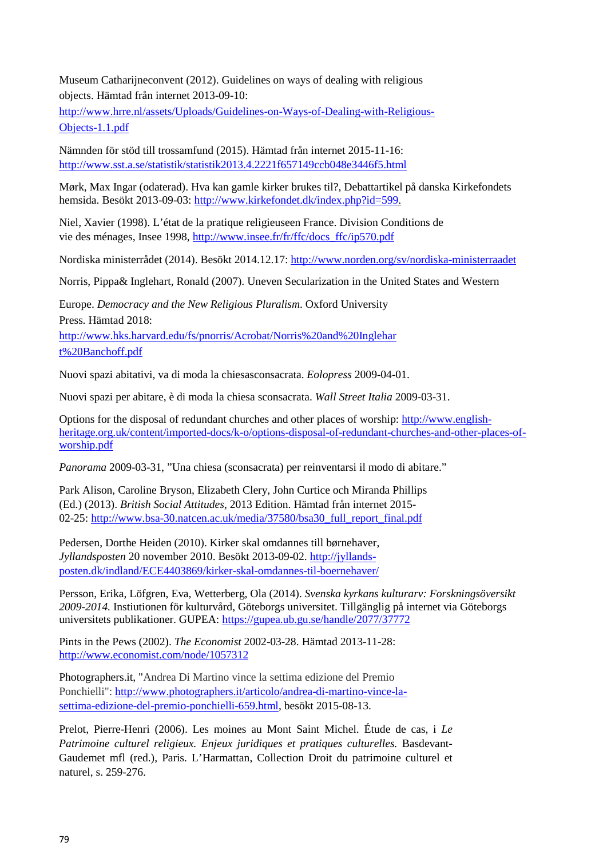Museum Catharijneconvent (2012). Guidelines on ways of dealing with religious objects. Hämtad från internet 2013-09-10: [http://www.hrre.nl/assets/Uploads/Guidelines-on-Ways-of-Dealing-with-Religious-](http://www.hrre.nl/assets/Uploads/Guidelines-on-Ways-of-Dealing-with-Religious-Objects-1.1.pdf)

[Objects-1.1.pdf](http://www.hrre.nl/assets/Uploads/Guidelines-on-Ways-of-Dealing-with-Religious-Objects-1.1.pdf)

Nämnden för stöd till trossamfund (2015). Hämtad från internet 2015-11-16: <http://www.sst.a.se/statistik/statistik2013.4.2221f657149ccb048e3446f5.html>

Mørk, Max Ingar (odaterad). Hva kan gamle kirker brukes til?, Debattartikel på danska Kirkefondets hemsida. Besökt 2013-09-03: [http://www.kirkefondet.dk/index.php?id=599.](http://www.kirkefondet.dk/index.php?id=599)

Niel, Xavier (1998). L'état de la pratique religieuseen France. Division Conditions de vie des ménages, Insee 1998, [http://www.insee.fr/fr/ffc/docs\\_ffc/ip570.pdf](http://www.insee.fr/fr/ffc/docs_ffc/ip570.pdf)

Nordiska ministerrådet (2014). Besökt 2014.12.17:<http://www.norden.org/sv/nordiska-ministerraadet>

Norris, Pippa& Inglehart, Ronald (2007). Uneven Secularization in the United States and Western

Europe. *Democracy and the New Religious Pluralism*. Oxford University Press. Hämtad 2018: [http://www.hks.harvard.edu/fs/pnorris/Acrobat/Norris%20and%20Inglehar](http://www.hks.harvard.edu/fs/pnorris/Acrobat/Norris%20and%20Inglehart%20Banchoff.pdf) [t%20Banchoff.pdf](http://www.hks.harvard.edu/fs/pnorris/Acrobat/Norris%20and%20Inglehart%20Banchoff.pdf)

Nuovi spazi abitativi, va di moda la chiesasconsacrata. *Eolopress* 2009-04-01.

Nuovi spazi per abitare, è di moda la chiesa sconsacrata. *Wall Street Italia* 2009-03-31.

Options for the disposal of redundant churches and other places of worship: [http://www.english](http://www.english-heritage.org.uk/content/imported-docs/k-o/options-disposal-of-redundant-churches-and-other-places-of-worship.pdf)[heritage.org.uk/content/imported-docs/k-o/options-disposal-of-redundant-churches-and-other-places-of](http://www.english-heritage.org.uk/content/imported-docs/k-o/options-disposal-of-redundant-churches-and-other-places-of-worship.pdf)[worship.pdf](http://www.english-heritage.org.uk/content/imported-docs/k-o/options-disposal-of-redundant-churches-and-other-places-of-worship.pdf)

*Panorama* 2009-03-31, "Una chiesa (sconsacrata) per reinventarsi il modo di abitare."

Park Alison, Caroline Bryson, Elizabeth Clery, John Curtice och Miranda Phillips (Ed.) (2013). *British Social Attitudes*, 2013 Edition. Hämtad från internet 2015 02-25: [http://www.bsa-30.natcen.ac.uk/media/37580/bsa30\\_full\\_report\\_final.pdf](http://www.bsa-30.natcen.ac.uk/media/37580/bsa30_full_report_final.pdf)

Pedersen, Dorthe Heiden (2010). Kirker skal omdannes till børnehaver, *Jyllandsposten* 20 november 2010. Besökt 2013-09-02. [http://jyllands](http://jyllands-posten.dk/indland/ECE4403869/kirker-skal-omdannes-til-boernehaver/)[posten.dk/indland/ECE4403869/kirker-skal-omdannes-til-boernehaver/](http://jyllands-posten.dk/indland/ECE4403869/kirker-skal-omdannes-til-boernehaver/)

Persson, Erika, Löfgren, Eva, Wetterberg, Ola (2014). *Svenska kyrkans kulturarv: Forskningsöversikt 2009-2014.* Instiutionen för kulturvård, Göteborgs universitet. Tillgänglig på internet via Göteborgs universitets publikationer. GUPEA:<https://gupea.ub.gu.se/handle/2077/37772>

Pints in the Pews (2002). *The Economist* 2002-03-28. Hämtad 2013-11-28: <http://www.economist.com/node/1057312>

Photographers.it, "Andrea Di Martino vince la settima edizione del Premio Ponchielli": [http://www.photographers.it/articolo/andrea-di-martino-vince-la](http://www.photographers.it/articolo/andrea-di-martino-vince-la-settima-edizione-del-premio-ponchielli-659.html)[settima-edizione-del-premio-ponchielli-659.html, b](http://www.photographers.it/articolo/andrea-di-martino-vince-la-settima-edizione-del-premio-ponchielli-659.html)esökt 2015-08-13.

Prelot, Pierre-Henri (2006). Les moines au Mont Saint Michel. Étude de cas, i *Le Patrimoine culturel religieux. Enjeux juridiques et pratiques culturelles.* Basdevant-Gaudemet mfl (red.), Paris. L'Harmattan, Collection Droit du patrimoine culturel et naturel, s. 259-276.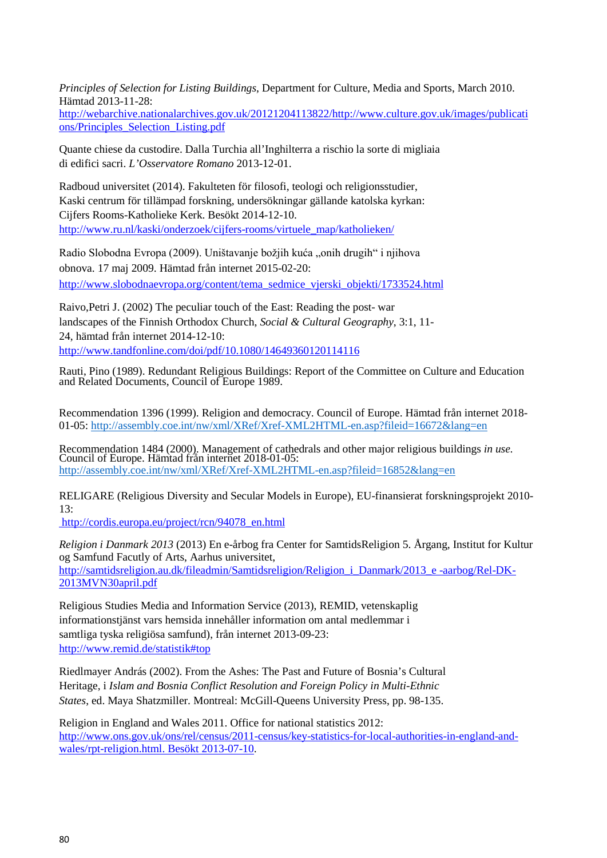*Principles of Selection for Listing Buildings*, Department for Culture, Media and Sports, March 2010. Hämtad 2013-11-28:

[http://webarchive.nationalarchives.gov.uk/20121204113822/http://www.culture.gov.uk/images/publicati](http://webarchive.nationalarchives.gov.uk/20121204113822/http:/www.culture.gov.uk/images/publications/Principles_Selection_Listing.pdf) [ons/Principles\\_Selection\\_Listing.pdf](http://webarchive.nationalarchives.gov.uk/20121204113822/http:/www.culture.gov.uk/images/publications/Principles_Selection_Listing.pdf)

Quante chiese da custodire. Dalla Turchia all'Inghilterra a rischio la sorte di migliaia di edifici sacri. *L'Osservatore Romano* 2013-12-01.

Radboud universitet (2014). Fakulteten för filosofi, teologi och religionsstudier, Kaski centrum för tillämpad forskning, undersökningar gällande katolska kyrkan: Cijfers Rooms-Katholieke Kerk. Besökt 2014-12-10. [http://www.ru.nl/kaski/onderzoek/cijfers-rooms/virtuele\\_map/katholieken/](http://www.ru.nl/kaski/onderzoek/cijfers-rooms/virtuele_map/katholieken/)

Radio Slobodna Evropa (2009). Uništavanje božjih kuća "onih drugih" i njihova obnova. 17 maj 2009. Hämtad från internet 2015-02-20: [http://www.slobodnaevropa.org/content/tema\\_sedmice\\_vjerski\\_objekti/1733524.html](http://www.slobodnaevropa.org/content/tema_sedmice_vjerski_objekti/1733524.html)

Raivo,Petri J. (2002) The peculiar touch of the East: Reading the post- war landscapes of the Finnish Orthodox Church, *Social & Cultural Geography*, 3:1, 11- 24, hämtad från internet 2014-12-10: <http://www.tandfonline.com/doi/pdf/10.1080/14649360120114116>

Rauti, Pino (1989). Redundant Religious Buildings: Report of the Committee on Culture and Education and Related Documents, Council of Europe 1989.

Recommendation 1396 (1999). Religion and democracy. Council of Europe. Hämtad från internet 2018- 01-05:<http://assembly.coe.int/nw/xml/XRef/Xref-XML2HTML-en.asp?fileid=16672&lang=en>

Recommendation 1484 (2000). Management of cathedrals and other major religious buildings *in use.*  Council of Europe. Hämtad från internet 2018-01-05: <http://assembly.coe.int/nw/xml/XRef/Xref-XML2HTML-en.asp?fileid=16852&lang=en>

RELIGARE (Religious Diversity and Secular Models in Europe), EU-finansierat forskningsprojekt 2010-  $13.$ 

http://cordis.europa.eu/project/rcn/94078\_en.html

*Religion i Danmark 2013* (2013) En e-årbog fra Center for SamtidsReligion 5. Årgang, Institut for Kultur og Samfund Facutly of Arts, Aarhus universitet,

[http://samtidsreligion.au.dk/fileadmin/Samtidsreligion/Religion\\_i\\_Danmark/2013\\_e -aarbog/Rel-DK-](http://samtidsreligion.au.dk/fileadmin/Samtidsreligion/Religion_i_Danmark/2013_e-aarbog/Rel-DK-2013MVN30april.pdf)[2013MVN30april.pdf](http://samtidsreligion.au.dk/fileadmin/Samtidsreligion/Religion_i_Danmark/2013_e-aarbog/Rel-DK-2013MVN30april.pdf)

Religious Studies Media and Information Service (2013), REMID, vetenskaplig informationstjänst vars hemsida innehåller information om antal medlemmar i samtliga tyska religiösa samfund), från internet 2013-09-23: <http://www.remid.de/statistik#top>

Riedlmayer András (2002). From the Ashes: The Past and Future of Bosnia's Cultural Heritage, i *Islam and Bosnia Conflict Resolution and Foreign Policy in Multi-Ethnic States*, ed. Maya Shatzmiller. Montreal: McGill-Queens University Press, pp. 98-135.

Religion in England and Wales 2011. Office for national statistics 2012: [http://www.ons.gov.uk/ons/rel/census/2011-census/key-statistics-for-local-authorities-in-england-and](http://www.ons.gov.uk/ons/rel/census/2011-census/key-statistics-for-local-authorities-in-england-and-wales/rpt-religion.html.%20BesÃ¶kt%202013-07-10)[wales/rpt-religion.html. Besökt 2013-07-10.](http://www.ons.gov.uk/ons/rel/census/2011-census/key-statistics-for-local-authorities-in-england-and-wales/rpt-religion.html.%20BesÃ¶kt%202013-07-10)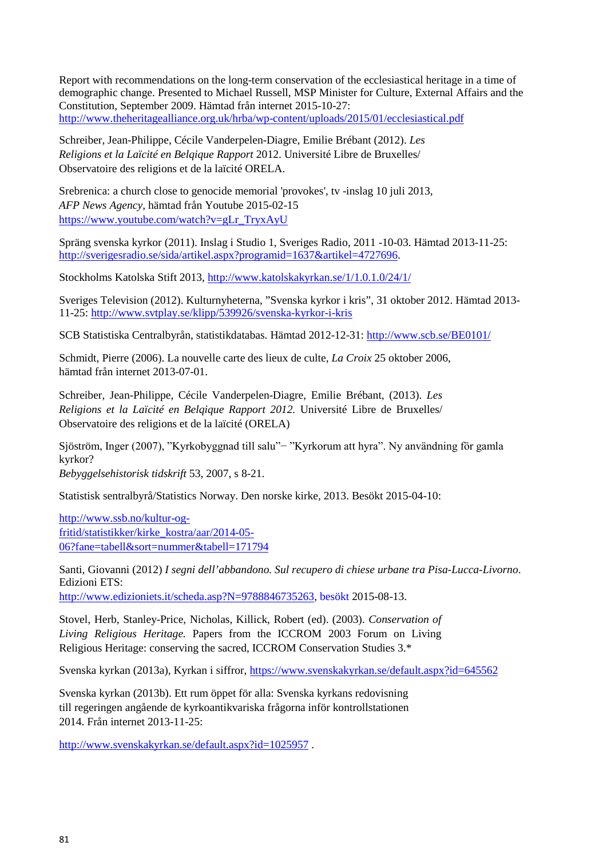Report with recommendations on the long-term conservation of the ecclesiastical heritage in a time of demographic change. Presented to Michael Russell, MSP Minister for Culture, External Affairs and the Constitution, September 2009. Hämtad från internet 2015-10-27: <http://www.theheritagealliance.org.uk/hrba/wp-content/uploads/2015/01/ecclesiastical.pdf>

Schreiber, Jean-Philippe, Cécile Vanderpelen-Diagre, Emilie Brébant (2012). *Les Religions et la Laïcité en Belqique Rapport* 2012. Université Libre de Bruxelles/ Observatoire des religions et de la laïcité ORELA.

Srebrenica: a church close to genocide memorial 'provokes', tv -inslag 10 juli 2013, *AFP News Agency*, hämtad från Youtube 2015-02-15 [https://www.youtube.com/watch?v=gLr\\_TryxAyU](https://www.youtube.com/watch?v=gLr_TryxAyU)

Spräng svenska kyrkor (2011). Inslag i Studio 1, Sveriges Radio, 2011 -10-03. Hämtad 2013-11-25: [http://sverigesradio.se/sida/artikel.aspx?programid=1637&artikel=4727696.](http://sverigesradio.se/sida/artikel.aspx?programid=1637&artikel=4727696)

Stockholms Katolska Stift 2013,<http://www.katolskakyrkan.se/1/1.0.1.0/24/1/>

Sveriges Television (2012). Kulturnyheterna, "Svenska kyrkor i kris", 31 oktober 2012. Hämtad 2013- 11-25: <http://www.svtplay.se/klipp/539926/svenska-kyrkor-i-kris>

SCB Statistiska Centralbyrån, statistikdatabas. Hämtad 2012-12-31:<http://www.scb.se/BE0101/>

Schmidt, Pierre (2006). La nouvelle carte des lieux de culte, *La Croix* 25 oktober 2006, hämtad från internet 2013-07-01.

Schreiber, Jean-Philippe, Cécile Vanderpelen-Diagre, Emilie Brébant, (2013). *Les Religions et la Laïcité en Belqique Rapport 2012.* Université Libre de Bruxelles/ Observatoire des religions et de la laïcité (ORELA)

Sjöström, Inger (2007), "Kyrkobyggnad till salu"− "Kyrkorum att hyra". Ny användning för gamla kyrkor?

*Bebyggelsehistorisk tidskrift* 53, 2007, s 8-21.

Statistisk sentralbyrå/Statistics Norway. Den norske kirke, 2013. Besökt 2015-04-10:

[http://www.ssb.no/kultur-og](http://www.ssb.no/kultur-og-fritid/statistikker/kirke_kostra/aar/2014-05-06?fane=tabell&sort=nummer&tabell=171794)[fritid/statistikker/kirke\\_kostra/aar/2014-05-](http://www.ssb.no/kultur-og-fritid/statistikker/kirke_kostra/aar/2014-05-06?fane=tabell&sort=nummer&tabell=171794) [06?fane=tabell&sort=nummer&tabell=171794](http://www.ssb.no/kultur-og-fritid/statistikker/kirke_kostra/aar/2014-05-06?fane=tabell&sort=nummer&tabell=171794)

Santi, Giovanni (2012) *I segni dell'abbandono. Sul recupero di chiese urbane tra Pisa-Lucca-Livorno*. Edizioni ETS:

[http://www.edizioniets.it/scheda.asp?N=9788846735263, b](http://www.edizioniets.it/scheda.asp?N=9788846735263)esökt 2015-08-13.

Stovel, Herb, Stanley-Price, Nicholas, Killick, Robert (ed). (2003). *Conservation of Living Religious Heritage.* Papers from the ICCROM 2003 Forum on Living Religious Heritage: conserving the sacred, ICCROM Conservation Studies 3.\*

Svenska kyrkan (2013a), Kyrkan i siffror,<https://www.svenskakyrkan.se/default.aspx?id=645562>

Svenska kyrkan (2013b). Ett rum öppet för alla: Svenska kyrkans redovisning till regeringen angående de kyrkoantikvariska frågorna inför kontrollstationen 2014. Från internet 2013-11-25:

<http://www.svenskakyrkan.se/default.aspx?id=1025957> .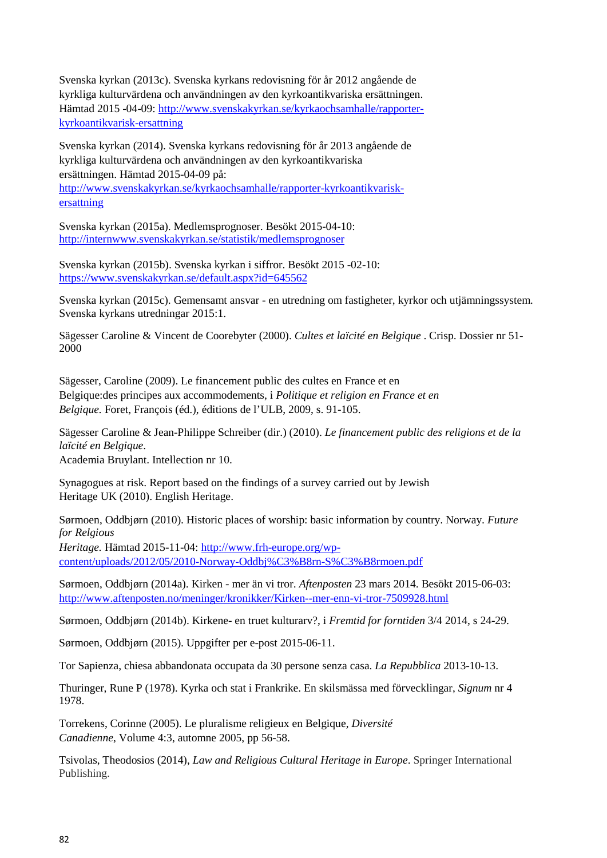Svenska kyrkan (2013c). Svenska kyrkans redovisning för år 2012 angående de kyrkliga kulturvärdena och användningen av den kyrkoantikvariska ersättningen. Hämtad 2015 -04-09: [http://www.svenskakyrkan.se/kyrkaochsamhalle/rapporter](http://www.svenskakyrkan.se/kyrkaochsamhalle/rapporter-kyrkoantikvarisk-ersattning)[kyrkoantikvarisk-ersattning](http://www.svenskakyrkan.se/kyrkaochsamhalle/rapporter-kyrkoantikvarisk-ersattning)

Svenska kyrkan (2014). Svenska kyrkans redovisning för år 2013 angående de kyrkliga kulturvärdena och användningen av den kyrkoantikvariska ersättningen. Hämtad 2015-04-09 på:

[http://www.svenskakyrkan.se/kyrkaochsamhalle/rapporter-kyrkoantikvarisk](http://www.svenskakyrkan.se/kyrkaochsamhalle/rapporter-kyrkoantikvarisk-ersattning)[ersattning](http://www.svenskakyrkan.se/kyrkaochsamhalle/rapporter-kyrkoantikvarisk-ersattning)

Svenska kyrkan (2015a). Medlemsprognoser. Besökt 2015-04-10: <http://internwww.svenskakyrkan.se/statistik/medlemsprognoser>

Svenska kyrkan (2015b). Svenska kyrkan i siffror. Besökt 2015 -02-10: <https://www.svenskakyrkan.se/default.aspx?id=645562>

Svenska kyrkan (2015c). Gemensamt ansvar - en utredning om fastigheter, kyrkor och utjämningssystem*.* Svenska kyrkans utredningar 2015:1.

Sägesser Caroline & Vincent de Coorebyter (2000). *Cultes et laïcité en Belgique* . Crisp. Dossier nr 51- 2000

Sägesser, Caroline (2009). Le financement public des cultes en France et en Belgique:des principes aux accommodements, i *Politique et religion en France et en Belgique.* Foret, François (éd.), éditions de l'ULB, 2009, s. 91-105.

Sägesser Caroline & Jean-Philippe Schreiber (dir.) (2010). *Le financement public des religions et de la laïcité en Belgique*.

Academia Bruylant. Intellection nr 10.

Synagogues at risk. Report based on the findings of a survey carried out by Jewish Heritage UK (2010). English Heritage.

Sørmoen, Oddbjørn (2010). Historic places of worship: basic information by country. Norway. *Future for Relgious*

*Heritage.* Hämtad 2015-11-04: [http://www.frh-europe.org/wp](http://www.frh-europe.org/wp-content/uploads/2012/05/2010-Norway-Oddbj%C3%B8rn-S%C3%B8rmoen.pdf)[content/uploads/2012/05/2010-Norway-Oddbj%C3%B8rn-S%C3%B8rmoen.pdf](http://www.frh-europe.org/wp-content/uploads/2012/05/2010-Norway-Oddbj%C3%B8rn-S%C3%B8rmoen.pdf)

Sørmoen, Oddbjørn (2014a). Kirken - mer än vi tror. *Aftenposten* 23 mars 2014. Besökt 2015-06-03: <http://www.aftenposten.no/meninger/kronikker/Kirken--mer-enn-vi-tror-7509928.html>

Sørmoen, Oddbjørn (2014b). Kirkene- en truet kulturarv?, i *Fremtid for forntiden* 3/4 2014, s 24-29.

Sørmoen, Oddbjørn (2015). Uppgifter per e-post 2015-06-11.

Tor Sapienza, chiesa abbandonata occupata da 30 persone senza casa. *La Repubblica* 2013-10-13.

Thuringer, Rune P (1978). Kyrka och stat i Frankrike. En skilsmässa med förvecklingar, *Signum* nr 4 1978.

Torrekens, Corinne (2005). Le pluralisme religieux en Belgique, *Diversité Canadienne*, Volume 4:3, automne 2005, pp 56-58.

Tsivolas, Theodosios (2014), *Law and Religious Cultural Heritage in Europe*. Springer International Publishing.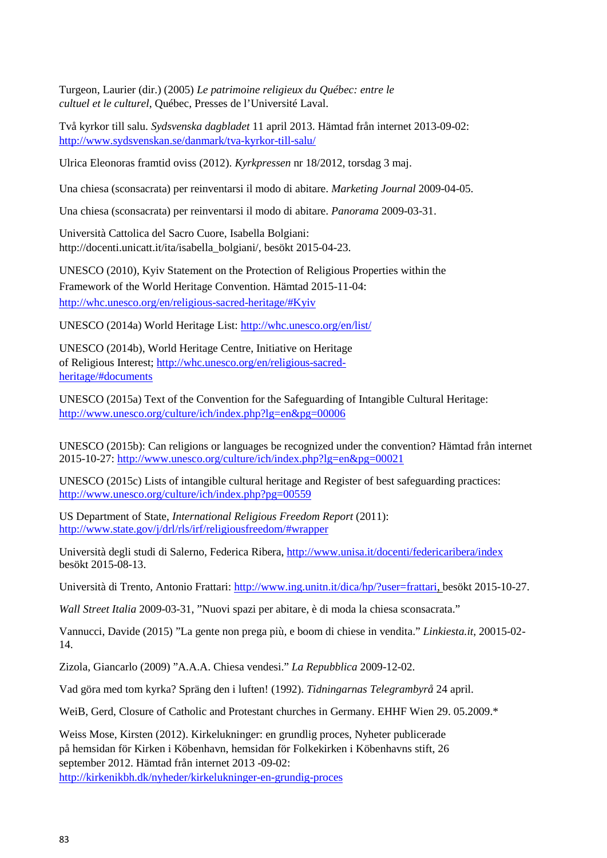Turgeon, Laurier (dir.) (2005) *Le patrimoine religieux du Québec: entre le cultuel et le culturel*, Québec, Presses de l'Université Laval.

Två kyrkor till salu. *Sydsvenska dagbladet* 11 april 2013. Hämtad från internet 2013-09-02: <http://www.sydsvenskan.se/danmark/tva-kyrkor-till-salu/>

Ulrica Eleonoras framtid oviss (2012). *Kyrkpressen* nr 18/2012, torsdag 3 maj.

Una chiesa (sconsacrata) per reinventarsi il modo di abitare. *Marketing Journal* 2009-04-05.

Una chiesa (sconsacrata) per reinventarsi il modo di abitare. *Panorama* 2009-03-31.

Università Cattolica del Sacro Cuore, Isabella Bolgiani: http://docenti.unicatt.it/ita/isabella\_bolgiani/, besökt 2015-04-23.

UNESCO (2010), Kyiv Statement on the Protection of Religious Properties within the Framework of the World Heritage Convention. Hämtad 2015-11-04: [http://whc.unesco.org/en/religious-sacred-heritage/#Kyiv](http://whc.unesco.org/en/religious-sacred-heritage/%23Kyiv)

UNESCO (2014a) World Heritage List:<http://whc.unesco.org/en/list/>

UNESCO (2014b), World Heritage Centre, Initiative on Heritage of Religious Interest; [http://whc.unesco.org/en/religious-sacred](http://whc.unesco.org/en/religious-sacred-heritage/#documents)[heritage/#documents](http://whc.unesco.org/en/religious-sacred-heritage/#documents)

UNESCO (2015a) Text of the Convention for the Safeguarding of Intangible Cultural Heritage: <http://www.unesco.org/culture/ich/index.php?lg=en&pg=00006>

UNESCO (2015b): Can religions or languages be recognized under the convention? Hämtad från internet 2015-10-27:<http://www.unesco.org/culture/ich/index.php?lg=en&pg=00021>

UNESCO (2015c) Lists of intangible cultural heritage and Register of best safeguarding practices: <http://www.unesco.org/culture/ich/index.php?pg=00559>

US Department of State, *International Religious Freedom Report* (2011): [http://www.state.gov/j/drl/rls/irf/religiousfreedom/#wrapper](http://www.state.gov/j/drl/rls/irf/religiousfreedom/%23wrapper)

Università degli studi di Salerno, Federica Ribera,<http://www.unisa.it/docenti/federicaribera/index> besökt 2015-08-13.

Università di Trento, Antonio Frattari[: http://www.ing.unitn.it/dica/hp/?user=frattari, b](http://www.ing.unitn.it/dica/hp/?user=frattari%20)esökt 2015-10-27.

*Wall Street Italia* 2009-03-31, "Nuovi spazi per abitare, è di moda la chiesa sconsacrata."

Vannucci, Davide (2015) "La gente non prega più, e boom di chiese in vendita." *Linkiesta.it*, 20015-02- 14.

Zizola, Giancarlo (2009) "A.A.A. Chiesa vendesi." *La Repubblica* 2009-12-02.

Vad göra med tom kyrka? Spräng den i luften! (1992). *Tidningarnas Telegrambyrå* 24 april.

WeiB, Gerd, Closure of Catholic and Protestant churches in Germany. EHHF Wien 29, 05.2009.\*

Weiss Mose, Kirsten (2012). Kirkelukninger: en grundlig proces, Nyheter publicerade på hemsidan för Kirken i Köbenhavn, hemsidan för Folkekirken i Köbenhavns stift, 26 september 2012. Hämtad från internet 2013 -09-02: <http://kirkenikbh.dk/nyheder/kirkelukninger-en-grundig-proces>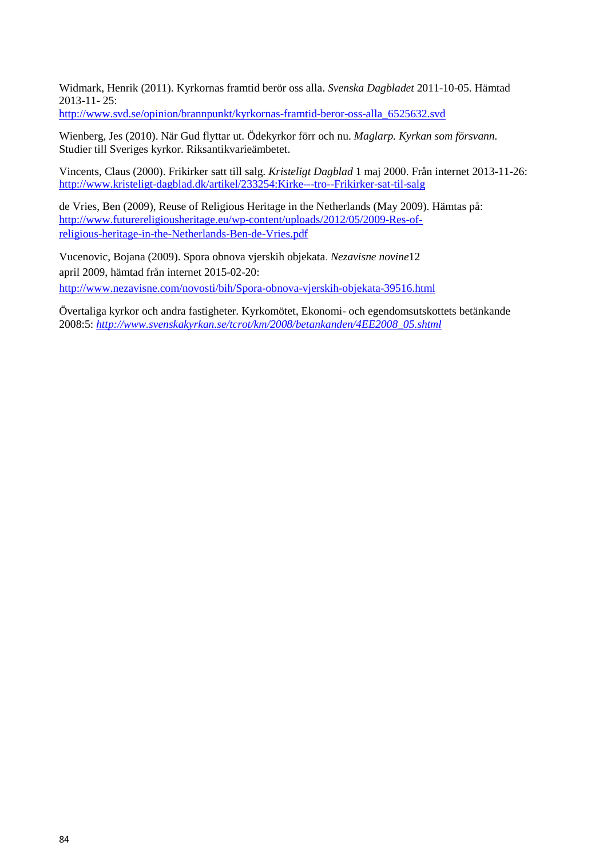Widmark, Henrik (2011). Kyrkornas framtid berör oss alla. *Svenska Dagbladet* 2011-10-05. Hämtad 2013-11- 25:

[http://www.svd.se/opinion/brannpunkt/kyrkornas-framtid-beror-oss-alla\\_6525632.svd](http://www.svd.se/opinion/brannpunkt/kyrkornas-framtid-beror-oss-alla_6525632.svd)

Wienberg, Jes (2010). När Gud flyttar ut. Ödekyrkor förr och nu. *Maglarp. Kyrkan som försvann.* Studier till Sveriges kyrkor. Riksantikvarieämbetet.

Vincents, Claus (2000). Frikirker satt till salg. *Kristeligt Dagblad* 1 maj 2000. Från internet 2013-11-26: <http://www.kristeligt-dagblad.dk/artikel/233254:Kirke---tro--Frikirker-sat-til-salg>

de Vries, Ben (2009), Reuse of Religious Heritage in the Netherlands (May 2009). Hämtas på: [http://www.futurereligiousheritage.eu/wp-content/uploads/2012/05/2009-Res-of](http://www.futurereligiousheritage.eu/wp-content/uploads/2012/05/2009-Res-of-religious-heritage-in-the-Netherlands-Ben-de-Vries.pdf)[religious-heritage-in-the-Netherlands-Ben-de-Vries.pdf](http://www.futurereligiousheritage.eu/wp-content/uploads/2012/05/2009-Res-of-religious-heritage-in-the-Netherlands-Ben-de-Vries.pdf)

Vucenovic, Bojana (2009). Spora obnova vjerskih objekata. *Nezavisne novine*12 april 2009, hämtad från internet 2015-02-20: <http://www.nezavisne.com/novosti/bih/Spora-obnova-vjerskih-objekata-39516.html>

Övertaliga kyrkor och andra fastigheter. Kyrkomötet, Ekonomi- och egendomsutskottets betänkande 2008:5: *[http://www.svenskakyrkan.se/tcrot/km/2008/betankanden/4EE2008\\_05.shtml](http://www.svenskakyrkan.se/tcrot/km/2008/betankanden/4EE2008_05.shtml)*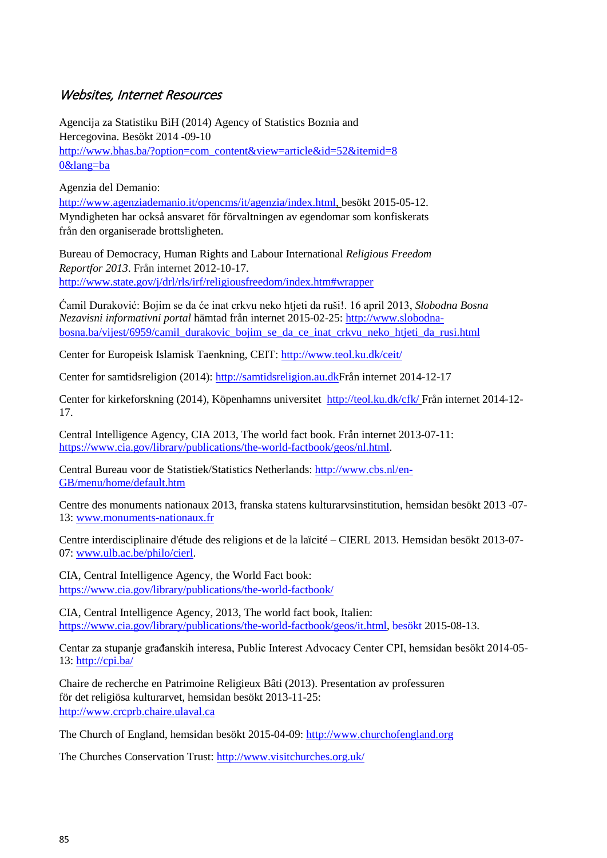## Websites, Internet Resources

Agencija za Statistiku BiH (2014) Agency of Statistics Boznia and Hercegovina. Besökt 2014 -09-10 [http://www.bhas.ba/?option=com\\_content&view=article&id=52&itemid=8](http://www.bhas.ba/?option=com_content&view=article&id=52&itemid=80&lang=ba) [0&lang=ba](http://www.bhas.ba/?option=com_content&view=article&id=52&itemid=80&lang=ba)

Agenzia del Demanio:

[http://www.agenziademanio.it/opencms/it/agenzia/index.html,](http://www.agenziademanio.it/opencms/it/agenzia/index.html) besökt 2015-05-12. Myndigheten har också ansvaret för förvaltningen av egendomar som konfiskerats från den organiserade brottsligheten.

Bureau of Democracy, Human Rights and Labour International *Religious Freedom Reportfor 2013*. Från internet 2012-10-17. <http://www.state.gov/j/drl/rls/irf/religiousfreedom/index.htm#wrapper>

Ćamil Duraković: Bojim se da će inat crkvu neko htjeti da ruši!. 16 april 2013, *Slobodna Bosna Nezavisni informativni portal* hämtad från internet 2015-02-25: [http://www.slobodna](http://www.slobodna-bosna.ba/vijest/6959/camil_durakovic_bojim_se_da_ce_inat_crkvu_neko_htjeti_da_rusi.html)[bosna.ba/vijest/6959/camil\\_durakovic\\_bojim\\_se\\_da\\_ce\\_inat\\_crkvu\\_neko\\_htjeti\\_da\\_rusi.html](http://www.slobodna-bosna.ba/vijest/6959/camil_durakovic_bojim_se_da_ce_inat_crkvu_neko_htjeti_da_rusi.html)

Center for Europeisk Islamisk Taenkning, CEIT:<http://www.teol.ku.dk/ceit/>

Center for samtidsreligion (2014): [http://samtidsreligion.au.dkF](http://samtidsreligion.au.dk/religion-i-danmark/2013/intro/)rån internet 2014-12-17

Center for kirkeforskning (2014), Köpenhamns universitet<http://teol.ku.dk/cfk/> Från internet 2014-12- 17.

Central Intelligence Agency, CIA 2013, The world fact book. Från internet 2013-07-11: [https://www.cia.gov/library/publications/the-world-factbook/geos/nl.html.](https://www.cia.gov/library/publications/the-world-factbook/geos/nl.html)

Central Bureau voor de Statistiek/Statistics Netherlands: [http://www.cbs.nl/en-](http://www.cbs.nl/en-GB/menu/home/default.htm)[GB/menu/home/default.htm](http://www.cbs.nl/en-GB/menu/home/default.htm)

Centre des monuments nationaux 2013, franska statens kulturarvsinstitution, hemsidan besökt 2013 -07- 13: [www.monuments-nationaux.fr](http://www.monuments-nationaux.fr/)

Centre interdisciplinaire d'étude des religions et de la laïcité – CIERL 2013. Hemsidan besökt 2013-07- 07: [www.ulb.ac.be/philo/cierl.](http://www.ulb.ac.be/philo/cierl)

CIA, Central Intelligence Agency, the World Fact book: <https://www.cia.gov/library/publications/the-world-factbook/>

CIA, Central Intelligence Agency, 2013, The world fact book, Italien: [https://www.cia.gov/library/publications/the-world-factbook/geos/it.html, b](https://www.cia.gov/library/publications/the-world-factbook/geos/it.html)esökt 2015-08-13.

Centar za stupanje građanskih interesa, Public Interest Advocacy Center CPI, hemsidan besökt 2014-05- 13: <http://cpi.ba/>

Chaire de recherche en Patrimoine Religieux Bâti (2013). Presentation av professuren för det religiösa kulturarvet, hemsidan besökt 2013-11-25: [http://www.crcprb.chaire.ulaval.ca](http://www.crcprb.chaire.ulaval.ca/)

The Church of England, hemsidan besökt 2015-04-09: [http://www.churchofengland.org](http://www.churchofengland.org/)

The Churches Conservation Trust:<http://www.visitchurches.org.uk/>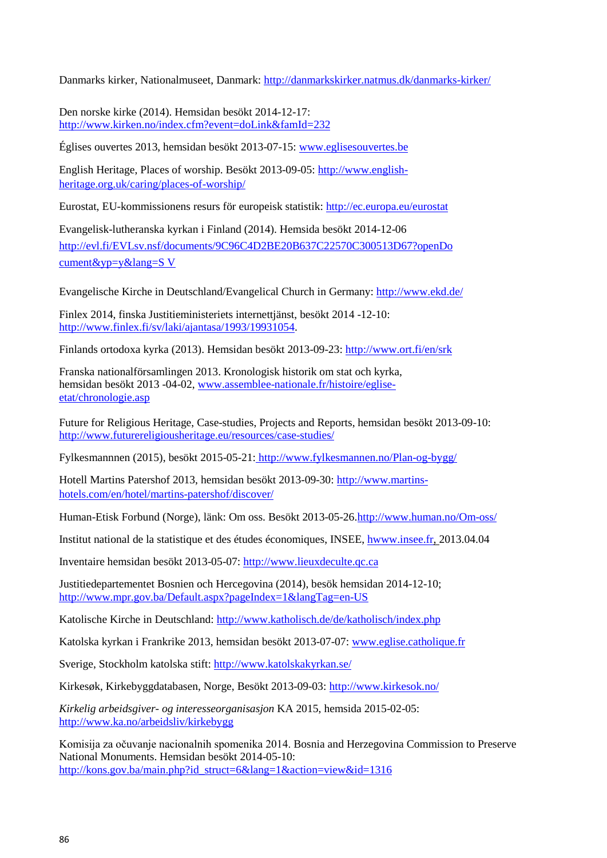Danmarks kirker, Nationalmuseet, Danmark:<http://danmarkskirker.natmus.dk/danmarks-kirker/>

Den norske kirke (2014). Hemsidan besökt 2014-12-17: <http://www.kirken.no/index.cfm?event=doLink&famId=232>

Églises ouvertes 2013, hemsidan besökt 2013-07-15: [www.eglisesouvertes.be](http://www.eglisesouvertes.be/)

English Heritage, Places of worship. Besökt 2013-09-05: [http://www.english](http://www.english-heritage.org.uk/caring/places-of-worship/)[heritage.org.uk/caring/places-of-worship/](http://www.english-heritage.org.uk/caring/places-of-worship/)

Eurostat, EU-kommissionens resurs för europeisk statistik:<http://ec.europa.eu/eurostat>

Evangelisk-lutheranska kyrkan i Finland (2014). Hemsida besökt 2014-12-06 [http://evl.fi/EVLsv.nsf/documents/9C96C4D2BE20B637C22570C300513D67?openDo](http://evl.fi/EVLsv.nsf/documents/9C96C4D2BE20B637C22570C300513D67?openDocument&yp=y&lang=SV) [cument&yp=y&lang=S](http://evl.fi/EVLsv.nsf/documents/9C96C4D2BE20B637C22570C300513D67?openDocument&yp=y&lang=SV) [V](http://evl.fi/EVLsv.nsf/documents/9C96C4D2BE20B637C22570C300513D67?openDocument&yp=y&lang=SV)

Evangelische Kirche in Deutschland/Evangelical Church in Germany:<http://www.ekd.de/>

Finlex 2014, finska Justitieministeriets internettjänst, besökt 2014 -12-10: [http://www.finlex.fi/sv/laki/ajantasa/1993/19931054.](http://www.finlex.fi/sv/laki/ajantasa/1993/19931054)

Finlands ortodoxa kyrka (2013). Hemsidan besökt 2013-09-23:<http://www.ort.fi/en/srk>

Franska nationalförsamlingen 2013. Kronologisk historik om stat och kyrka, hemsidan besökt 2013 -04-02, [www.assemblee-nationale.fr/histoire/eglise](http://(www.assemblee-nationale.fr/histoire/eglise-etat/chronologie.asp)[etat/chronologie.asp](http://(www.assemblee-nationale.fr/histoire/eglise-etat/chronologie.asp)

Future for Religious Heritage, Case-studies, Projects and Reports, hemsidan besökt 2013-09-10: <http://www.futurereligiousheritage.eu/resources/case-studies/>

Fylkesmannnen (2015), besökt 2015-05-21: http://www.fylkesmannen.no/Plan-og-bygg/

Hotell Martins Patershof 2013, hemsidan besökt 2013-09-30: [http://www.martins](http://www.martins-hotels.com/en/hotel/martins-patershof/discover/)[hotels.com/en/hotel/martins-patershof/discover/](http://www.martins-hotels.com/en/hotel/martins-patershof/discover/)

Human-Etisk Forbund (Norge), länk: Om oss. Besökt 2013-05-26[.http://www.human.no/Om-oss/](http://www.human.no/Om-oss/)

Institut national de la statistique et des études économiques, INSEE, [hwww.insee.fr, 2](http://www.insee.fr/)013.04.04

Inventaire hemsidan besökt 2013-05-07: [http://www.lieuxdeculte.qc.ca](http://www.lieuxdeculte.qc.ca/)

Justitiedepartementet Bosnien och Hercegovina (2014), besök hemsidan 2014-12-10; <http://www.mpr.gov.ba/Default.aspx?pageIndex=1&langTag=en-US>

Katolische Kirche in Deutschland:<http://www.katholisch.de/de/katholisch/index.php>

Katolska kyrkan i Frankrike 2013, hemsidan besökt 2013-07-07: [www.eglise.catholique.fr](http://www.eglise.catholique.fr/)

Sverige, Stockholm katolska stift:<http://www.katolskakyrkan.se/>

Kirkesøk, Kirkebyggdatabasen, Norge, Besökt 2013-09-03:<http://www.kirkesok.no/>

*Kirkelig arbeidsgiver- og interesseorganisasjon* KA 2015, hemsida 2015-02-05: <http://www.ka.no/arbeidsliv/kirkebygg>

Komisija za očuvanje nacionalnih spomenika 2014. Bosnia and Herzegovina Commission to Preserve National Monuments. Hemsidan besökt 2014-05-10: [http://kons.gov.ba/main.php?id\\_struct=6&lang=1&action=view&id=1316](http://kons.gov.ba/main.php?id_struct=6&lang=1&action=view&id=1316)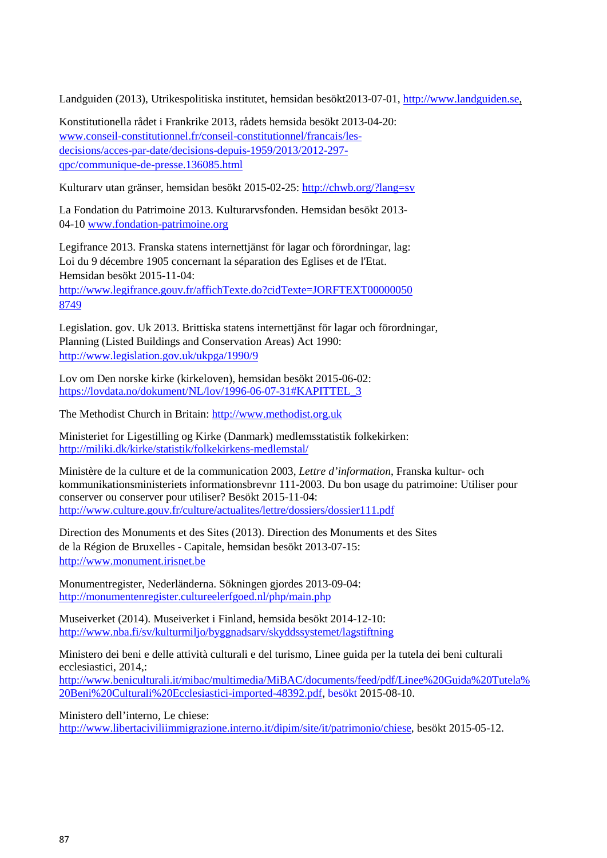Landguiden (2013), Utrikespolitiska institutet, hemsidan besökt2013-07-01, [http://www.landguiden.se,](http://www.landguiden.se/)

Konstitutionella rådet i Frankrike 2013, rådets hemsida besökt 2013-04-20: [www.conseil-constitutionnel.fr/conseil-constitutionnel/francais/les](http://www.conseil-constitutionnel.fr/conseil-constitutionnel/francais/les-decisions/acces-par-date/decisions-depuis-1959/2013/2012-297-qpc/communique-de-presse.136085.html)[decisions/acces-par-date/decisions-depuis-1959/2013/2012-297](http://www.conseil-constitutionnel.fr/conseil-constitutionnel/francais/les-decisions/acces-par-date/decisions-depuis-1959/2013/2012-297-qpc/communique-de-presse.136085.html) [qpc/communique-de-presse.136085.html](http://www.conseil-constitutionnel.fr/conseil-constitutionnel/francais/les-decisions/acces-par-date/decisions-depuis-1959/2013/2012-297-qpc/communique-de-presse.136085.html)

Kulturarv utan gränser, hemsidan besökt 2015-02-25:<http://chwb.org/?lang=sv>

La Fondation du Patrimoine 2013. Kulturarvsfonden. Hemsidan besökt 2013- 04-10 [www.fondation-patrimoine.org](http://www.fondation-patrimoine.org/)

Legifrance 2013. Franska statens internettjänst för lagar och förordningar, lag: Loi du 9 décembre 1905 concernant la séparation des Eglises et de l'Etat. Hemsidan besökt 2015-11-04:

[http://www.legifrance.gouv.fr/affichTexte.do?cidTexte=JORFTEXT00000050](http://www.legifrance.gouv.fr/affichTexte.do?cidTexte=JORFTEXT000000508749%20%20) [8749](http://www.legifrance.gouv.fr/affichTexte.do?cidTexte=JORFTEXT000000508749%20%20)

Legislation. gov. Uk 2013. Brittiska statens internettjänst för lagar och förordningar, Planning (Listed Buildings and Conservation Areas) Act 1990: <http://www.legislation.gov.uk/ukpga/1990/9>

Lov om Den norske kirke (kirkeloven), hemsidan besökt 2015-06-02: [https://lovdata.no/dokument/NL/lov/1996-06-07-31#KAPITTEL\\_3](https://lovdata.no/dokument/NL/lov/1996-06-07-31%23KAPITTEL_3)

The Methodist Church in Britain: [http://www.methodist.org.uk](http://www.methodist.org.uk/)

Ministeriet for Ligestilling og Kirke (Danmark) medlemsstatistik folkekirken: <http://miliki.dk/kirke/statistik/folkekirkens-medlemstal/>

Ministère de la culture et de la communication 2003, *Lettre d'information*, Franska kultur- och kommunikationsministeriets informationsbrevnr 111-2003. Du bon usage du patrimoine: Utiliser pour conserver ou conserver pour utiliser? Besökt 2015-11-04: <http://www.culture.gouv.fr/culture/actualites/lettre/dossiers/dossier111.pdf>

Direction des Monuments et des Sites (2013). Direction des Monuments et des Sites de la Région de Bruxelles - Capitale, hemsidan besökt 2013-07-15: [http://www.monument.irisnet.be](http://www.monument.irisnet.be/)

Monumentregister, Nederländerna. Sökningen gjordes 2013-09-04: <http://monumentenregister.cultureelerfgoed.nl/php/main.php>

Museiverket (2014). Museiverket i Finland, hemsida besökt 2014-12-10: <http://www.nba.fi/sv/kulturmiljo/byggnadsarv/skyddssystemet/lagstiftning>

Ministero dei beni e delle attività culturali e del turismo, Linee guida per la tutela dei beni culturali ecclesiastici, 2014,:

[http://www.beniculturali.it/mibac/multimedia/MiBAC/documents/feed/pdf/Linee%20Guida%20Tutela%](http://www.beniculturali.it/mibac/multimedia/MiBAC/documents/feed/pdf/Linee%20Guida%20Tutela%20Beni%20Culturali%20Ecclesiastici-imported-48392.pdf) [20Beni%20Culturali%20Ecclesiastici-imported-48392.pdf, b](http://www.beniculturali.it/mibac/multimedia/MiBAC/documents/feed/pdf/Linee%20Guida%20Tutela%20Beni%20Culturali%20Ecclesiastici-imported-48392.pdf)esökt 2015-08-10.

Ministero dell'interno, Le chiese: [http://www.libertaciviliimmigrazione.interno.it/dipim/site/it/patrimonio/chiese, b](http://www.libertaciviliimmigrazione.interno.it/dipim/site/it/patrimonio/chiese)esökt 2015-05-12.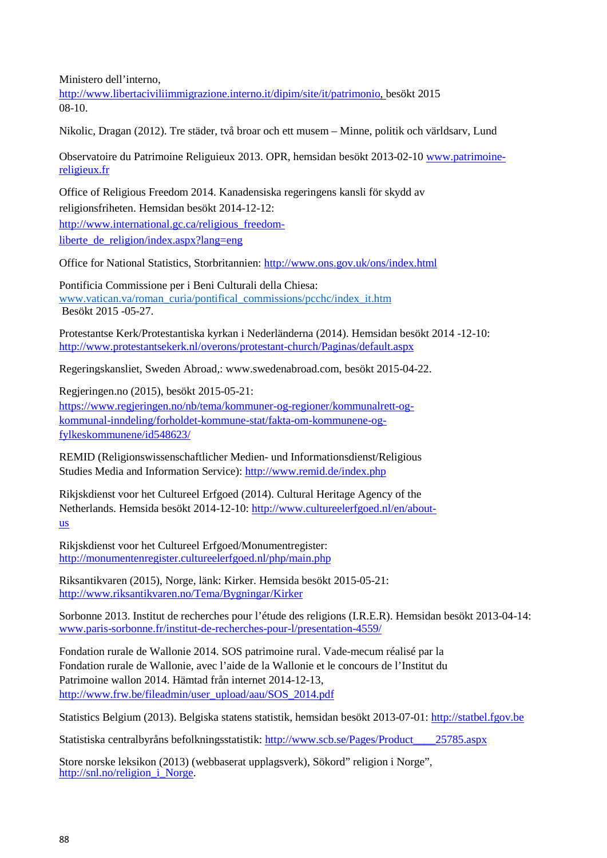Ministero dell'interno,

[http://www.libertaciviliimmigrazione.interno.it/dipim/site/it/patrimonio, b](http://www.libertaciviliimmigrazione.interno.it/dipim/site/it/patrimonio)esökt 2015 08-10.

Nikolic, Dragan (2012). Tre städer, två broar och ett musem – Minne, politik och världsarv, Lund

Observatoire du Patrimoine Religuieux 2013. OPR, hemsidan besökt 2013-02-10 [www.patrimoine](http://www.patrimoine-religieux.fr/)[religieux.fr](http://www.patrimoine-religieux.fr/)

Office of Religious Freedom 2014. Kanadensiska regeringens kansli för skydd av religionsfriheten. Hemsidan besökt 2014-12-12:

http://www.international.gc.ca/religious\_freedomliberte\_de\_religion/index.aspx?lang=eng

Office for National Statistics, Storbritannien:<http://www.ons.gov.uk/ons/index.html>

Pontificia Commissione per i Beni Culturali della Chiesa: [www.vatican.va/roman\\_curia/pontifical\\_commissions/pcchc/index\\_it.htm](http://www.vatican.va/roman_curia/pontifical_commissions/pcchc/index_it.htm) Besökt 2015 -05-27.

Protestantse Kerk/Protestantiska kyrkan i Nederländerna (2014). Hemsidan besökt 2014 -12-10: <http://www.protestantsekerk.nl/overons/protestant-church/Paginas/default.aspx>

Regeringskansliet, Sweden Abroad,: www.swedenabroad.com, besökt 2015-04-22.

Regjeringen.no (2015), besökt 2015-05-21: [https://www.regjeringen.no/nb/tema/kommuner-og-regioner/kommunalrett-og](https://www.regjeringen.no/nb/tema/kommuner-og-regioner/kommunalrett-og-kommunal-inndeling/forholdet-kommune-stat/fakta-om-kommunene-og-fylkeskommunene/id548623/)[kommunal-inndeling/forholdet-kommune-stat/fakta-om-kommunene-og](https://www.regjeringen.no/nb/tema/kommuner-og-regioner/kommunalrett-og-kommunal-inndeling/forholdet-kommune-stat/fakta-om-kommunene-og-fylkeskommunene/id548623/)[fylkeskommunene/id548623/](https://www.regjeringen.no/nb/tema/kommuner-og-regioner/kommunalrett-og-kommunal-inndeling/forholdet-kommune-stat/fakta-om-kommunene-og-fylkeskommunene/id548623/)

REMID (Religionswissenschaftlicher Medien- und Informationsdienst/Religious Studies Media and Information Service):<http://www.remid.de/index.php>

Rikjskdienst voor het Cultureel Erfgoed (2014). Cultural Heritage Agency of the Netherlands. Hemsida besökt 2014-12-10: [http://www.cultureelerfgoed.nl/en/about](http://www.cultureelerfgoed.nl/en/about-us)[us](http://www.cultureelerfgoed.nl/en/about-us)

Rikjskdienst voor het Cultureel Erfgoed/Monumentregister: <http://monumentenregister.cultureelerfgoed.nl/php/main.php>

Riksantikvaren (2015), Norge, länk: Kirker. Hemsida besökt 2015-05-21: <http://www.riksantikvaren.no/Tema/Bygningar/Kirker>

Sorbonne 2013. Institut de recherches pour l'étude des religions (I.R.E.R). Hemsidan besökt 2013-04-14: [www.paris-sorbonne.fr/institut-de-recherches-pour-l/presentation-4559/](http://www.paris-sorbonne.fr/institut-de-recherches-pour-l/presentation-4559/)

Fondation rurale de Wallonie 2014. SOS patrimoine rural. Vade-mecum réalisé par la Fondation rurale de Wallonie, avec l'aide de la Wallonie et le concours de l'Institut du Patrimoine wallon 2014. Hämtad från internet 2014-12-13, [http://www.frw.be/fileadmin/user\\_upload/aau/SOS\\_2014.pdf](http://www.frw.be/fileadmin/user_upload/aau/SOS_2014.pdf)

Statistics Belgium (2013). Belgiska statens statistik, hemsidan besökt 2013-07-01: [http://statbel.fgov.be](http://statbel.fgov.be/)

Statistiska centralbyråns befolkningsstatistik: [http://www.scb.se/Pages/Product\\_\\_\\_\\_25785.aspx](http://www.scb.se/Pages/Product____25785.aspx)

Store norske leksikon (2013) (webbaserat upplagsverk), Sökord" religion i Norge", [http://snl.no/religion\\_i\\_Norge.](http://snl.no/religion_i_Norge)